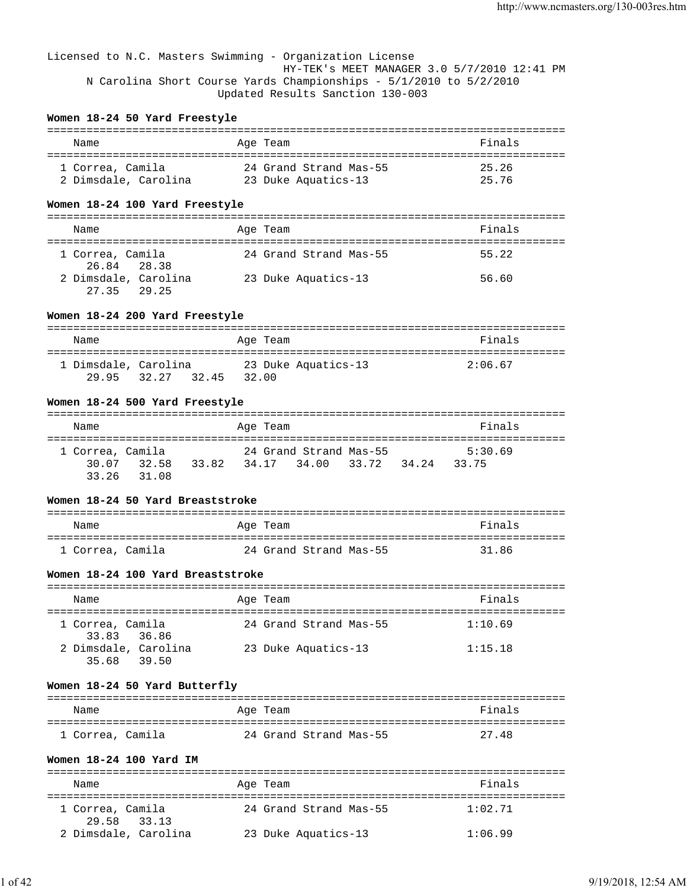Licensed to N.C. Masters Swimming - Organization License HY-TEK's MEET MANAGER 3.0 5/7/2010 12:41 PM N Carolina Short Course Yards Championships - 5/1/2010 to 5/2/2010 Updated Results Sanction 130-003

## **Women 18-24 50 Yard Freestyle**

| Name                 | Age Team               | Finals |
|----------------------|------------------------|--------|
| 1 Correa. Camila     | 24 Grand Strand Mas-55 | 25.26  |
| 2 Dimsdale, Carolina | 23 Duke Aquatics-13    | 25.76  |

# **Women 18-24 100 Yard Freestyle**

| Name                                | Age Team               | Finals |
|-------------------------------------|------------------------|--------|
| 1 Correa, Camila<br>26.84 28.38     | 24 Grand Strand Mas-55 | 55.22  |
| 2 Dimsdale, Carolina<br>27.35 29.25 | 23 Duke Aquatics-13    | 56.60  |

### **Women 18-24 200 Yard Freestyle**

| Name                 |                | Age Team            | Finals  |
|----------------------|----------------|---------------------|---------|
| 1 Dimsdale, Carolina |                | 23 Duke Aquatics-13 | 2:06.67 |
| 29.95                | 32.45<br>32.27 | 32.00               |         |

## **Women 18-24 500 Yard Freestyle**

| Name                                           |       | Age Team                                          |  | Finals           |
|------------------------------------------------|-------|---------------------------------------------------|--|------------------|
| 1 Correa, Camila<br>30.07 32.58<br>33.26 31.08 | 33.82 | 24 Grand Strand Mas-55<br>34.17 34.00 33.72 34.24 |  | 5:30.69<br>33.75 |

# **Women 18-24 50 Yard Breaststroke**

| Name             | Age Team               | Finals |
|------------------|------------------------|--------|
| 1 Correa, Camila | 24 Grand Strand Mas-55 | 31.86  |

# **Women 18-24 100 Yard Breaststroke**

| Name                                | Age Team               | Finals  |
|-------------------------------------|------------------------|---------|
| 1 Correa, Camila<br>33.83 36.86     | 24 Grand Strand Mas-55 | 1:10.69 |
| 2 Dimsdale, Carolina<br>35.68 39.50 | 23 Duke Aquatics-13    | 1:15.18 |

## **Women 18-24 50 Yard Butterfly**

| Name             | Age Team               | Finals |
|------------------|------------------------|--------|
| 1 Correa, Camila | 24 Grand Strand Mas-55 | 27.48  |

# **Women 18-24 100 Yard IM**

| Name                               | Age Team               | Finals  |  |  |  |  |  |  |
|------------------------------------|------------------------|---------|--|--|--|--|--|--|
| 1 Correa, Camila<br>29.58<br>33.13 | 24 Grand Strand Mas-55 | 1:02.71 |  |  |  |  |  |  |
| 2 Dimsdale, Carolina               | 23 Duke Aquatics-13    | 1:06.99 |  |  |  |  |  |  |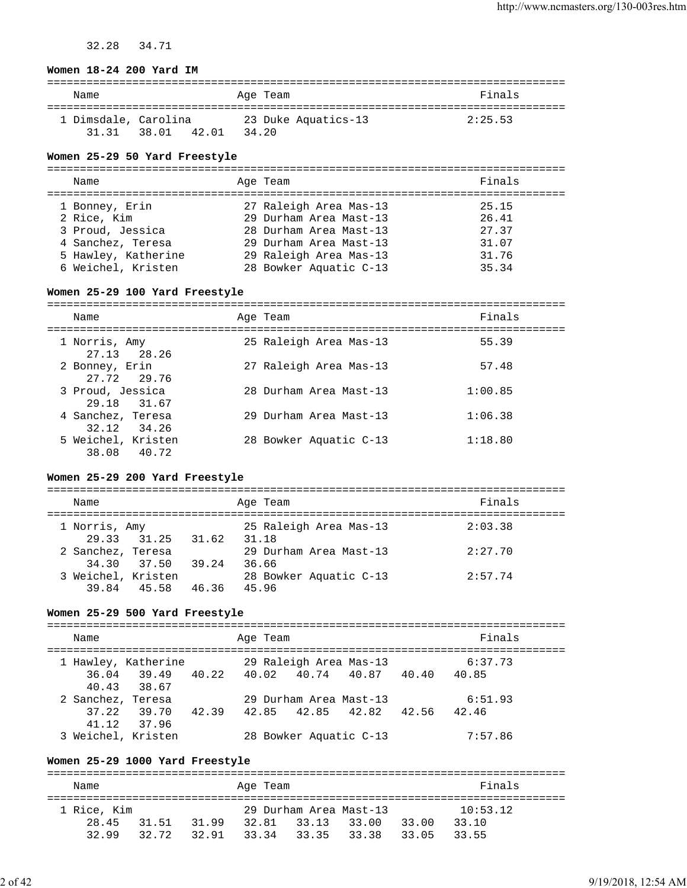32.28 34.71

#### **Women 18-24 200 Yard IM**

| Name                 |       |       |       | Age Team |                     | Finals  |  |
|----------------------|-------|-------|-------|----------|---------------------|---------|--|
| 1 Dimsdale, Carolina |       |       |       |          | 23 Duke Aquatics-13 | 2:25.53 |  |
| 3131                 | 38.01 | 42.01 | 34.20 |          |                     |         |  |

#### **Women 25-29 50 Yard Freestyle**

=============================================================================== Age Team and the Second State of the Second State State and Second State State State State State State State S =============================================================================== 27 Raleigh Area Mas-13 25.15 2 Rice, Kim 29 Durham Area Mast-13 26.41 3 Proud, Jessica 28 Durham Area Mast-13 27.37 4 Sanchez, Teresa 29 Durham Area Mast-13 31.07 5 Hawley, Katherine 29 Raleigh Area Mas-13 31.76 6 Weichel, Kristen 28 Bowker Aquatic C-13 35.34

#### **Women 25-29 100 Yard Freestyle**

| Name                              | Age Team               | Finals  |
|-----------------------------------|------------------------|---------|
| 1 Norris, Amy<br>27.13 28.26      | 25 Raleigh Area Mas-13 | 55.39   |
| 2 Bonney, Erin<br>27.72 29.76     | 27 Raleigh Area Mas-13 | 57.48   |
| 3 Proud, Jessica<br>29.18 31.67   | 28 Durham Area Mast-13 | 1:00.85 |
| 4 Sanchez, Teresa<br>32.12 34.26  | 29 Durham Area Mast-13 | 1:06.38 |
| 5 Weichel, Kristen<br>38.08 40.72 | 28 Bowker Aquatic C-13 | 1:18.80 |

#### **Women 25-29 200 Yard Freestyle**

| Name                              |       | Age Team                        | Finals  |
|-----------------------------------|-------|---------------------------------|---------|
| 1 Norris, Amy<br>29.33 31.25      | 31.62 | 25 Raleigh Area Mas-13<br>31.18 | 2:03.38 |
| 2 Sanchez, Teresa<br>34.30 37.50  | 39.24 | 29 Durham Area Mast-13<br>36.66 | 2:27.70 |
| 3 Weichel, Kristen<br>39.84 45.58 | 46.36 | 28 Bowker Aquatic C-13<br>45.96 | 2:57.74 |

#### **Women 25-29 500 Yard Freestyle**

| Name               |                     | Age Team                      |                         |  | Finals  |  |
|--------------------|---------------------|-------------------------------|-------------------------|--|---------|--|
|                    | 1 Hawley, Katherine |                               | 29 Raleigh Area Mas-13  |  | 6:37.73 |  |
|                    | 36.04 39.49         | 40.22 40.02 40.74 40.87 40.40 |                         |  | 40.85   |  |
|                    | 40.43 38.67         |                               |                         |  |         |  |
| 2 Sanchez, Teresa  |                     |                               | 29 Durham Area Mast-13  |  | 6:51.93 |  |
|                    | 37.22 39.70 42.39   |                               | 42.85 42.85 42.82 42.56 |  | 42.46   |  |
|                    | 41.12 37.96         |                               |                         |  |         |  |
| 3 Weichel, Kristen |                     |                               | 28 Bowker Aquatic C-13  |  | 7:57.86 |  |

#### **Women 25-29 1000 Yard Freestyle**

=============================================================================== Name Research Age Team and the Search School and Times and Search School and Times and Times and Times and Times and Times and Times and Times and Times and Times and Times and Times and Times and Times and Times and Times =============================================================================== 1 Rice, Kim 29 Durham Area Mast-13 10:53.12 28.45 31.51 31.99 32.81 33.13 33.00 33.00 33.10 32.99 32.72 32.91 33.34 33.35 33.38 33.05 33.55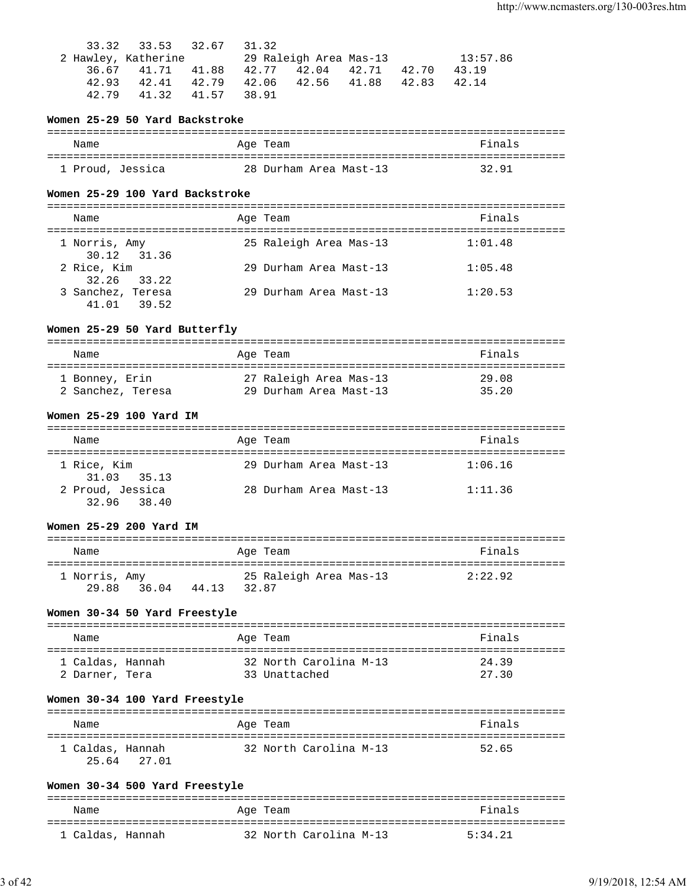|       | 33.32 33.53 32.67 | 31.32                                     |          |
|-------|-------------------|-------------------------------------------|----------|
|       |                   |                                           | 13:57.86 |
|       |                   | 36.67 41.71 41.88 42.77 42.04 42.71 42.70 | 43.19    |
| 42.93 |                   | 42.41 42.79 42.06 42.56 41.88 42.83       | 42.14    |
| 42.79 | 41.32 41.57 38.91 |                                           |          |

### **Women 25-29 50 Yard Backstroke**

| Name             | Age Team               | Finals |
|------------------|------------------------|--------|
| 1 Proud, Jessica | 28 Durham Area Mast-13 | 32.91  |

#### **Women 25-29 100 Yard Backstroke**

| Name                             | Age Team               | Finals  |
|----------------------------------|------------------------|---------|
| 1 Norris, Amy<br>30.12 31.36     | 25 Raleigh Area Mas-13 | 1:01.48 |
| 2 Rice, Kim<br>32.26 33.22       | 29 Durham Area Mast-13 | 1:05.48 |
| 3 Sanchez, Teresa<br>41.01 39.52 | 29 Durham Area Mast-13 | 1:20.53 |

## **Women 25-29 50 Yard Butterfly**

| Name           |                   | Age Team               | Finals |
|----------------|-------------------|------------------------|--------|
| 1 Bonney, Erin |                   | 27 Raleigh Area Mas-13 | 29.08  |
|                | 2 Sanchez, Teresa | 29 Durham Area Mast-13 | 35.20  |

#### **Women 25-29 100 Yard IM**

| Name                            | Age Team               | Finals  |
|---------------------------------|------------------------|---------|
| 1 Rice, Kim<br>$31.03$ $35.13$  | 29 Durham Area Mast-13 | 1:06.16 |
| 2 Proud, Jessica<br>32.96 38.40 | 28 Durham Area Mast-13 | 1:11.36 |

#### **Women 25-29 200 Yard IM**

| Finals<br>Name<br>Age Team<br>25 Raleigh Area Mas-13<br>2:22.92<br>1 Norris, Amy |       |       |  |
|----------------------------------------------------------------------------------|-------|-------|--|
|                                                                                  |       |       |  |
| 36.04<br>32.87                                                                   | 29 88 | 44.13 |  |

## **Women 30-34 50 Yard Freestyle**

| Name             | Age Team               | Finals |
|------------------|------------------------|--------|
| 1 Caldas, Hannah | 32 North Carolina M-13 | 24.39  |
| 2 Darner, Tera   | 33 Unattached          | 27.30  |

## **Women 30-34 100 Yard Freestyle**

| Name                            | Age Team |                        | Finals |
|---------------------------------|----------|------------------------|--------|
| 1 Caldas, Hannah<br>25.64 27.01 |          | 32 North Carolina M-13 | 52.65  |

#### **Women 30-34 500 Yard Freestyle**

| Name             | Age Team               | Finals  |
|------------------|------------------------|---------|
| 1 Caldas, Hannah | 32 North Carolina M-13 | 5:34.21 |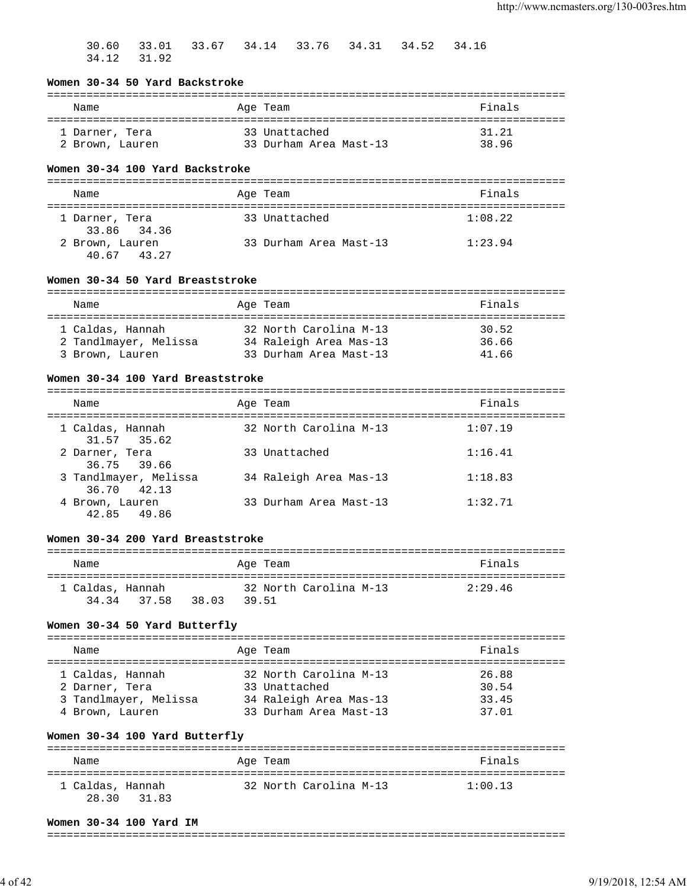|  |             |  | 30.60 33.01 33.67 34.14 33.76 34.31 34.52 34.16 |  |  |
|--|-------------|--|-------------------------------------------------|--|--|
|  | 34.12 31.92 |  |                                                 |  |  |

### **Women 30-34 50 Yard Backstroke**

| Name            | Age Team               | Finals |
|-----------------|------------------------|--------|
| 1 Darner, Tera  | 33 Unattached          | 31.21  |
| 2 Brown, Lauren | 33 Durham Area Mast-13 | 38.96  |

## **Women 30-34 100 Yard Backstroke**

| Name            | Age Team               | Finals  |
|-----------------|------------------------|---------|
|                 |                        |         |
| 1 Darner, Tera  | 33 Unattached          | 1:08.22 |
| 33.86 34.36     |                        |         |
| 2 Brown, Lauren | 33 Durham Area Mast-13 | 1:23.94 |
| 43.27<br>40.67  |                        |         |

# **Women 30-34 50 Yard Breaststroke**

| Name                  | Age Team               | Finals |
|-----------------------|------------------------|--------|
|                       |                        |        |
| 1 Caldas, Hannah      | 32 North Carolina M-13 | 30.52  |
| 2 Tandlmayer, Melissa | 34 Raleigh Area Mas-13 | 36.66  |
| 3 Brown, Lauren       | 33 Durham Area Mast-13 | 41.66  |

## **Women 30-34 100 Yard Breaststroke**

| Name                                 | Age Team               | Finals  |
|--------------------------------------|------------------------|---------|
| 1 Caldas, Hannah<br>31.57 35.62      | 32 North Carolina M-13 | 1:07.19 |
| 2 Darner, Tera<br>36.75 39.66        | 33 Unattached          | 1:16.41 |
| 3 Tandlmayer, Melissa<br>36.70 42.13 | 34 Raleigh Area Mas-13 | 1:18.83 |
| 4 Brown, Lauren<br>42.85 49.86       | 33 Durham Area Mast-13 | 1:32.71 |

# **Women 30-34 200 Yard Breaststroke**

| Name             |             |       | Age Team                        |  | Finals  |
|------------------|-------------|-------|---------------------------------|--|---------|
| 1 Caldas, Hannah | 34.34 37.58 | 38.03 | 32 North Carolina M-13<br>39.51 |  | 2:29.46 |

# **Women 30-34 50 Yard Butterfly**

| Name                                                                           | Age Team                                                                                    | Finals                           |
|--------------------------------------------------------------------------------|---------------------------------------------------------------------------------------------|----------------------------------|
| 1 Caldas, Hannah<br>2 Darner, Tera<br>3 Tandlmayer, Melissa<br>4 Brown, Lauren | 32 North Carolina M-13<br>33 Unattached<br>34 Raleigh Area Mas-13<br>33 Durham Area Mast-13 | 26.88<br>30.54<br>33.45<br>37.01 |
|                                                                                |                                                                                             |                                  |

# **Women 30-34 100 Yard Butterfly**

| Name                               | Age Team               | Finals  |
|------------------------------------|------------------------|---------|
| 1 Caldas, Hannah<br>28.30<br>31.83 | 32 North Carolina M-13 | 1:00.13 |

# **Women 30-34 100 Yard IM**

===============================================================================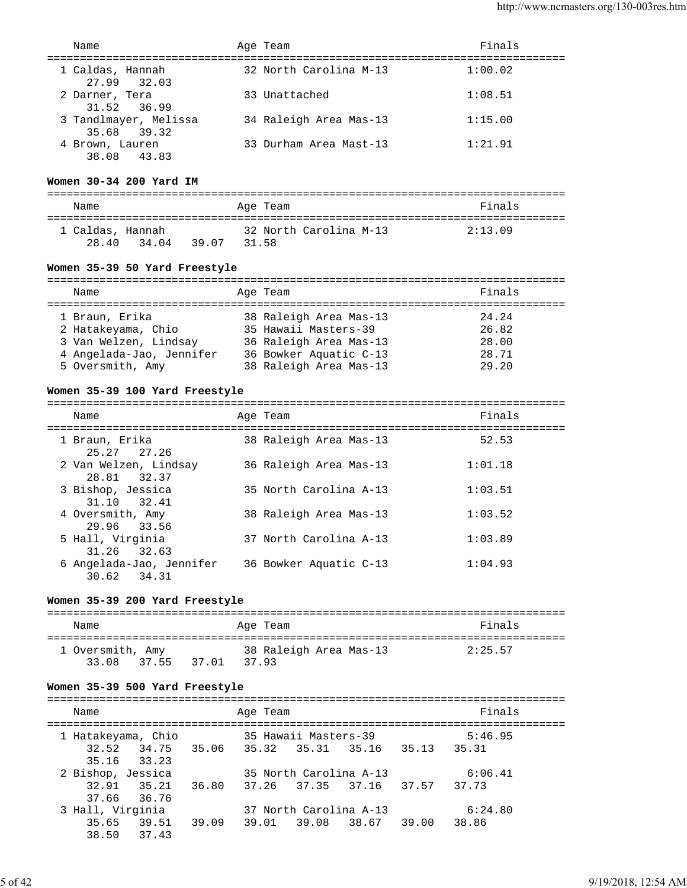| Name                                 | Age Team               | Finals  |
|--------------------------------------|------------------------|---------|
| 1 Caldas, Hannah<br>27.99 32.03      | 32 North Carolina M-13 | 1:00.02 |
| 2 Darner, Tera<br>31.52 36.99        | 33 Unattached          | 1:08.51 |
| 3 Tandlmayer, Melissa<br>35.68 39.32 | 34 Raleigh Area Mas-13 | 1:15.00 |
| 4 Brown, Lauren<br>38.08 43.83       | 33 Durham Area Mast-13 | 1:21.91 |

#### **Women 30-34 200 Yard IM**

| Name                      |       |       | Age Team |                        | Finals  |
|---------------------------|-------|-------|----------|------------------------|---------|
| 1 Caldas, Hannah<br>28.40 | 34.04 | 39 07 | 31.58    | 32 North Carolina M-13 | 2:13.09 |

## **Women 35-39 50 Yard Freestyle**

| Name                     |  | Age Team               | Finals |  |  |  |  |  |
|--------------------------|--|------------------------|--------|--|--|--|--|--|
|                          |  |                        |        |  |  |  |  |  |
| 1 Braun, Erika           |  | 38 Raleigh Area Mas-13 | 24.24  |  |  |  |  |  |
| 2 Hatakeyama, Chio       |  | 35 Hawaii Masters-39   | 26.82  |  |  |  |  |  |
| 3 Van Welzen, Lindsay    |  | 36 Raleigh Area Mas-13 | 28.00  |  |  |  |  |  |
| 4 Angelada-Jao, Jennifer |  | 36 Bowker Aquatic C-13 | 28.71  |  |  |  |  |  |
| 5 Oversmith, Amy         |  | 38 Raleigh Area Mas-13 | 29.20  |  |  |  |  |  |

## **Women 35-39 100 Yard Freestyle**

| Name                                    | Age Team               | Finals  |
|-----------------------------------------|------------------------|---------|
| 1 Braun, Erika<br>25.27 27.26           | 38 Raleigh Area Mas-13 | 52.53   |
| 2 Van Welzen, Lindsay<br>28.81 32.37    | 36 Raleigh Area Mas-13 | 1:01.18 |
| 3 Bishop, Jessica<br>31.10 32.41        | 35 North Carolina A-13 | 1:03.51 |
| 4 Oversmith, Amy<br>29.96 33.56         | 38 Raleigh Area Mas-13 | 1:03.52 |
| 5 Hall, Virginia<br>31.26 32.63         | 37 North Carolina A-13 | 1:03.89 |
| 6 Angelada-Jao, Jennifer<br>30.62 34.31 | 36 Bowker Aquatic C-13 | 1:04.93 |

## **Women 35-39 200 Yard Freestyle**

| Name             | Age Team               | Finals  |
|------------------|------------------------|---------|
| 1 Oversmith, Amy | 38 Raleigh Area Mas-13 | 2:25.57 |
| 33.08 37.55      | 37.01<br>3793          |         |

## **Women 35-39 500 Yard Freestyle**

| Name               | Age Team                            |                         |       | Finals  |  |
|--------------------|-------------------------------------|-------------------------|-------|---------|--|
| 1 Hatakeyama, Chio |                                     | 35 Hawaii Masters-39    |       | 5:46.95 |  |
|                    | 32.52 34.75 35.06 35.32 35.31 35.16 |                         | 35.13 | 35.31   |  |
| 35.16 33.23        |                                     |                         |       |         |  |
| 2 Bishop, Jessica  |                                     | 35 North Carolina A-13  |       | 6:06.41 |  |
| 32.91 35.21        | 36.80                               | 37.26 37.35 37.16 37.57 |       | 37.73   |  |
| 37.66 36.76        |                                     |                         |       |         |  |
| 3 Hall, Virginia   |                                     | 37 North Carolina A-13  |       | 6:24.80 |  |
| 35.65 39.51        | 39.09                               | 39.01 39.08 38.67       | 39.00 | 38.86   |  |
| 38.50 37.43        |                                     |                         |       |         |  |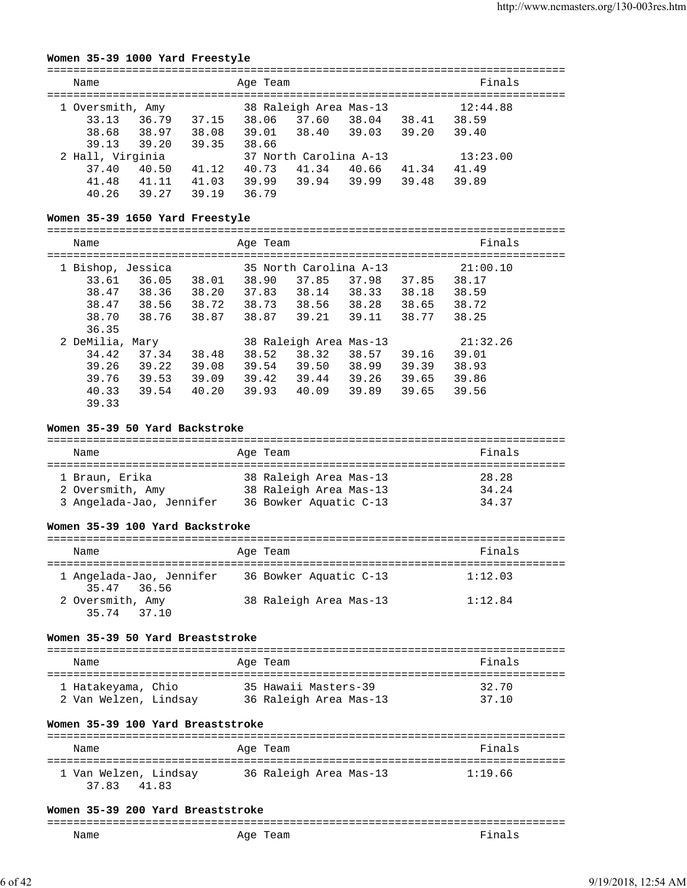#### **Women 35-39 1000 Yard Freestyle**

| Name             |       |       | Age Team |                        |       |       | Finals   |  |
|------------------|-------|-------|----------|------------------------|-------|-------|----------|--|
| 1 Oversmith, Amy |       |       |          | 38 Raleigh Area Mas-13 |       |       | 12:44.88 |  |
| 33.13            | 36.79 | 37.15 | 38.06    | 37.60                  | 38.04 | 38.41 | 38.59    |  |
| 38.68            | 38.97 | 38.08 | 39.01    | 38.40                  | 39.03 | 39.20 | 39.40    |  |
| 39.13            | 39.20 | 39.35 | 38.66    |                        |       |       |          |  |
| 2 Hall, Virginia |       |       |          | 37 North Carolina A-13 |       |       | 13:23.00 |  |
| 37.40            | 40.50 | 41.12 | 40.73    | 41.34                  | 40.66 | 41.34 | 41.49    |  |
| 41.48            | 41.11 | 41.03 | 39.99    | 39.94                  | 39.99 | 39.48 | 39.89    |  |
| 40.26            | 39.27 | 39.19 | 36.79    |                        |       |       |          |  |

# **Women 35-39 1650 Yard Freestyle**

| MOMEN 23-33 1830 IAIQ FIEESLYIE |       |       |          |                        |       |       |          |  |
|---------------------------------|-------|-------|----------|------------------------|-------|-------|----------|--|
| Name                            |       |       | Age Team |                        |       |       | Finals   |  |
| 1 Bishop, Jessica               |       |       |          | 35 North Carolina A-13 |       |       | 21:00.10 |  |
| 33.61                           | 36.05 | 38.01 | 38.90    | 37.85                  | 37.98 | 37.85 | 38.17    |  |
| 38.47                           | 38.36 | 38.20 | 37.83    | 38.14                  | 38.33 | 38.18 | 38.59    |  |
| 38.47                           | 38.56 | 38.72 | 38.73    | 38.56                  | 38.28 | 38.65 | 38.72    |  |
| 38.70                           | 38.76 | 38.87 | 38.87    | 39.21                  | 39.11 | 38.77 | 38.25    |  |
| 36.35                           |       |       |          |                        |       |       |          |  |
| 2 DeMilia, Mary                 |       |       |          | 38 Raleigh Area Mas-13 |       |       | 21:32.26 |  |
| 34.42                           | 37.34 | 38.48 | 38.52    | 38.32                  | 38.57 | 39.16 | 39.01    |  |
| 39.26                           | 39.22 | 39.08 | 39.54    | 39.50                  | 38.99 | 39.39 | 38.93    |  |
| 39.76                           | 39.53 | 39.09 | 39.42    | 39.44                  | 39.26 | 39.65 | 39.86    |  |
| 40.33                           | 39.54 | 40.20 | 39.93    | 40.09                  | 39.89 | 39.65 | 39.56    |  |

#### **Women 35-39 50 Yard Backstroke**

39.33

| Name                     | Age Team               | Finals |
|--------------------------|------------------------|--------|
| 1 Braun, Erika           | 38 Raleigh Area Mas-13 | 28.28  |
| 2 Oversmith, Amy         | 38 Raleigh Area Mas-13 | 34.24  |
| 3 Angelada-Jao, Jennifer | 36 Bowker Aquatic C-13 | 34.37  |

#### **Women 35-39 100 Yard Backstroke**

| Name                                           | Age Team               | Finals  |
|------------------------------------------------|------------------------|---------|
| 1 Angelada-Jao, Jennifer                       | 36 Bowker Aquatic C-13 | 1:12.03 |
| 35.47 36.56<br>2 Oversmith, Amy<br>35.74 37.10 | 38 Raleigh Area Mas-13 | 1:12.84 |

#### **Women 35-39 50 Yard Breaststroke**

| Name                  | Age Team               | Finals |
|-----------------------|------------------------|--------|
| 1 Hatakeyama, Chio    | 35 Hawaii Masters-39   | 32.70  |
| 2 Van Welzen, Lindsay | 36 Raleigh Area Mas-13 | 37 10  |

#### **Women 35-39 100 Yard Breaststroke**

| Name                                    | Age Team               | Finals  |
|-----------------------------------------|------------------------|---------|
| 1 Van Welzen, Lindsay<br>37 83<br>41.83 | 36 Raleigh Area Mas-13 | 1:19.66 |

#### **Women 35-39 200 Yard Breaststroke**

| ----<br>___ |             |    |
|-------------|-------------|----|
| Name        | Age<br>'eam | na |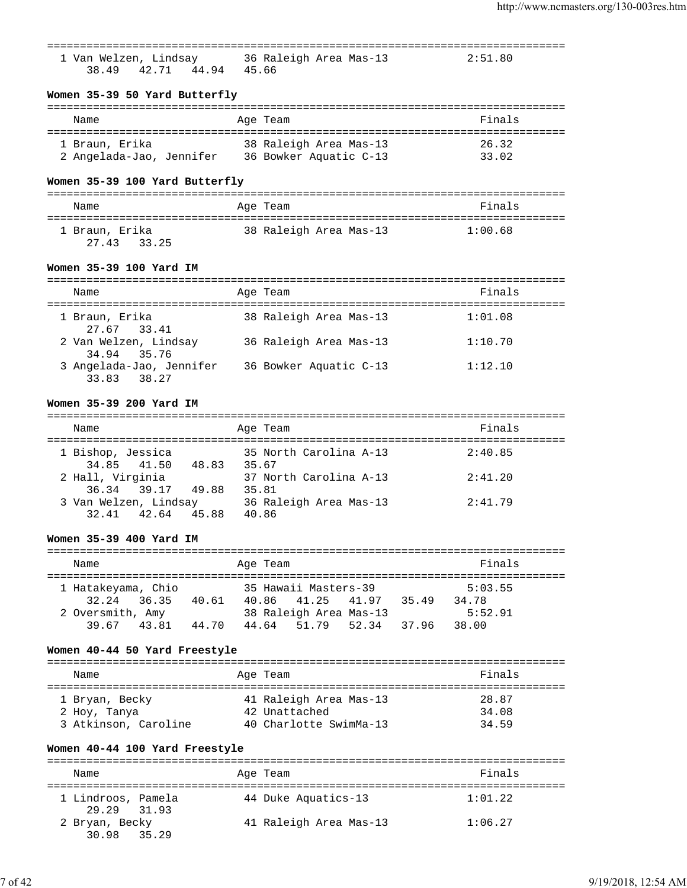|                                                                |                                                                                 | ___________________________________ |
|----------------------------------------------------------------|---------------------------------------------------------------------------------|-------------------------------------|
|                                                                | 1 Van Welzen, Lindsay 36 Raleigh Area Mas-13 2:51.80<br>38.49 42.71 44.94 45.66 |                                     |
| Women 35-39 50 Yard Butterfly                                  |                                                                                 |                                     |
|                                                                |                                                                                 |                                     |
| Name                                                           | Age Team                                                                        | Finals                              |
| 1 Braun, Erika                                                 | 38 Raleigh Area Mas-13                                                          | 26.32                               |
| 2 Angelada-Jao, Jennifer 36 Bowker Aquatic C-13                |                                                                                 | 33.02                               |
|                                                                |                                                                                 |                                     |
| Women 35-39 100 Yard Butterfly                                 |                                                                                 |                                     |
| Name                                                           | Age Team                                                                        | Finals                              |
|                                                                |                                                                                 |                                     |
| 1 Braun, Erika<br>27.43 33.25                                  | 38 Raleigh Area Mas-13 1:00.68                                                  |                                     |
|                                                                |                                                                                 |                                     |
| Women 35-39 100 Yard IM                                        |                                                                                 |                                     |
| Name<br>===================================                    | Age Team<br>=============================                                       | Finals                              |
| 1 Braun, Erika                                                 | 38 Raleigh Area Mas-13                                                          | 1:01.08                             |
| 27.67 33.41<br>2 Van Welzen, Lindsay 36 Raleigh Area Mas-13    |                                                                                 | 1:10.70                             |
| 34.94 35.76                                                    |                                                                                 |                                     |
| 3 Angelada-Jao, Jennifer 36 Bowker Aquatic C-13<br>33.83 38.27 |                                                                                 | 1:12.10                             |
| Women 35-39 200 Yard IM                                        |                                                                                 |                                     |
|                                                                |                                                                                 |                                     |
| Name                                                           | Age Team                                                                        | Finals                              |
| 34.85 41.50 48.83 35.67                                        | 1 Bishop, Jessica                           35 North Carolina A-13              | 2:40.85                             |
| 2 Hall, Virginia                                               |                                                                                 | 2:41.20                             |

# 36.34 39.17 49.88 35.81 3 Van Welzen, Lindsay 36 Raleigh Area Mas-13 2:41.79 32.41 42.64 45.88 40.86

# **Women 35-39 400 Yard IM**

| Name                                                  | Age Team                                                               |               | Finals                      |
|-------------------------------------------------------|------------------------------------------------------------------------|---------------|-----------------------------|
| 1 Hatakeyama, Chio<br>32.24 36.35<br>2 Oversmith, Amy | 35 Hawaii Masters-39<br>40.61<br>40.86 41.25<br>38 Raleigh Area Mas-13 | 41.97<br>3549 | 5:03.55<br>34.78<br>5:52.91 |
| 39 67 43 81                                           | 44.70<br>44.64 51.79 52.34                                             | 3796          | 38.00                       |

# **Women 40-44 50 Yard Freestyle**

| Name                 | Age Team               | Finals |
|----------------------|------------------------|--------|
| 1 Bryan, Becky       | 41 Raleigh Area Mas-13 | 28.87  |
| 2 Hoy, Tanya         | 42 Unattached          | 34.08  |
| 3 Atkinson, Caroline | 40 Charlotte SwimMa-13 | 34 59  |

# **Women 40-44 100 Yard Freestyle**

| Name                              | Age Team               | Finals  |
|-----------------------------------|------------------------|---------|
| 1 Lindroos, Pamela<br>29.29 31.93 | 44 Duke Aquatics-13    | 1:01.22 |
| 2 Bryan, Becky<br>30.98 35.29     | 41 Raleigh Area Mas-13 | 1:06.27 |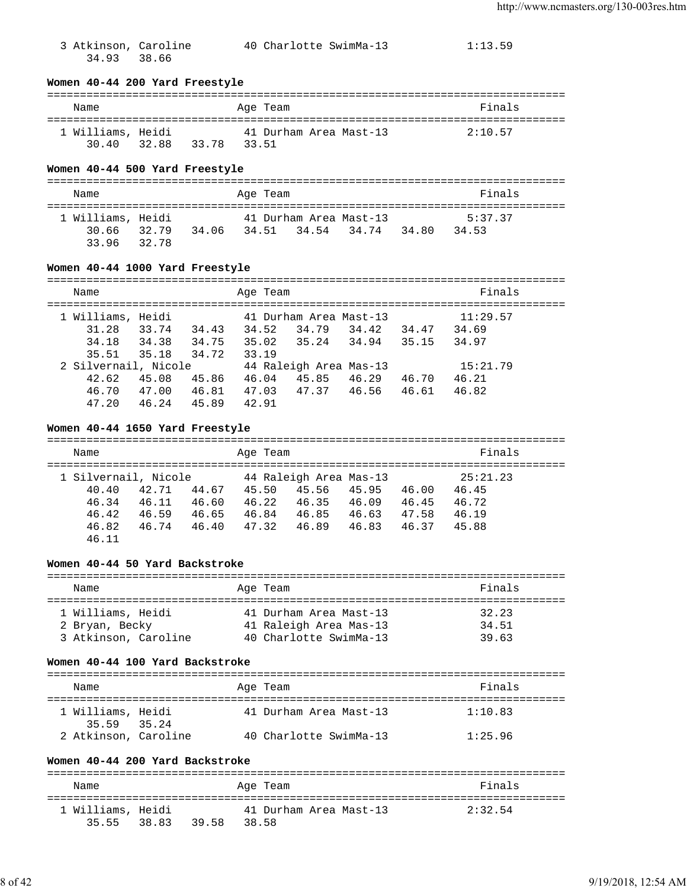3 Atkinson, Caroline 40 Charlotte SwimMa-13 1:13.59 34.93 38.66

## **Women 40-44 200 Yard Freestyle**

#### =============================================================================== Name **Age Team** Age Team **Finals** =============================================================================== 41 Durham Area Mast-13 2:10.57 30.40 32.88 33.78 33.51

#### **Women 40-44 500 Yard Freestyle**

| Name                       |       | Age Team |                        |       | Finals  |
|----------------------------|-------|----------|------------------------|-------|---------|
| 1 Williams, Heidi          |       |          | 41 Durham Area Mast-13 |       | 5:37.37 |
| 30.66 32.79<br>33.96 32.78 | 34.06 |          | 34.51 34.54 34.74      | 34.80 | 34.53   |

#### **Women 40-44 1000 Yard Freestyle**

| Name                 |       |       | Age Team |                        |       |       | Finals   |  |
|----------------------|-------|-------|----------|------------------------|-------|-------|----------|--|
| 1 Williams, Heidi    |       |       |          | 41 Durham Area Mast-13 |       |       | 11:29.57 |  |
| 31.28                | 33.74 | 34.43 | 34.52    | 34.79                  | 34.42 | 34.47 | 34.69    |  |
| 34.18                | 34.38 | 34.75 | 35.02    | 35.24                  | 34.94 | 35.15 | 34.97    |  |
| 35.51                | 35.18 | 34.72 | 33.19    |                        |       |       |          |  |
| 2 Silvernail, Nicole |       |       |          | 44 Raleigh Area Mas-13 |       |       | 15:21.79 |  |
| 42.62                | 45.08 | 45.86 | 46.04    | 45.85                  | 46.29 | 46.70 | 46.21    |  |
| 46.70                | 47.00 | 46.81 | 47.03    | 47.37                  | 46.56 | 46.61 | 46.82    |  |
| 47.20                | 46.24 | 45.89 | 42.91    |                        |       |       |          |  |

#### **Women 40-44 1650 Yard Freestyle**

| Name                                                                                                                                      | Age Team                                                                                       | Finals                                                                                                               |
|-------------------------------------------------------------------------------------------------------------------------------------------|------------------------------------------------------------------------------------------------|----------------------------------------------------------------------------------------------------------------------|
| 1 Silvernail, Nicole<br>42.71<br>40.40<br>44.67<br>46.34<br>46.11<br>46.60<br>46.42<br>46.65<br>46.59<br>46.82<br>46.40<br>46.74<br>46.11 | 44 Raleigh Area Mas-13<br>45.56<br>45.50<br>46.35<br>46.22<br>46.85<br>46.84<br>47.32<br>46.89 | 25:21.23<br>45.95<br>46.00<br>46.45<br>46.72<br>46.45<br>46.09<br>47.58<br>46.19<br>46.63<br>45.88<br>46.83<br>46.37 |

#### **Women 40-44 50 Yard Backstroke**

#### =============================================================================== Name **Age Team Age Team Age Team Primals** =============================================================================== 1 Williams, Heidi 41 Durham Area Mast-13 32.23 2 Bryan, Becky 41 Raleigh Area Mas-13 34.51 3 Atkinson, Caroline 40 Charlotte SwimMa-13 39.63

#### **Women 40-44 100 Yard Backstroke**

| Name                             |  | Age Team               | Finals  |
|----------------------------------|--|------------------------|---------|
| 1 Williams, Heidi<br>35.59 35.24 |  | 41 Durham Area Mast-13 | 1:10.83 |
| 2 Atkinson, Caroline             |  | 40 Charlotte SwimMa-13 | 1:25.96 |

#### **Women 40-44 200 Yard Backstroke**

| Name                             |       | Age Team                        | Finals  |
|----------------------------------|-------|---------------------------------|---------|
| 1 Williams, Heidi<br>35.55 38.83 | 39.58 | 41 Durham Area Mast-13<br>38.58 | 2:32.54 |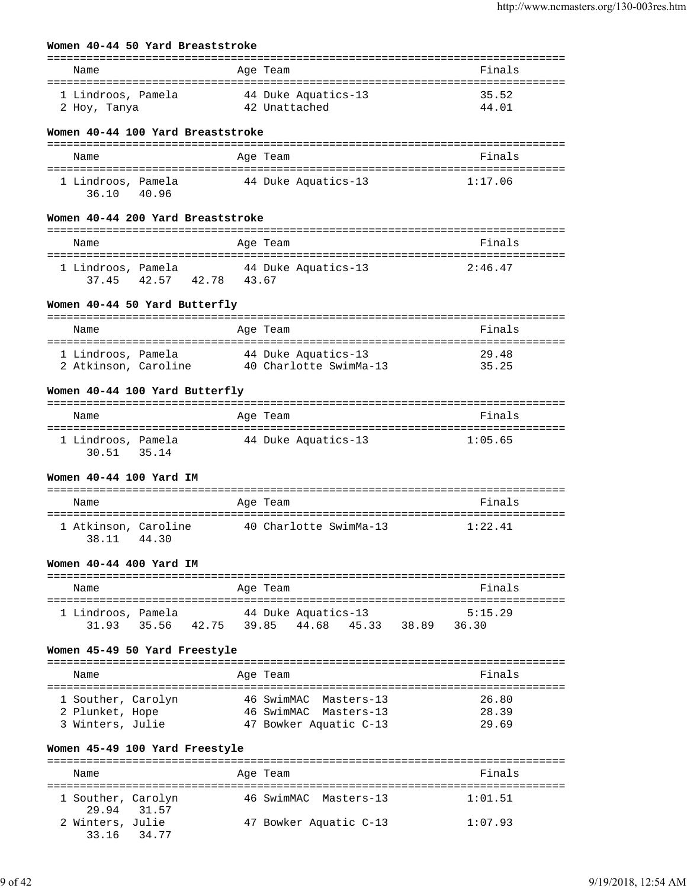## **Women 40-44 50 Yard Breaststroke**

|                                                                   |                                                      | ======================== |
|-------------------------------------------------------------------|------------------------------------------------------|--------------------------|
| Name                                                              | Age Team                                             | Finals                   |
| 1 Lindroos, Pamela<br>2 Hoy, Tanya                                | 44 Duke Aquatics-13<br>42 Unattached                 | 35.52<br>44.01           |
| Women 40-44 100 Yard Breaststroke                                 |                                                      |                          |
|                                                                   |                                                      |                          |
| Name                                                              | Age Team                                             | Finals                   |
| 1 Lindroos, Pamela<br>40.96<br>36.10                              | 44 Duke Aquatics-13                                  | 1:17.06                  |
| Women 40-44 200 Yard Breaststroke                                 |                                                      |                          |
| Name                                                              | Age Team                                             | Finals                   |
| 1 Lindroos, Pamela<br>42.57 42.78 43.67<br>37.45                  | 44 Duke Aquatics-13                                  | 2:46.47                  |
| Women 40-44 50 Yard Butterfly                                     |                                                      |                          |
| Name                                                              | Age Team                                             | Finals                   |
|                                                                   |                                                      |                          |
| 1 Lindroos, Pamela<br>2 Atkinson, Caroline 40 Charlotte SwimMa-13 | 44 Duke Aquatics-13                                  | 29.48<br>35.25           |
| Women 40-44 100 Yard Butterfly                                    |                                                      |                          |
| Name                                                              | Aqe Team                                             | Finals                   |
| --------------------<br>1 Lindroos, Pamela<br>30.51 35.14         | ----------------<br>44 Duke Aquatics-13              | 1:05.65                  |
| Women 40-44 100 Yard IM                                           |                                                      |                          |
| Name                                                              | Age Team                                             | Finals                   |
|                                                                   |                                                      |                          |
| 1 Atkinson, Caroline<br>44.30<br>38.11                            | 40 Charlotte SwimMa-13                               | 1:22.41                  |
| Women 40-44 400 Yard IM                                           |                                                      |                          |
| Name                                                              | Age Team                                             | Finals                   |
| 1 Lindroos, Pamela<br>35.56 42.75<br>31.93                        | 44 Duke Aquatics-13<br>44.68<br>45.33 38.89<br>39.85 | 5:15.29<br>36.30         |
| Women 45-49 50 Yard Freestyle                                     |                                                      |                          |
| Name                                                              | Age Team                                             | Finals                   |
|                                                                   |                                                      | 26.80                    |
| 1 Souther, Carolyn<br>2 Plunket, Hope                             | 46 SwimMAC<br>Masters-13<br>46 SwimMAC Masters-13    | 28.39                    |
| 3 Winters, Julie                                                  | 47 Bowker Aquatic C-13                               | 29.69                    |
| Women 45-49 100 Yard Freestyle                                    |                                                      |                          |
| Name                                                              | Age Team                                             | Finals                   |
| 1 Souther, Carolyn<br>29.94<br>31.57                              | 46 SwimMAC Masters-13                                | 1:01.51                  |
| 2 Winters, Julie<br>33.16<br>34.77                                | 47 Bowker Aquatic C-13                               | 1:07.93                  |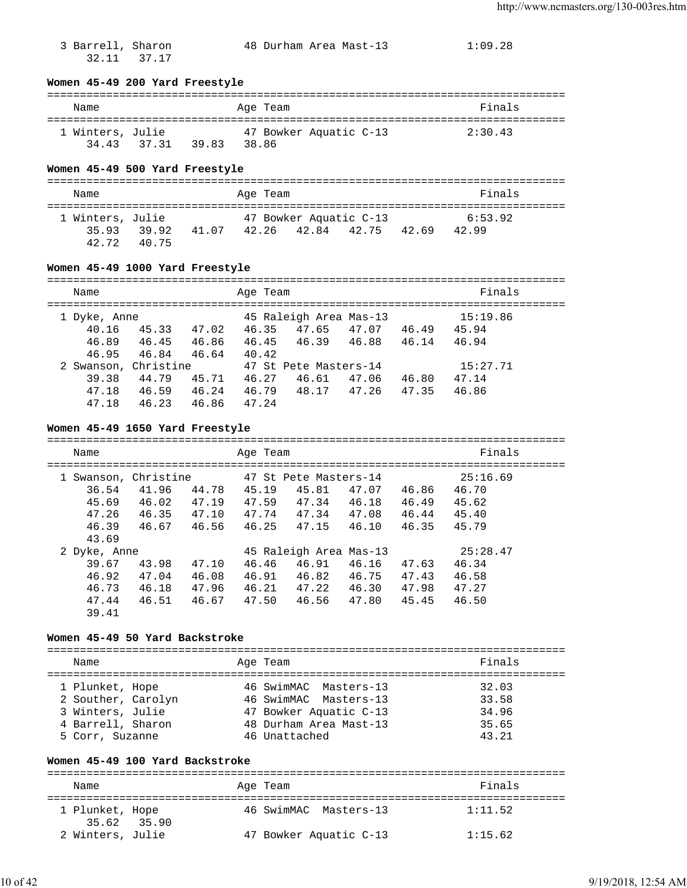32.11 37.17

3 Barrell, Sharon 48 Durham Area Mast-13 1:09.28

#### **Women 45-49 200 Yard Freestyle**

#### =============================================================================== Name **Age Team** Age Team **Finals** =============================================================================== 1 Winters, Julie 47 Bowker Aquatic C-13 2:30.43

#### **Women 45-49 500 Yard Freestyle**

34.43 37.31 39.83 38.86

| Name             |                |       | Age Team |                        |       | Finals  |  |
|------------------|----------------|-------|----------|------------------------|-------|---------|--|
| 1 Winters, Julie |                |       |          | 47 Bowker Aquatic C-13 |       | 6:53.92 |  |
| 3593<br>42.72    | 39.92<br>40.75 | 41.07 |          | 42.26 42.84 42.75      | 42.69 | 42.99   |  |

#### **Women 45-49 1000 Yard Freestyle**

| Name                 |       |       | Age Team |                        |       |       | Finals   |  |
|----------------------|-------|-------|----------|------------------------|-------|-------|----------|--|
| 1 Dyke, Anne         |       |       |          | 45 Raleigh Area Mas-13 |       |       | 15:19.86 |  |
| 40.16                | 45.33 | 47.02 | 46.35    | 47.65                  | 47.07 | 46.49 | 45.94    |  |
| 46.89                | 46.45 | 46.86 | 46.45    | 46.39                  | 46.88 | 46.14 | 46.94    |  |
| 46.95                | 46.84 | 46.64 | 40.42    |                        |       |       |          |  |
| 2 Swanson, Christine |       |       |          | 47 St Pete Masters-14  |       |       | 15:27.71 |  |
| 39.38                | 44.79 | 45.71 | 46.27    | 46.61                  | 47.06 | 46.80 | 47.14    |  |
| 47.18                | 46.59 | 46.24 | 46.79    | 48.17                  | 47.26 | 47.35 | 46.86    |  |
| 47.18                | 46.23 | 46.86 | 47.24    |                        |       |       |          |  |

#### **Women 45-49 1650 Yard Freestyle**

| Name                                                               |                                  |                                  | Age Team                         |                                                            |                                  |                                  | Finals                                       |  |
|--------------------------------------------------------------------|----------------------------------|----------------------------------|----------------------------------|------------------------------------------------------------|----------------------------------|----------------------------------|----------------------------------------------|--|
| 1 Swanson, Christine<br>36.54<br>45.69<br>47.26<br>46.39           | 41.96<br>46.02<br>46.35<br>46.67 | 44.78<br>47.19<br>47.10<br>46.56 | 45.19<br>47.59<br>47.74<br>46.25 | 47 St Pete Masters-14<br>45.81<br>47.34<br>47.34<br>47.15  | 47.07<br>46.18<br>47.08<br>46.10 | 46.86<br>46.49<br>46.44<br>46.35 | 25:16.69<br>46.70<br>45.62<br>45.40<br>45.79 |  |
| 43.69<br>2 Dyke, Anne<br>39.67<br>46.92<br>46.73<br>47.44<br>39.41 | 43.98<br>47.04<br>46.18<br>46.51 | 47.10<br>46.08<br>47.96<br>46.67 | 46.46<br>46.91<br>46.21<br>47.50 | 45 Raleigh Area Mas-13<br>46.91<br>46.82<br>47.22<br>46.56 | 46.16<br>46.75<br>46.30<br>47.80 | 47.63<br>47.43<br>47.98<br>45.45 | 25:28.47<br>46.34<br>46.58<br>47.27<br>46.50 |  |

#### **Women 45-49 50 Yard Backstroke**

=============================================================================== Name Age Team Finals =============================================================================== 1 Plunket, Hope 46 SwimMAC Masters-13 32.03 2 Souther, Carolyn 46 SwimMAC Masters-13 33.58 3 Winters, Julie 47 Bowker Aquatic C-13 34.96 4 Barrell, Sharon 48 Durham Area Mast-13 35.65 5 Corr, Suzanne 46 Unattached 43.21

### **Women 45-49 100 Yard Backstroke**

| Name                           | Age Team               | Finals  |
|--------------------------------|------------------------|---------|
| 1 Plunket, Hope<br>35.62 35.90 | 46 SwimMAC Masters-13  | 1:11.52 |
| 2 Winters, Julie               | 47 Bowker Aquatic C-13 | 1:15.62 |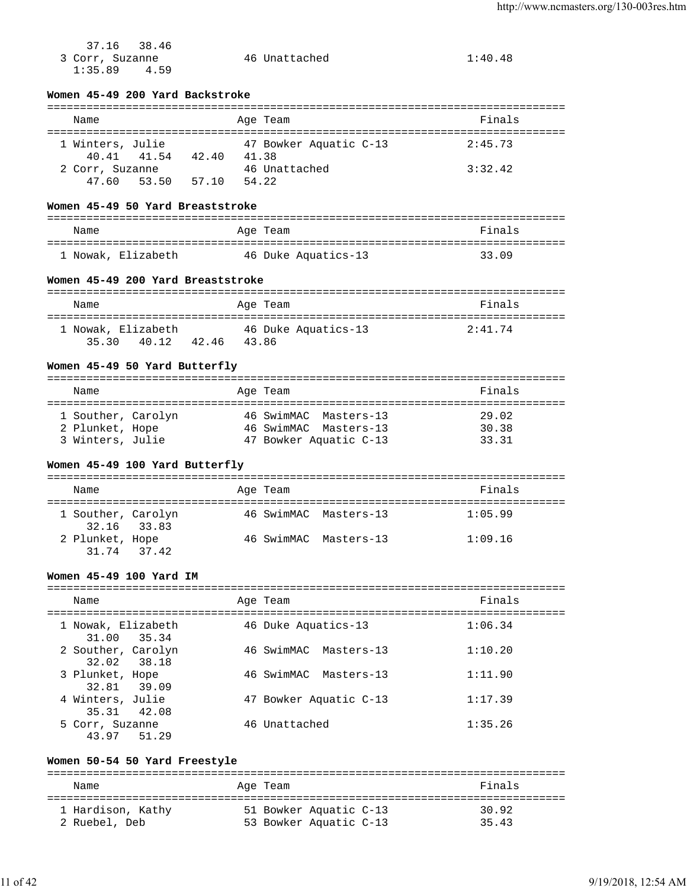| 37.16<br>38.46<br>3 Corr, Suzanne<br>1:35.89<br>4.59 | 46 Unattached                                   | 1:40.48                       |
|------------------------------------------------------|-------------------------------------------------|-------------------------------|
| Women 45-49 200 Yard Backstroke                      |                                                 |                               |
| Name                                                 | Age Team                                        | Finals                        |
| 1 Winters, Julie<br>40.41 41.54 42.40                | 47 Bowker Aquatic C-13<br>41.38                 | 2:45.73                       |
| 2 Corr, Suzanne<br>53.50 57.10<br>47.60              | 46 Unattached<br>54.22                          | 3:32.42                       |
| Women 45-49 50 Yard Breaststroke                     |                                                 |                               |
| Name                                                 | Age Team                                        | Finals                        |
| 1 Nowak, Elizabeth 46 Duke Aquatics-13               |                                                 | 33.09                         |
| Women 45-49 200 Yard Breaststroke                    |                                                 |                               |
| Name                                                 | Age Team                                        | Finals                        |
| 1 Nowak, Elizabeth<br>35.30 40.12 42.46 43.86        | 46 Duke Aquatics-13                             | 2:41.74                       |
| Women 45-49 50 Yard Butterfly                        |                                                 |                               |
| Name                                                 | Age Team                                        | Finals<br>=================== |
| 1 Souther, Carolyn                                   | 46 SwimMAC Masters-13                           | 29.02                         |
| 2 Plunket, Hope<br>3 Winters, Julie                  | 46 SwimMAC Masters-13<br>47 Bowker Aquatic C-13 | 30.38<br>33.31                |
| Women 45-49 100 Yard Butterfly                       |                                                 |                               |
| Name                                                 | Age Team                                        | Finals                        |
| 1 Souther, Carolyn<br>32.16<br>33.83                 | 46 SwimMAC Masters-13                           | 1:05.99                       |
| 2 Plunket, Hope<br>37.42<br>31.74                    | 46 SwimMAC<br>Masters-13                        | 1:09.16                       |
| Women 45-49 100 Yard IM                              |                                                 |                               |
| Name                                                 | Aqe Team                                        | Finals                        |
| 1 Nowak, Elizabeth<br>31.00<br>35.34                 | 46 Duke Aquatics-13                             | 1:06.34                       |
| 2 Souther, Carolyn<br>32.02<br>38.18                 | 46 SwimMAC Masters-13                           | 1:10.20                       |
| 3 Plunket, Hope<br>39.09<br>32.81                    | 46 SwimMAC<br>Masters-13                        | 1:11.90                       |
| 4 Winters, Julie<br>35.31<br>42.08                   | 47 Bowker Aquatic C-13                          | 1:17.39                       |
| 5 Corr, Suzanne<br>51.29<br>43.97                    | 46 Unattached                                   | 1:35.26                       |
| Women 50-54 50 Yard Freestyle                        |                                                 |                               |
| Name                                                 | Age Team                                        | Finals                        |

| 1 Hardison, Kathy | 51 Bowker Aquatic C-13 | 30.92 |
|-------------------|------------------------|-------|
| 2 Ruebel, Deb     | 53 Bowker Aquatic C-13 | 35.43 |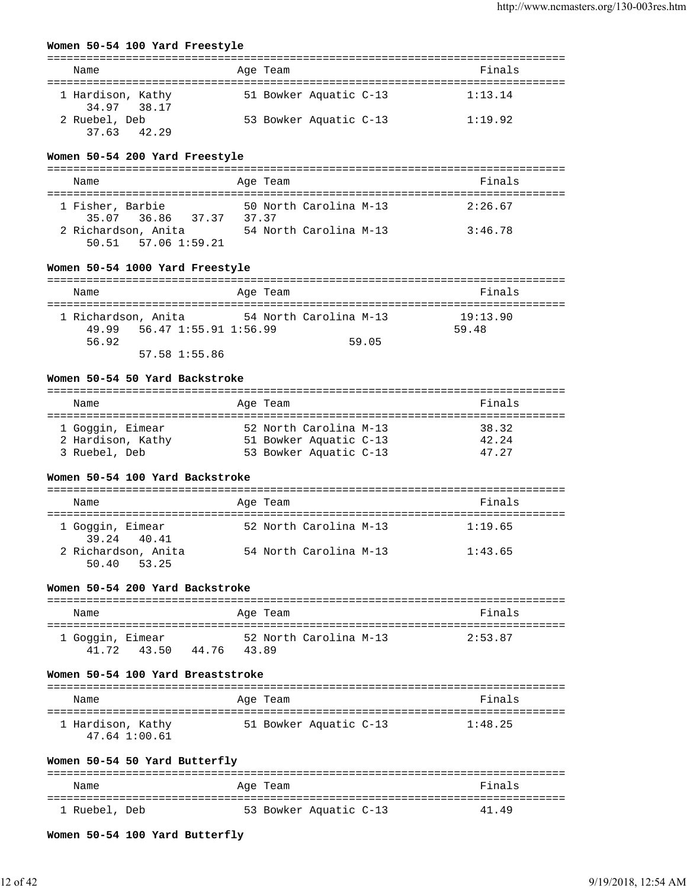### **Women 50-54 100 Yard Freestyle**

| Name                             | Age Team               | Finals  |
|----------------------------------|------------------------|---------|
| 1 Hardison, Kathy<br>34.97 38.17 | 51 Bowker Aquatic C-13 | 1:13.14 |
| 2 Ruebel, Deb<br>37.63 42.29     | 53 Bowker Aquatic C-13 | 1:19.92 |

### **Women 50-54 200 Yard Freestyle**

| Name                                             | Age Team                       | Finals  |
|--------------------------------------------------|--------------------------------|---------|
| 1 Fisher, Barbie<br>35.07 36.86 37.37            | 50 North Carolina M-13<br>3737 | 2:26.67 |
| 2 Richardson, Anita<br>$50.51$ $57.06$ $1:59.21$ | 54 North Carolina M-13         | 3:46.78 |

## **Women 50-54 1000 Yard Freestyle**

| Name                                                  | Age Team               | Finals            |
|-------------------------------------------------------|------------------------|-------------------|
| 1 Richardson, Anita<br>56.47 1:55.91 1:56.99<br>49.99 | 54 North Carolina M-13 | 19:13.90<br>59.48 |
| 56.92<br>57.58 1:55.86                                | 59.05                  |                   |

#### **Women 50-54 50 Yard Backstroke**

| Name                                  | Age Team                                         | Finals         |
|---------------------------------------|--------------------------------------------------|----------------|
| 1 Goggin, Eimear<br>2 Hardison, Kathy | 52 North Carolina M-13<br>51 Bowker Aquatic C-13 | 38.32<br>42.24 |
| 3 Ruebel, Deb                         | 53 Bowker Aquatic C-13                           | 47.27          |

# **Women 50-54 100 Yard Backstroke**

| Name                                  | Age Team               | Finals  |
|---------------------------------------|------------------------|---------|
| 1 Goggin, Eimear<br>39.24 40.41       | 52 North Carolina M-13 | 1:19.65 |
| 2 Richardson, Anita<br>50.40<br>53.25 | 54 North Carolina M-13 | 1:43.65 |

## **Women 50-54 200 Yard Backstroke**

| Name                      |       |       | Age Team |                        | Finals  |  |
|---------------------------|-------|-------|----------|------------------------|---------|--|
| 1 Goggin, Eimear<br>41.72 | 43.50 | 44.76 | 43.89    | 52 North Carolina M-13 | 2:53.87 |  |

## **Women 50-54 100 Yard Breaststroke**

| Name                                   | Age Team               | Finals  |
|----------------------------------------|------------------------|---------|
| 1 Hardison, Kathy<br>$47.64$ $1:00.61$ | 51 Bowker Aquatic C-13 | 1:48.25 |

# **Women 50-54 50 Yard Butterfly**

| Name          | Age Team               | Finals |
|---------------|------------------------|--------|
| 1 Ruebel, Deb | 53 Bowker Aquatic C-13 | 41 49  |

**Women 50-54 100 Yard Butterfly**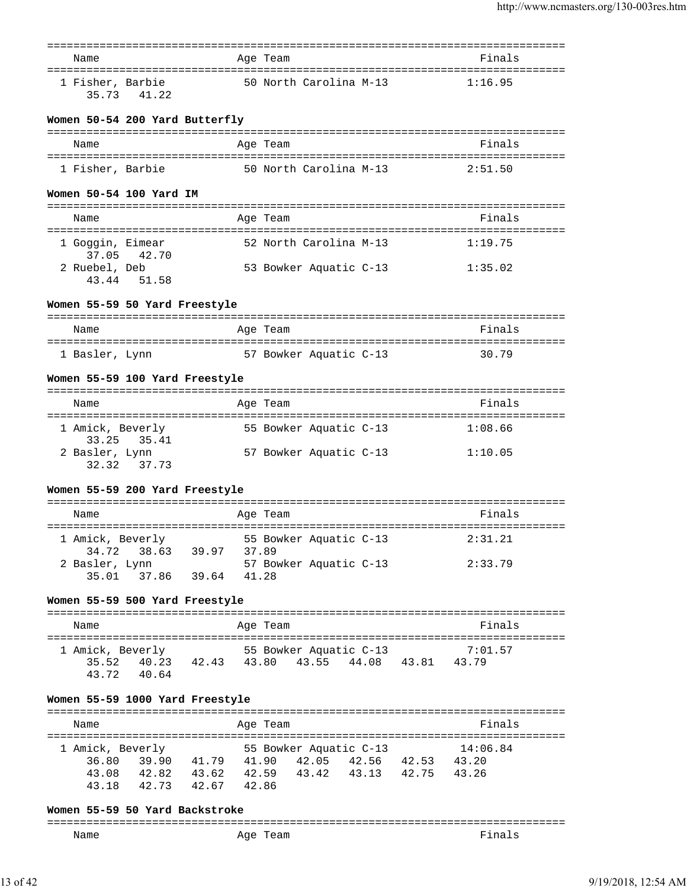| Name                      |                                           | ============<br>Age Team                                                  | ==============================<br>Finals |
|---------------------------|-------------------------------------------|---------------------------------------------------------------------------|------------------------------------------|
| 1 Fisher, Barbie<br>35.73 | 41.22                                     | 50 North Carolina M-13                                                    | 1:16.95                                  |
|                           | Women 50-54 200 Yard Butterfly            |                                                                           |                                          |
| Name                      |                                           | Age Team                                                                  | Finals                                   |
| 1 Fisher, Barbie          |                                           | 50 North Carolina M-13                                                    | 2:51.50                                  |
|                           | Women 50-54 100 Yard IM                   |                                                                           |                                          |
| Name                      |                                           | Age Team                                                                  | Finals                                   |
| 1 Goggin, Eimear          |                                           | 52 North Carolina M-13                                                    | 1:19.75                                  |
| 2 Ruebel, Deb             | 37.05 42.70<br>43.44 51.58                | 53 Bowker Aquatic C-13                                                    | 1:35.02                                  |
|                           | Women 55-59 50 Yard Freestyle             |                                                                           |                                          |
| Name                      |                                           | Age Team                                                                  | Finals                                   |
| 1 Basler, Lynn            | ====================================      | ------------------------------------<br>57 Bowker Aquatic C-13            | =========<br>30.79                       |
|                           | Women 55-59 100 Yard Freestyle            |                                                                           |                                          |
| Name                      |                                           | Age Team                                                                  | Finals                                   |
| 1 Amick, Beverly          |                                           | 55 Bowker Aquatic C-13                                                    | 1:08.66                                  |
| 33.25<br>2 Basler, Lynn   | 35.41<br>32.32 37.73                      | 57 Bowker Aquatic C-13                                                    | 1:10.05                                  |
|                           | Women 55-59 200 Yard Freestyle            |                                                                           |                                          |
| Name                      |                                           | ============<br>Age Team                                                  | Finals                                   |
| 1 Amick, Beverly          |                                           | 55 Bowker Aquatic C-13                                                    | 2:31.21                                  |
| 2 Basler, Lynn            | 34.72 38.63<br>39.97<br>35.01 37.86 39.64 | 37.89<br>57 Bowker Aquatic C-13                                           | 2:33.79                                  |
|                           |                                           | 41.28                                                                     |                                          |
|                           | Women 55-59 500 Yard Freestyle            |                                                                           |                                          |
| Name                      |                                           | Age Team                                                                  | Finals                                   |
| 1 Amick, Beverly          | 43.72 40.64                               | 55 Bowker Aquatic C-13<br>35.52 40.23 42.43 43.80 43.55 44.08 43.81 43.79 | 7:01.57                                  |
|                           | Women 55-59 1000 Yard Freestyle           |                                                                           |                                          |
|                           |                                           |                                                                           |                                          |
| Name                      |                                           | Age Team                                                                  | Finals                                   |
| 1 Amick, Beverly          |                                           | 55 Bowker Aquatic C-13                                                    | 14:06.84                                 |
|                           |                                           | 36.80 39.90 41.79 41.90 42.05 42.56 42.53 43.20                           |                                          |
|                           | 43.18 42.73 42.67 42.86                   | 43.08 42.82 43.62 42.59 43.42 43.13 42.75 43.26                           |                                          |
|                           | Women 55-59 50 Yard Backstroke            |                                                                           |                                          |
| Name                      |                                           | Age Team                                                                  | Finals                                   |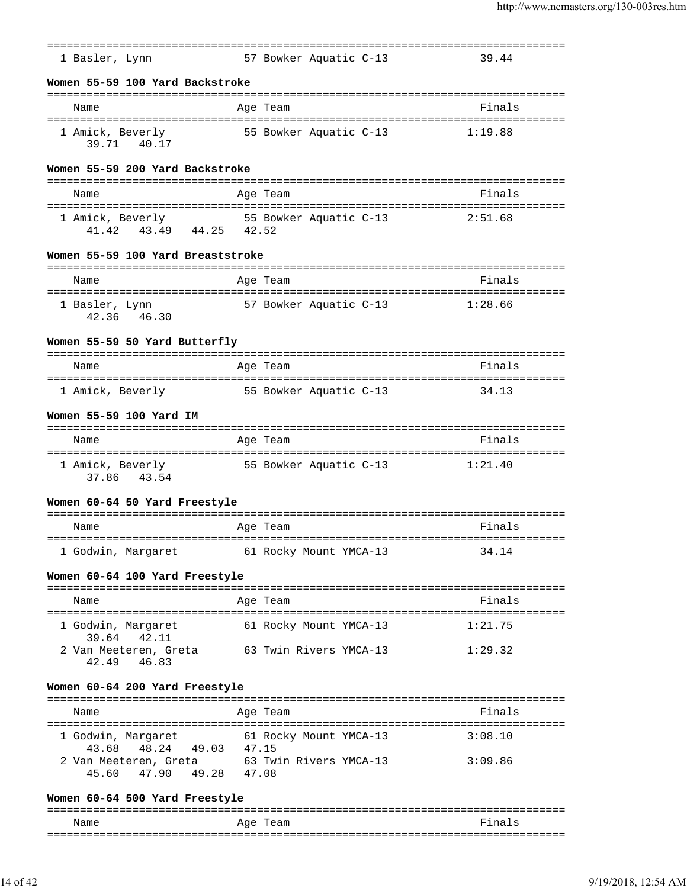| 1 Basler, Lynn<br>Name                                                  | 57 Bowker Aquatic C-13 | 39.44                                  |
|-------------------------------------------------------------------------|------------------------|----------------------------------------|
| Women 55-59 100 Yard Backstroke                                         |                        |                                        |
|                                                                         |                        |                                        |
|                                                                         | Age Team               | Finals                                 |
| 1 Amick, Beverly<br>39.71 40.17                                         | 55 Bowker Aquatic C-13 | 1:19.88                                |
| Women 55-59 200 Yard Backstroke                                         |                        |                                        |
| Name                                                                    | Age Team               | Finals                                 |
| 1 Amick, Beverly 55 Bowker Aquatic C-13<br>43.49 44.25 42.52<br>41.42   |                        | 2:51.68                                |
| Women 55-59 100 Yard Breaststroke                                       |                        |                                        |
| Name                                                                    | Age Team               | Finals                                 |
| 1 Basler, Lynn<br>42.36 46.30                                           | 57 Bowker Aquatic C-13 | 1:28.66                                |
| Women 55-59 50 Yard Butterfly                                           |                        |                                        |
| Name                                                                    | Age Team               | Finals                                 |
| ==================================<br>1 Amick, Beverly                  | 55 Bowker Aquatic C-13 | -----------------------------<br>34.13 |
| Women 55-59 100 Yard IM                                                 |                        |                                        |
| Name                                                                    | Age Team               | Finals                                 |
| 1 Amick, Beverly<br>37.86 43.54                                         | 55 Bowker Aquatic C-13 | 1:21.40                                |
| Women 60-64 50 Yard Freestyle                                           |                        |                                        |
| Name                                                                    | Age Team               | Finals                                 |
| 1 Godwin, Margaret                                                      | 61 Rocky Mount YMCA-13 | 34.14                                  |
| Women 60-64 100 Yard Freestyle                                          |                        |                                        |
| Name                                                                    | Age Team               | Finals                                 |
|                                                                         |                        |                                        |
| 1 Godwin, Margaret<br>39.64<br>42.11                                    | 61 Rocky Mount YMCA-13 | 1:21.75                                |
| 2 Van Meeteren, Greta 63 Twin Rivers YMCA-13<br>42.49 46.83             |                        | 1:29.32                                |
| Women 60-64 200 Yard Freestyle                                          |                        |                                        |
| Name                                                                    | Age Team               | Finals                                 |
|                                                                         |                        |                                        |
| 1 Godwin, Margaret 61 Rocky Mount YMCA-13<br>48.24 49.03 47.15<br>43.68 |                        | 3:08.10                                |
| 2 Van Meeteren, Greta 63 Twin Rivers YMCA-13<br>45.60 47.90 49.28 47.08 |                        | 3:09.86                                |
|                                                                         |                        |                                        |

| Name | Age Team | Fina<br>$\leq$ |
|------|----------|----------------|
|      |          |                |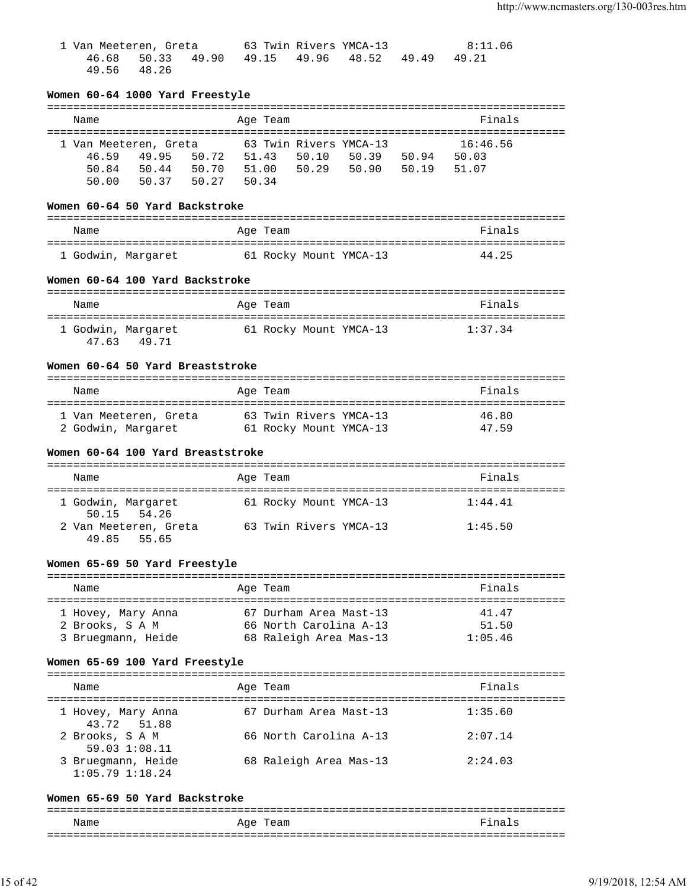| 1 Van Meeteren, Greta |  |                                                 | 63 Twin Rivers YMCA-13 | 8:11.06 |
|-----------------------|--|-------------------------------------------------|------------------------|---------|
|                       |  | 46.68 50.33 49.90 49.15 49.96 48.52 49.49 49.21 |                        |         |
| 49.56 48.26           |  |                                                 |                        |         |

| Name                                  | Age Team                                         | Finals            |
|---------------------------------------|--------------------------------------------------|-------------------|
|                                       | 1 Van Meeteren, Greta 63 Twin Rivers YMCA-13     | 16:46.56          |
| 46.59<br>49.95                        | 50.72 51.43<br>50.10                             | 50.39 50.94 50.03 |
| 50.84                                 |                                                  | 50.90 50.19 51.07 |
| 50.00                                 |                                                  |                   |
| Women 60-64 50 Yard Backstroke        |                                                  |                   |
| Name                                  | Age Team                                         | Finals            |
|                                       |                                                  |                   |
|                                       | 1 Godwin, Margaret 61 Rocky Mount YMCA-13        | 44.25             |
| Women 60-64 100 Yard Backstroke       |                                                  |                   |
| Name                                  | Age Team                                         | Finals            |
|                                       |                                                  |                   |
| 1 Godwin, Margaret                    | 61 Rocky Mount YMCA-13                           | 1:37.34           |
| 47.63<br>49.71                        |                                                  |                   |
| Women 60-64 50 Yard Breaststroke      |                                                  |                   |
| Name                                  | Age Team                                         | Finals            |
|                                       | 1 Van Meeteren, Greta 63 Twin Rivers YMCA-13     | 46.80             |
|                                       | 2 Godwin, Margaret 61 Rocky Mount YMCA-13        | 47.59             |
| Women 60-64 100 Yard Breaststroke     |                                                  |                   |
| Name                                  | Age Team                                         | Finals            |
| 1 Godwin, Margaret                    | 61 Rocky Mount YMCA-13                           | 1:44.41           |
| 50.15<br>54.26<br>49.85<br>55.65      | 2 Van Meeteren, Greta 63 Twin Rivers YMCA-13     | 1:45.50           |
| Women 65-69 50 Yard Freestyle         |                                                  |                   |
| Name                                  | Age Team                                         | Finals            |
|                                       |                                                  |                   |
| 1 Hovey, Mary Anna<br>2 Brooks, S A M | 67 Durham Area Mast-13<br>66 North Carolina A-13 | 41.47<br>51.50    |

### =============================================================================== Name **Age Team** Age Team **Finals** =============================================================================== 1 Hovey, Mary Anna 67 Durham Area Mast-13 1:35.60 43.72 51.88 2 Brooks, S A M 66 North Carolina A-13 2:07.14 59.03 1:08.11<br>3 Bruegmann, Heide 68 Raleigh Area Mas-13 2:24.03 1:05.79 1:18.24

#### **Women 65-69 50 Yard Backstroke**

=============================================================================== Name **Age Team** Age Team Finals ===============================================================================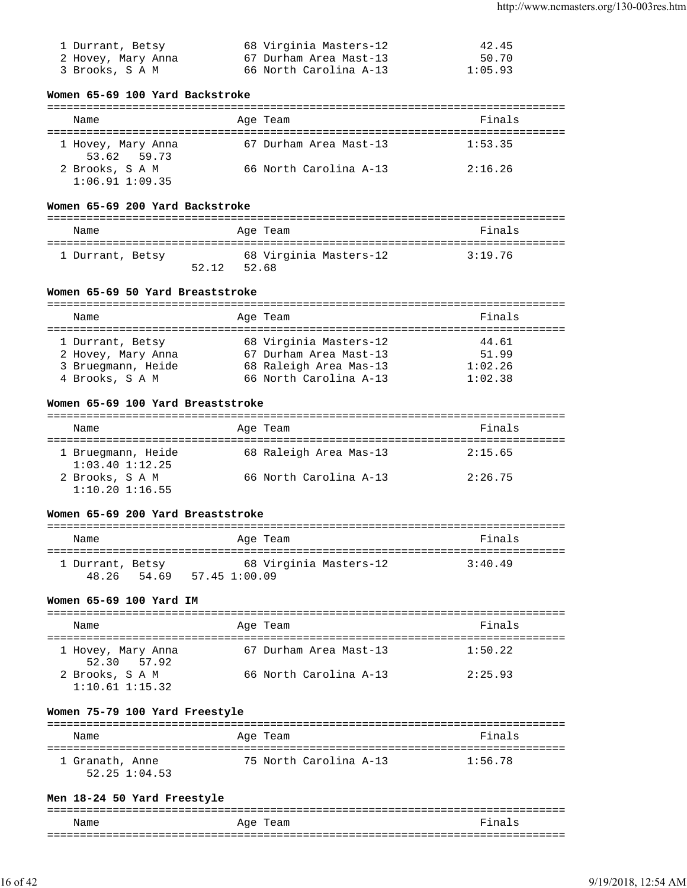| 1 Durrant, Betsy   | 68 Virginia Masters-12 | 42.45   |
|--------------------|------------------------|---------|
| 2 Hovey, Mary Anna | 67 Durham Area Mast-13 | 50.70   |
| 3 Brooks, S A M    | 66 North Carolina A-13 | 1:05.93 |

# **Women 65-69 100 Yard Backstroke**

| Name                                   | Age Team               | Finals  |
|----------------------------------------|------------------------|---------|
| 1 Hovey, Mary Anna<br>53.62 59.73      | 67 Durham Area Mast-13 | 1:53.35 |
| 2 Brooks, S A M<br>$1:06.91$ $1:09.35$ | 66 North Carolina A-13 | 2:16.26 |

# **Women 65-69 200 Yard Backstroke**

| Name             |       | Age Team                        | Finals  |
|------------------|-------|---------------------------------|---------|
| 1 Durrant, Betsy | 52.12 | 68 Virginia Masters-12<br>52.68 | 3:19.76 |

# **Women 65-69 50 Yard Breaststroke**

| Name                                                                            | Age Team                                                                                             | Finals                               |
|---------------------------------------------------------------------------------|------------------------------------------------------------------------------------------------------|--------------------------------------|
| 1 Durrant, Betsy<br>2 Hovey, Mary Anna<br>3 Bruegmann, Heide<br>4 Brooks, S A M | 68 Virginia Masters-12<br>67 Durham Area Mast-13<br>68 Raleigh Area Mas-13<br>66 North Carolina A-13 | 44.61<br>51.99<br>1:02.26<br>1:02.38 |

# **Women 65-69 100 Yard Breaststroke**

| Name                                      | Age Team               | Finals  |
|-------------------------------------------|------------------------|---------|
| 1 Bruegmann, Heide<br>$1:03.40$ $1:12.25$ | 68 Raleigh Area Mas-13 | 2:15.65 |
| 2 Brooks, S A M<br>$1:10.20$ $1:16.55$    | 66 North Carolina A-13 | 2:26.75 |

# **Women 65-69 200 Yard Breaststroke**

| Name                            |               | Age Team               | Finals  |
|---------------------------------|---------------|------------------------|---------|
| 1 Durrant, Betsy<br>48.26 54.69 | 57.45 1:00.09 | 68 Virginia Masters-12 | 3:40.49 |

# **Women 65-69 100 Yard IM**

| Name                                   | Age Team               | Finals  |
|----------------------------------------|------------------------|---------|
| 1 Hovey, Mary Anna<br>52.30 57.92      | 67 Durham Area Mast-13 | 1:50.22 |
| 2 Brooks, S A M<br>$1:10.61$ $1:15.32$ | 66 North Carolina A-13 | 2:25.93 |

# **Women 75-79 100 Yard Freestyle**

| Name                             | Age Team               | Finals  |
|----------------------------------|------------------------|---------|
| 1 Granath, Anne<br>52.25 1:04.53 | 75 North Carolina A-13 | 1:56.78 |

# **Men 18-24 50 Yard Freestyle**

| Name<br>____ | Age<br>'l'eam | $F^{\dagger}$ na<br>$\sim$ |
|--------------|---------------|----------------------------|
| __           |               |                            |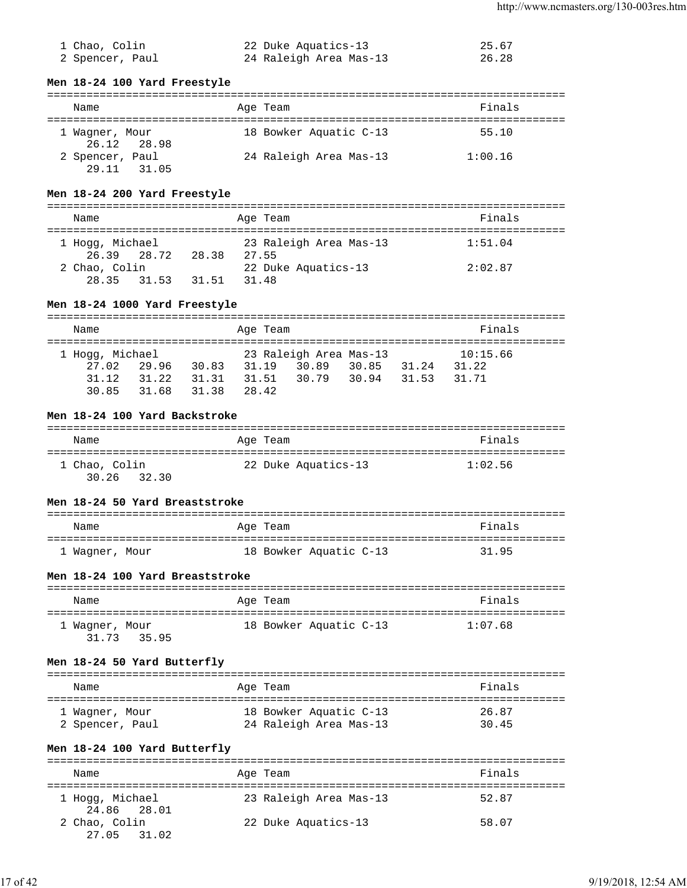| 1 Chao, Colin   | 22 Duke Aquatics-13    | 25.67 |
|-----------------|------------------------|-------|
| 2 Spencer, Paul | 24 Raleigh Area Mas-13 | 26.28 |

### **Men 18-24 100 Yard Freestyle**

| Name            |             | Age Team               | Finals  |
|-----------------|-------------|------------------------|---------|
| 1 Wagner, Mour  | 26.12 28.98 | 18 Bowker Aquatic C-13 | 55.10   |
| 2 Spencer, Paul | 29.11 31.05 | 24 Raleigh Area Mas-13 | 1:00.16 |

# **Men 18-24 200 Yard Freestyle**

| Name                                    | Age Team                        | Finals  |
|-----------------------------------------|---------------------------------|---------|
| 1 Hogg, Michael<br>26.39 28.72<br>28.38 | 23 Raleigh Area Mas-13<br>27.55 | 1:51.04 |
| 2 Chao, Colin                           | 22 Duke Aquatics-13             | 2:02.87 |
| 31.51<br>28.35<br>31.53                 | 31.48                           |         |

# **Men 18-24 1000 Yard Freestyle**

| Name            |       |       | Age Team |                        |       |       | Finals   |  |
|-----------------|-------|-------|----------|------------------------|-------|-------|----------|--|
|                 |       |       |          |                        |       |       |          |  |
| 1 Hogg, Michael |       |       |          | 23 Raleigh Area Mas-13 |       |       | 10:15.66 |  |
| 27.02           | 29.96 | 30.83 | 31.19    | 30.89                  | 30.85 | 31.24 | 31.22    |  |
| 31.12           | 31.22 | 31.31 | 31.51    | 30.79 30.94            |       | 31.53 | 31.71    |  |
| 30.85           | 31.68 | 31.38 | 28.42    |                        |       |       |          |  |

# **Men 18-24 100 Yard Backstroke**

| Name                         | Age Team            | Finals  |
|------------------------------|---------------------|---------|
| 1 Chao, Colin<br>30.26 32.30 | 22 Duke Aquatics-13 | 1:02.56 |

# **Men 18-24 50 Yard Breaststroke**

| Name           | Age Team               | Finals |
|----------------|------------------------|--------|
| 1 Waqner, Mour | 18 Bowker Aquatic C-13 | 31.95  |

# **Men 18-24 100 Yard Breaststroke**

| Name           |             | Age Team               | Finals  |
|----------------|-------------|------------------------|---------|
| 1 Waqner, Mour | 31.73 35.95 | 18 Bowker Aquatic C-13 | 1:07.68 |

### **Men 18-24 50 Yard Butterfly**

| Name            | Age Team               | Finals |
|-----------------|------------------------|--------|
| 1 Wagner, Mour  | 18 Bowker Aquatic C-13 | 26.87  |
| 2 Spencer, Paul | 24 Raleigh Area Mas-13 | 30.45  |

# **Men 18-24 100 Yard Butterfly**

| Name                           | Age Team               | Finals |
|--------------------------------|------------------------|--------|
| 1 Hogg, Michael<br>24.86 28.01 | 23 Raleigh Area Mas-13 | 52.87  |
| 2 Chao, Colin<br>27.05 31.02   | 22 Duke Aquatics-13    | 58.07  |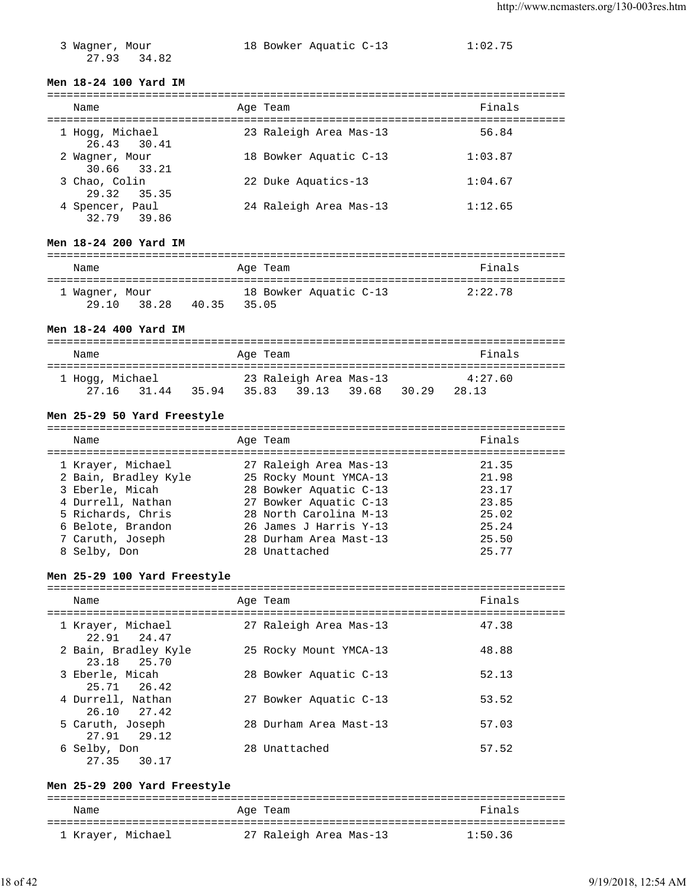27.93 34.82

3 Wagner, Mour 18 Bowker Aquatic C-13 1:02.75

### **Men 18-24 100 Yard IM**

| Name                           | Age Team               | Finals  |
|--------------------------------|------------------------|---------|
| 1 Hogg, Michael<br>26.43 30.41 | 23 Raleigh Area Mas-13 | 56.84   |
| 2 Wagner, Mour<br>30.66 33.21  | 18 Bowker Aquatic C-13 | 1:03.87 |
| 3 Chao, Colin<br>29.32 35.35   | 22 Duke Aquatics-13    | 1:04.67 |
| 4 Spencer, Paul<br>32.79 39.86 | 24 Raleigh Area Mas-13 | 1:12.65 |

## **Men 18-24 200 Yard IM**

| Name                    |       |       | Age Team |                        | Finals  |
|-------------------------|-------|-------|----------|------------------------|---------|
| 1 Wagner, Mour<br>29.10 | 38.28 | 40.35 | 35.05    | 18 Bowker Aquatic C-13 | 2:22.78 |

### **Men 18-24 400 Yard IM**

| Name            |       | Age Team |                        |       | Finals  |
|-----------------|-------|----------|------------------------|-------|---------|
| 1 Hogg, Michael |       |          | 23 Raleigh Area Mas-13 |       | 4:27.60 |
| 27.16 31.44     | 35.94 |          | 35.83 39.13 39.68      | 30.29 | 28.13   |

## **Men 25-29 50 Yard Freestyle**

| Name                 | Age Team               | Finals |
|----------------------|------------------------|--------|
| 1 Krayer, Michael    | 27 Raleigh Area Mas-13 | 21.35  |
| 2 Bain, Bradley Kyle | 25 Rocky Mount YMCA-13 | 21.98  |
| 3 Eberle, Micah      | 28 Bowker Aquatic C-13 | 23.17  |
| 4 Durrell, Nathan    | 27 Bowker Aquatic C-13 | 23.85  |
| 5 Richards, Chris    | 28 North Carolina M-13 | 25.02  |
| 6 Belote, Brandon    | 26 James J Harris Y-13 | 25.24  |
| 7 Caruth, Joseph     | 28 Durham Area Mast-13 | 25.50  |
| 8 Selby, Don         | 28 Unattached          | 25.77  |
|                      |                        |        |

### **Men 25-29 100 Yard Freestyle**

| Name                                | Age Team               | Finals |
|-------------------------------------|------------------------|--------|
| 1 Krayer, Michael<br>22.91 24.47    | 27 Raleigh Area Mas-13 | 47.38  |
| 2 Bain, Bradley Kyle<br>23.18 25.70 | 25 Rocky Mount YMCA-13 | 48.88  |
| 3 Eberle, Micah<br>25.71 26.42      | 28 Bowker Aquatic C-13 | 52.13  |
| 4 Durrell, Nathan<br>26.10 27.42    | 27 Bowker Aquatic C-13 | 53.52  |
| 5 Caruth, Joseph<br>27.91 29.12     | 28 Durham Area Mast-13 | 57.03  |
| 6 Selby, Don<br>27.35 30.17         | 28 Unattached          | 57.52  |

## **Men 25-29 200 Yard Freestyle**

| Name              | Age Team               | Finals  |
|-------------------|------------------------|---------|
| 1 Krayer, Michael | 27 Raleigh Area Mas-13 | 1:50.36 |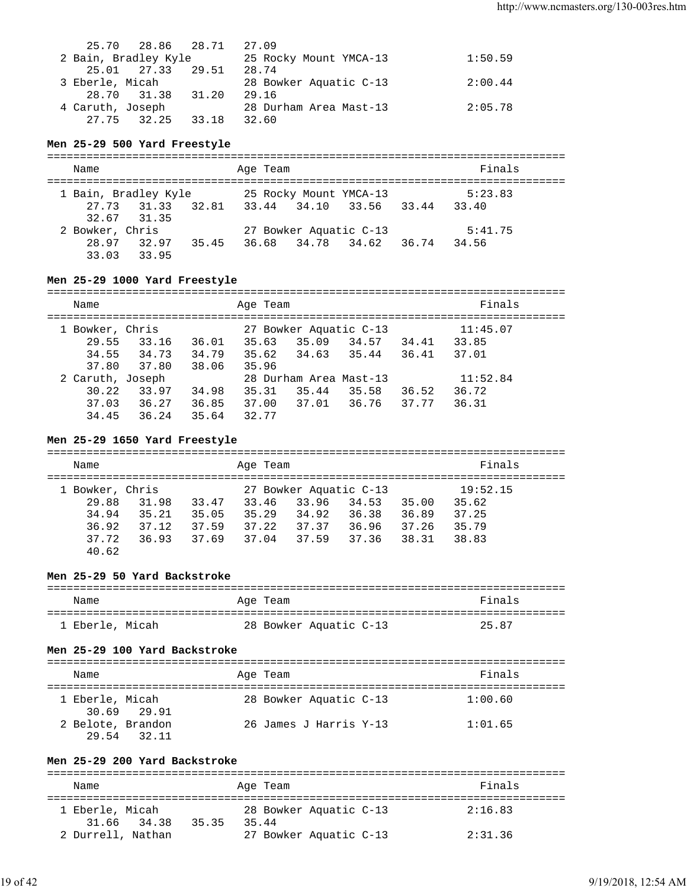|                      | 25.70 28.86 28.71 | 27.09                  |         |
|----------------------|-------------------|------------------------|---------|
| 2 Bain, Bradley Kyle |                   | 25 Rocky Mount YMCA-13 | 1:50.59 |
|                      | 25.01 27.33 29.51 | 28.74                  |         |
| 3 Eberle, Micah      |                   | 28 Bowker Aquatic C-13 | 2:00.44 |
|                      | 28.70 31.38 31.20 | 29.16                  |         |
| 4 Caruth, Joseph     |                   | 28 Durham Area Mast-13 | 2:05.78 |
|                      | 27.75 32.25 33.18 | 32.60                  |         |

### **Men 25-29 500 Yard Freestyle**

| Name                 |             |       | Age Team |                               | Finals  |  |
|----------------------|-------------|-------|----------|-------------------------------|---------|--|
| 1 Bain, Bradley Kyle |             |       |          | 25 Rocky Mount YMCA-13        | 5:23.83 |  |
|                      | 27.73 31.33 |       |          | 32.81 33.44 34.10 33.56 33.44 | 33.40   |  |
|                      | 32.67 31.35 |       |          |                               |         |  |
| 2 Bowker, Chris      |             |       |          | 27 Bowker Aquatic C-13        | 5:41.75 |  |
|                      | 28.97 32.97 | 35.45 |          | 36.68 34.78 34.62 36.74       | 34.56   |  |
|                      | 33.03 33.95 |       |          |                               |         |  |

# **Men 25-29 1000 Yard Freestyle**

| Name             |       |       | Age Team |                        |       |       | Finals   |  |
|------------------|-------|-------|----------|------------------------|-------|-------|----------|--|
| 1 Bowker, Chris  |       |       |          | 27 Bowker Aquatic C-13 |       |       | 11:45.07 |  |
| 29.55            | 33.16 | 36.01 | 35.63    | 35.09                  | 34.57 | 34.41 | 33.85    |  |
| 34.55            | 34.73 | 34.79 | 35.62    | 34.63                  | 35.44 | 36.41 | 37.01    |  |
| 37.80            | 37.80 | 38.06 | 35.96    |                        |       |       |          |  |
| 2 Caruth, Joseph |       |       |          | 28 Durham Area Mast-13 |       |       | 11:52.84 |  |
| 30.22            | 33.97 | 34.98 | 35.31    | 35.44                  | 35.58 | 36.52 | 36.72    |  |
| 37.03            | 36.27 | 36.85 | 37.00    | 37.01                  | 36.76 | 37.77 | 36.31    |  |
| 34.45            | 36.24 | 35.64 | 32.77    |                        |       |       |          |  |

## **Men 25-29 1650 Yard Freestyle**

| Name            |       |       | Age Team |                        |       |       | Finals   |  |
|-----------------|-------|-------|----------|------------------------|-------|-------|----------|--|
| 1 Bowker, Chris |       |       |          | 27 Bowker Aquatic C-13 |       |       | 19:52.15 |  |
| 29.88           | 31.98 | 33.47 | 33.46    | 33.96                  | 34.53 | 35.00 | 35.62    |  |
| 34.94           | 35.21 | 35.05 | 35.29    | 34.92                  | 36.38 | 36.89 | 37.25    |  |
| 36.92           | 37.12 | 37.59 | 37.22    | 37.37                  | 36.96 | 37.26 | 35.79    |  |
| 37.72           | 36.93 | 37.69 | 37.04    | 37.59                  | 37.36 | 38.31 | 38.83    |  |
| 40.62           |       |       |          |                        |       |       |          |  |

# **Men 25-29 50 Yard Backstroke**

| Name            | Age Team               | Finals |
|-----------------|------------------------|--------|
| 1 Eberle, Micah | 28 Bowker Aquatic C-13 | 25.87  |

## **Men 25-29 100 Yard Backstroke**

| Name                       |             | Age Team               | Finals  |
|----------------------------|-------------|------------------------|---------|
| 1 Eberle, Micah            | 30.69 29.91 | 28 Bowker Aquatic C-13 | 1:00.60 |
| 2 Belote, Brandon<br>29.54 | 32.11       | 26 James J Harris Y-13 | 1:01.65 |

## **Men 25-29 200 Yard Backstroke**

| Name                                    | Age Team                        | Finals  |
|-----------------------------------------|---------------------------------|---------|
| 1 Eberle, Micah<br>31.66 34.38<br>35.35 | 28 Bowker Aquatic C-13<br>35.44 | 2:16.83 |
| 2 Durrell, Nathan                       | 27 Bowker Aquatic C-13          | 2:31.36 |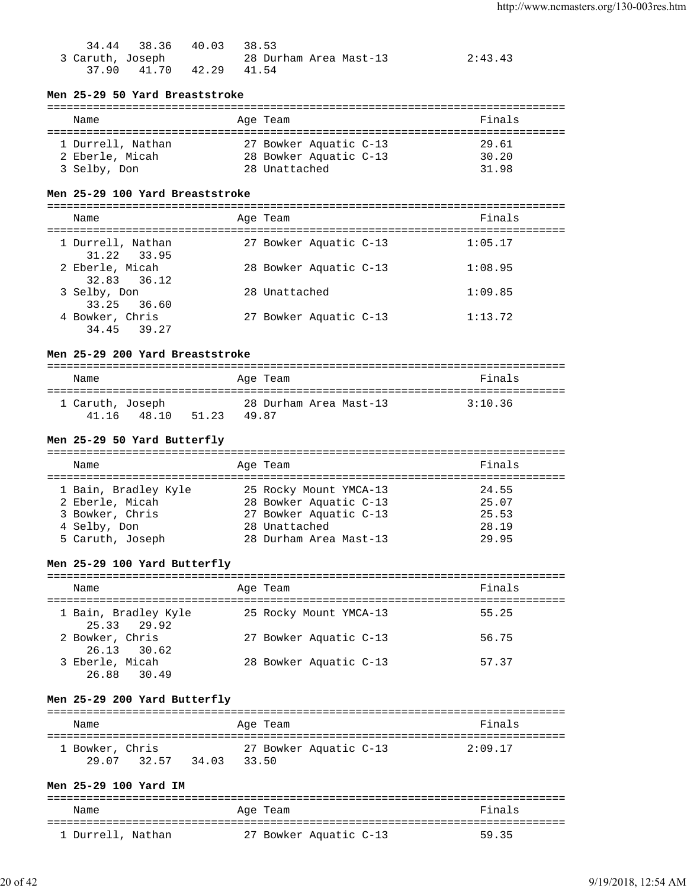|                  | 34.44 38.36 40.03 38.53 |                        |         |
|------------------|-------------------------|------------------------|---------|
| 3 Caruth, Joseph |                         | 28 Durham Area Mast-13 | 2:43.43 |
|                  | 37.90 41.70 42.29 41.54 |                        |         |

# **Men 25-29 50 Yard Breaststroke**

| Name                                 | Age Team                                         | Finals         |
|--------------------------------------|--------------------------------------------------|----------------|
| 1 Durrell, Nathan<br>2 Eberle, Micah | 27 Bowker Aquatic C-13<br>28 Bowker Aquatic C-13 | 29.61<br>30.20 |
| 3 Selby, Don                         | 28 Unattached                                    | 31.98          |

## **Men 25-29 100 Yard Breaststroke**

=============================================================================== Name **Age Team** Age Team Finals

| 27 Bowker Aquatic C-13<br>1 Durrell, Nathan<br>1:05.17<br>31.22 33.95 |  |
|-----------------------------------------------------------------------|--|
| 2 Eberle, Micah<br>28 Bowker Aquatic C-13<br>1:08.95<br>32.83 36.12   |  |
| 1:09.85<br>3 Selby, Don<br>28 Unattached<br>33.25 36.60               |  |
| 1:13.72<br>4 Bowker, Chris<br>27 Bowker Aquatic C-13<br>34.45 39.27   |  |

# **Men 25-29 200 Yard Breaststroke**

| Name                      |       |       | Age Team |                        | Finals  |
|---------------------------|-------|-------|----------|------------------------|---------|
| 1 Caruth, Joseph<br>41 16 | 48.10 | 51.23 | 49.87    | 28 Durham Area Mast-13 | 3:10.36 |

## **Men 25-29 50 Yard Butterfly**

| Name                                                                                           | Age Team                                                                                                              | Finals                                    |
|------------------------------------------------------------------------------------------------|-----------------------------------------------------------------------------------------------------------------------|-------------------------------------------|
| 1 Bain, Bradley Kyle<br>2 Eberle, Micah<br>3 Bowker, Chris<br>4 Selby, Don<br>5 Caruth, Joseph | 25 Rocky Mount YMCA-13<br>28 Bowker Aquatic C-13<br>27 Bowker Aquatic C-13<br>28 Unattached<br>28 Durham Area Mast-13 | 24.55<br>25.07<br>25.53<br>28.19<br>29.95 |

# **Men 25-29 100 Yard Butterfly**

| Name                                | Age Team               | Finals |
|-------------------------------------|------------------------|--------|
| 1 Bain, Bradley Kyle<br>25.33 29.92 | 25 Rocky Mount YMCA-13 | 55.25  |
| 2 Bowker, Chris<br>26.13 30.62      | 27 Bowker Aquatic C-13 | 56.75  |
| 3 Eberle, Micah<br>26.88 30.49      | 28 Bowker Aquatic C-13 | 57.37  |

# **Men 25-29 200 Yard Butterfly**

| Name                     |       |       | Age Team |                        | Finals  |
|--------------------------|-------|-------|----------|------------------------|---------|
| 1 Bowker, Chris<br>29 07 | 32.57 | 34.03 | 33.50    | 27 Bowker Aquatic C-13 | 2:09.17 |

# **Men 25-29 100 Yard IM**

| Name              | Age Team               | Finals |
|-------------------|------------------------|--------|
| 1 Durrell, Nathan | 27 Bowker Aquatic C-13 | 59.35  |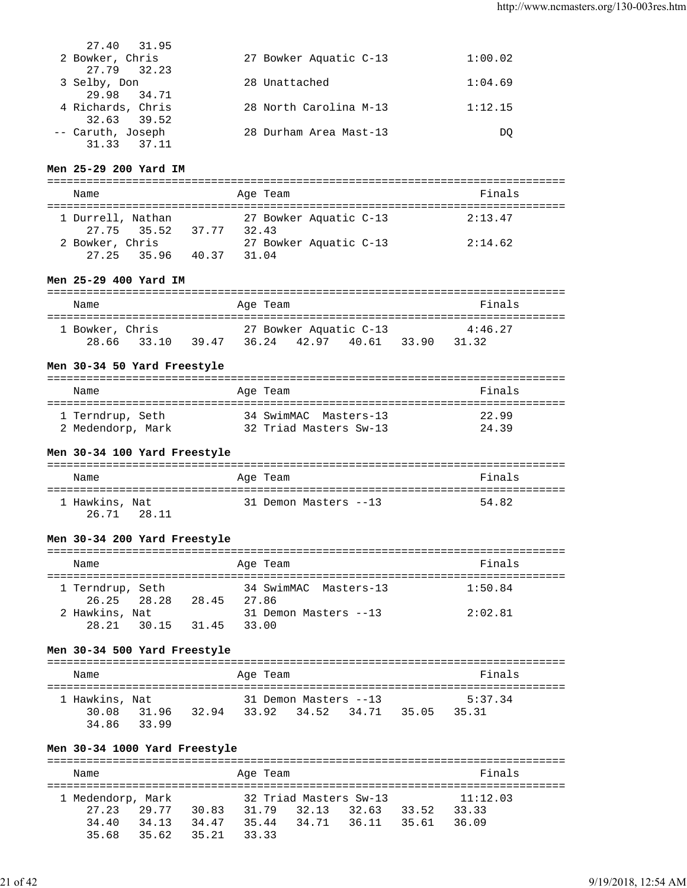| 27.40 31.95       |                        |         |
|-------------------|------------------------|---------|
| 2 Bowker, Chris   | 27 Bowker Aquatic C-13 | 1:00.02 |
| 27.79 32.23       |                        |         |
| 3 Selby, Don      | 28 Unattached          | 1:04.69 |
| 29.98 34.71       |                        |         |
| 4 Richards, Chris | 28 North Carolina M-13 | 1:12.15 |
| 32.63 39.52       |                        |         |
| -- Caruth, Joseph | 28 Durham Area Mast-13 | DO      |
| 31.33<br>37.11    |                        |         |

# **Men 25-29 200 Yard IM**

| Name              |                   |       |       | Age Team |                        | Finals  |
|-------------------|-------------------|-------|-------|----------|------------------------|---------|
| 1 Durrell, Nathan | 27.75 35.52 37.77 |       | 32.43 |          | 27 Bowker Aquatic C-13 | 2:13.47 |
| 2 Bowker, Chris   | 27.25 35.96       | 40.37 | 31 N4 |          | 27 Bowker Aquatic C-13 | 2:14.62 |

# **Men 25-29 400 Yard IM**

| Name            |             |       | Age Team |                                       |       |       | Finals           |  |
|-----------------|-------------|-------|----------|---------------------------------------|-------|-------|------------------|--|
| 1 Bowker, Chris | 28.66 33.10 | 39.47 |          | 27 Bowker Aquatic C-13<br>36.24 42.97 | 40.61 | 33.90 | 4:46.27<br>31.32 |  |

#### **Men 30-34 50 Yard Freestyle**

| Name              | Age Team               | Finals |
|-------------------|------------------------|--------|
| 1 Terndrup, Seth  | 34 SwimMAC Masters-13  | 22.99  |
| 2 Medendorp, Mark | 32 Triad Masters Sw-13 | 24.39  |

## **Men 30-34 100 Yard Freestyle**

| Name                          | Age Team              | Finals |
|-------------------------------|-----------------------|--------|
| 1 Hawkins, Nat<br>26.71 28.11 | 31 Demon Masters --13 | 54.82  |

## **Men 30-34 200 Yard Freestyle**

| Name                            |       | Age Team |                       | Finals  |
|---------------------------------|-------|----------|-----------------------|---------|
| 1 Terndrup, Seth<br>26.25 28.28 | 28.45 | 27.86    | 34 SwimMAC Masters-13 | 1:50.84 |
| 2 Hawkins, Nat<br>28.21 30.15   | 31.45 | 33.00    | 31 Demon Masters --13 | 2:02.81 |

## **Men 30-34 500 Yard Freestyle**

| Name           |       |       | Age Team |                       |       | Finals  |  |
|----------------|-------|-------|----------|-----------------------|-------|---------|--|
| 1 Hawkins, Nat |       |       |          | 31 Demon Masters --13 |       | 5:37.34 |  |
| 30.08          | 31.96 | 32.94 |          | 33.92 34.52 34.71     | 35.05 | 35.31   |  |
| 34.86          | 33.99 |       |          |                       |       |         |  |

## **Men 30-34 1000 Yard Freestyle**

| Name              |       |       | Age Team |                        |       |       | Finals   |
|-------------------|-------|-------|----------|------------------------|-------|-------|----------|
| 1 Medendorp, Mark |       |       |          | 32 Triad Masters Sw-13 |       |       | 11:12.03 |
| 27.23 29.77       |       | 30.83 | 31.79    | 32.13                  | 32.63 | 33.52 | 33.33    |
| 34.40             | 34.13 | 34.47 | 35.44    | 34.71 36.11            |       | 35.61 | 36.09    |
| 35.68             | 35.62 | 35.21 | 3333     |                        |       |       |          |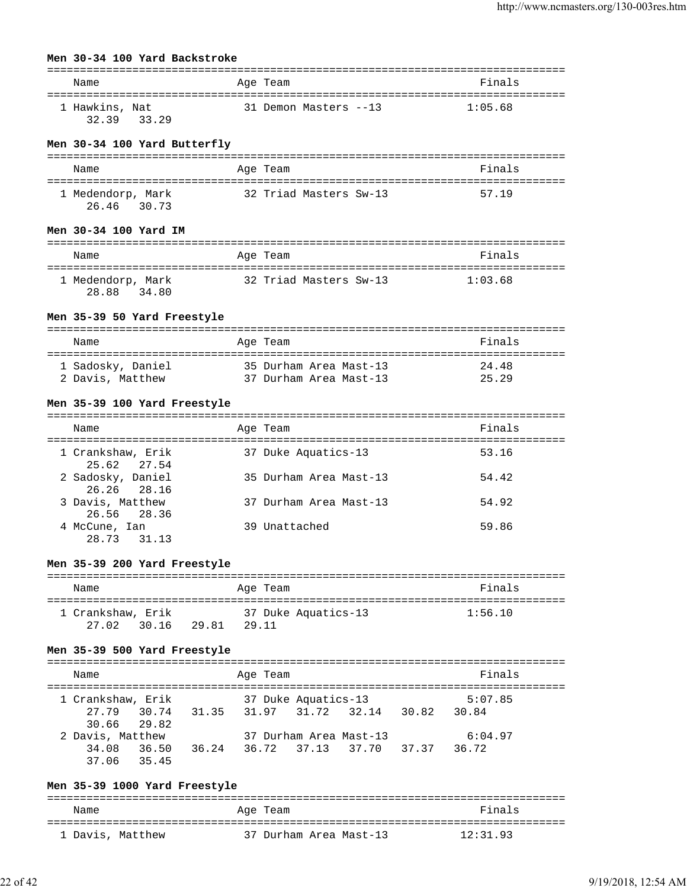## **Men 30-34 100 Yard Backstroke**

| Name                            | Age Team              | Finals  |
|---------------------------------|-----------------------|---------|
| 1 Hawkins, Nat<br>3239<br>33.29 | 31 Demon Masters --13 | 1:05.68 |

#### **Men 30-34 100 Yard Butterfly**

| Name                                | Age Team               | Finals |
|-------------------------------------|------------------------|--------|
| 1 Medendorp, Mark<br>26.46<br>30.73 | 32 Triad Masters Sw-13 | 57.19  |

### **Men 30-34 100 Yard IM**

| Name                                | Age Team               | Finals  |
|-------------------------------------|------------------------|---------|
| 1 Medendorp, Mark<br>28.88<br>34.80 | 32 Triad Masters Sw-13 | 1:03.68 |

#### **Men 35-39 50 Yard Freestyle**

| Name              | Age Team               | Finals |
|-------------------|------------------------|--------|
| 1 Sadosky, Daniel | 35 Durham Area Mast-13 | 24.48  |
| 2 Davis, Matthew  | 37 Durham Area Mast-13 | 25.29  |

## **Men 35-39 100 Yard Freestyle**

| Name                             | Age Team               | Finals |
|----------------------------------|------------------------|--------|
| 1 Crankshaw, Erik<br>25.62 27.54 | 37 Duke Aquatics-13    | 53.16  |
| 2 Sadosky, Daniel<br>26.26 28.16 | 35 Durham Area Mast-13 | 54.42  |
| 3 Davis, Matthew<br>26.56 28.36  | 37 Durham Area Mast-13 | 54.92  |
| 4 McCune, Ian<br>28.73 31.13     | 39 Unattached          | 59.86  |

#### **Men 35-39 200 Yard Freestyle**

| Name              |       | Age Team            | Finals  |
|-------------------|-------|---------------------|---------|
| 1 Crankshaw, Erik |       | 37 Duke Aquatics-13 | 1:56.10 |
| 27 02<br>30.16    | 29.81 | 29.11               |         |

### **Men 35-39 500 Yard Freestyle**

| Name                                      |                               | Age Team |                     |                        | Finals  |  |
|-------------------------------------------|-------------------------------|----------|---------------------|------------------------|---------|--|
| 1 Crankshaw, Erik                         |                               |          | 37 Duke Aquatics-13 |                        | 5:07.85 |  |
| 27.79 30.74 31.35 31.97 31.72 32.14 30.82 |                               |          |                     |                        | 30.84   |  |
| 30.66 29.82                               |                               |          |                     |                        |         |  |
| 2 Davis, Matthew                          |                               |          |                     | 37 Durham Area Mast-13 | 6:04.97 |  |
| 34.08 36.50                               | 36.24 36.72 37.13 37.70 37.37 |          |                     |                        | 36.72   |  |
| 37.06 35.45                               |                               |          |                     |                        |         |  |

## **Men 35-39 1000 Yard Freestyle**

| Name             | Age Team               | Finals   |
|------------------|------------------------|----------|
| 1 Davis, Matthew | 37 Durham Area Mast-13 | 12:31.93 |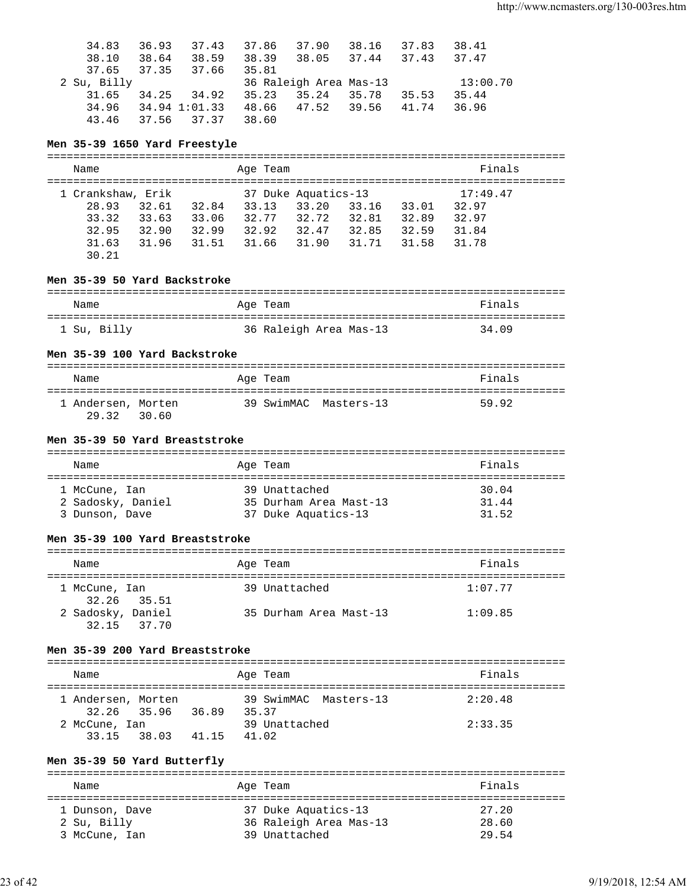| 34.83       | 36.93 | 37.43         | 37.86 | 37.90                  | 38.16 | 37.83 | 38.41    |
|-------------|-------|---------------|-------|------------------------|-------|-------|----------|
| 38.10       | 38.64 | 38.59         | 38.39 | 38.05 37.44            |       | 37.43 | 37.47    |
| 37.65       | 37.35 | 37.66         | 35.81 |                        |       |       |          |
| 2 Su, Billy |       |               |       | 36 Raleigh Area Mas-13 |       |       | 13:00.70 |
| 31.65       | 34.25 | 34.92         | 35.23 | 35.24                  | 35.78 | 35.53 | 35.44    |
| 34.96       |       | 34.94 1:01.33 |       | 48.66 47.52 39.56      |       | 41.74 | 36.96    |
| 43.46       | 37.56 | 37.37         | 38.60 |                        |       |       |          |
|             |       |               |       |                        |       |       |          |

# **Men 35-39 1650 Yard Freestyle**

| Name              |       |       | Age Team |                     |       |       | Finals   |  |
|-------------------|-------|-------|----------|---------------------|-------|-------|----------|--|
| 1 Crankshaw, Erik |       |       |          | 37 Duke Aquatics-13 |       |       | 17:49.47 |  |
| 28.93             | 32.61 | 32.84 | 33.13    | 33.20               | 33.16 | 33.01 | 32.97    |  |
| 33.32             | 33.63 | 33.06 | 32.77    | 32.72               | 32.81 | 32.89 | 32.97    |  |
| 32.95             | 32.90 | 32.99 | 32.92    | 32.47               | 32.85 | 32.59 | 31.84    |  |
| 31.63             | 31.96 | 31.51 | 31.66    | 31.90               | 31.71 | 31.58 | 31.78    |  |
| 30.21             |       |       |          |                     |       |       |          |  |

# **Men 35-39 50 Yard Backstroke**

| Name        | Age Team               | Finals |
|-------------|------------------------|--------|
| 1 Su, Billy | 36 Raleigh Area Mas-13 | 34.09  |

# **Men 35-39 100 Yard Backstroke**

| Name                        |       | Age Team |                       | Finals |
|-----------------------------|-------|----------|-----------------------|--------|
| 1 Andersen, Morten<br>29.32 | 30.60 |          | 39 SwimMAC Masters-13 | 59.92  |

## **Men 35-39 50 Yard Breaststroke**

| Name                               | Age Team                                | Finals         |
|------------------------------------|-----------------------------------------|----------------|
| 1 McCune, Ian<br>2 Sadosky, Daniel | 39 Unattached<br>35 Durham Area Mast-13 | 30.04<br>31.44 |
| 3 Dunson, Dave                     | 37 Duke Aquatics-13                     | 31.52          |

# **Men 35-39 100 Yard Breaststroke**

| Name                             | Age Team               | Finals  |
|----------------------------------|------------------------|---------|
| 1 McCune, Ian<br>32.26 35.51     | 39 Unattached          | 1:07.77 |
| 2 Sadosky, Daniel<br>32.15 37.70 | 35 Durham Area Mast-13 | 1:09.85 |

# **Men 35-39 200 Yard Breaststroke**

| Name                              |       | Age Team                      | Finals  |
|-----------------------------------|-------|-------------------------------|---------|
| 1 Andersen, Morten<br>32.26 35.96 | 36.89 | 39 SwimMAC Masters-13<br>3537 | 2:20.48 |
| 2 McCune, Ian<br>33 15<br>38.03   | 41.15 | 39 Unattached<br>41.02        | 2:33.35 |

# **Men 35-39 50 Yard Butterfly**

| Name           | Age Team               | Finals |  |  |  |
|----------------|------------------------|--------|--|--|--|
|                |                        |        |  |  |  |
| 1 Dunson, Dave | 37 Duke Aquatics-13    | 27.20  |  |  |  |
| 2 Su, Billy    | 36 Raleigh Area Mas-13 | 28.60  |  |  |  |
| 3 McCune, Ian  | 39 Unattached          | 29.54  |  |  |  |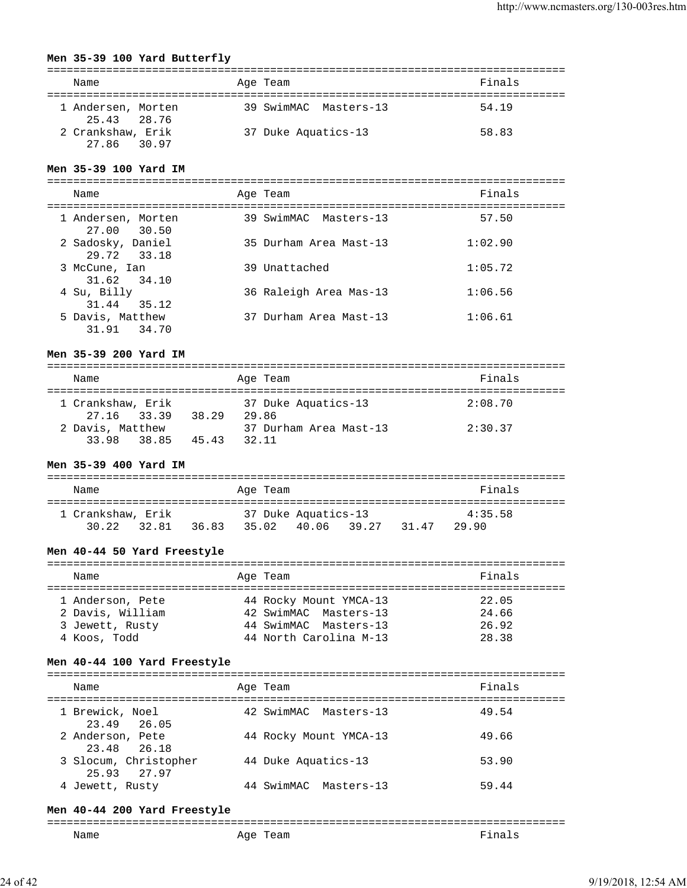### **Men 35-39 100 Yard Butterfly**

| Name                              | Age Team              | Finals |  |  |  |
|-----------------------------------|-----------------------|--------|--|--|--|
| 1 Andersen, Morten<br>25.43 28.76 | 39 SwimMAC Masters-13 | 54.19  |  |  |  |
| 2 Crankshaw, Erik<br>27.86 30.97  | 37 Duke Aquatics-13   | 58.83  |  |  |  |

#### **Men 35-39 100 Yard IM**

| Name                               | Age Team               | Finals  |
|------------------------------------|------------------------|---------|
| 1 Andersen, Morten<br>27.00 30.50  | 39 SwimMAC Masters-13  | 57.50   |
| 2 Sadosky, Daniel<br>29.72 33.18   | 35 Durham Area Mast-13 | 1:02.90 |
| 3 McCune, Ian<br>31.62 34.10       | 39 Unattached          | 1:05.72 |
| 4 Su, Billy<br>31.44<br>35.12      | 36 Raleigh Area Mas-13 | 1:06.56 |
| 5 Davis, Matthew<br>31.91<br>34.70 | 37 Durham Area Mast-13 | 1:06.61 |

# **Men 35-39 200 Yard IM**

| Name              |       |       |       | Age Team               | Finals  |  |
|-------------------|-------|-------|-------|------------------------|---------|--|
|                   |       |       |       |                        |         |  |
| 1 Crankshaw, Erik |       |       |       | 37 Duke Aquatics-13    | 2:08.70 |  |
| 27.16 33.39       |       | 38.29 | 29.86 |                        |         |  |
| 2 Davis, Matthew  |       |       |       | 37 Durham Area Mast-13 | 2:30.37 |  |
| 33 98             | 38.85 | 45.43 | 32.11 |                        |         |  |

## **Men 35-39 400 Yard IM**

| Name |       |                            |       | Age Team |                              |       |       | Finals           |
|------|-------|----------------------------|-------|----------|------------------------------|-------|-------|------------------|
|      | 30.22 | 1 Crankshaw, Erik<br>32.81 | 36.83 | 35.02    | 37 Duke Aquatics-13<br>40.06 | 39.27 | 31.47 | 4:35.58<br>29.90 |

## **Men 40-44 50 Yard Freestyle**

| Name             |  | Age Team               | Finals |  |  |
|------------------|--|------------------------|--------|--|--|
|                  |  |                        |        |  |  |
| 1 Anderson, Pete |  | 44 Rocky Mount YMCA-13 | 22.05  |  |  |
| 2 Davis, William |  | 42 SwimMAC Masters-13  | 24.66  |  |  |
| 3 Jewett, Rusty  |  | 44 SwimMAC Masters-13  | 26.92  |  |  |
| 4 Koos, Todd     |  | 44 North Carolina M-13 | 28.38  |  |  |

#### **Men 40-44 100 Yard Freestyle**

| Name                                 | Age Team |                        | Finals |
|--------------------------------------|----------|------------------------|--------|
| 1 Brewick, Noel<br>23.49 26.05       |          | 42 SwimMAC Masters-13  | 49.54  |
| 2 Anderson, Pete<br>23.48 26.18      |          | 44 Rocky Mount YMCA-13 | 49.66  |
| 3 Slocum, Christopher<br>25.93 27.97 |          | 44 Duke Aquatics-13    | 53.90  |
| 4 Jewett, Rusty                      |          | 44 SwimMAC Masters-13  | 59.44  |

#### **Men 40-44 200 Yard Freestyle**

| -------<br>____ |     |  |
|-----------------|-----|--|
| Name            | Age |  |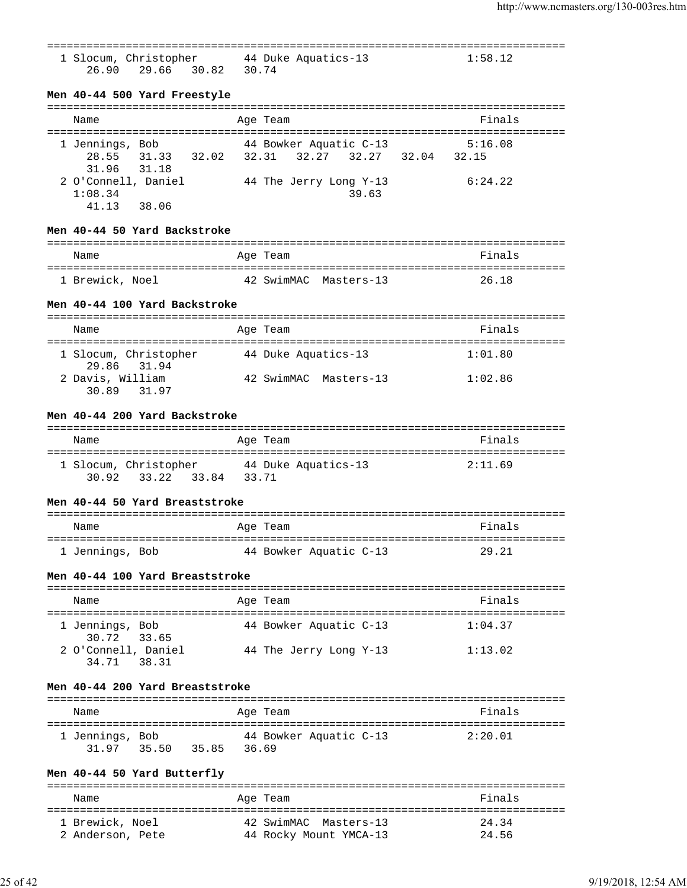| 1 Slocum, Christopher 44 Duke Aquatics-13<br>26.90 29.66 30.82 30.74    |                                                                           | 1:58.12 |
|-------------------------------------------------------------------------|---------------------------------------------------------------------------|---------|
| Men 40-44 500 Yard Freestyle                                            |                                                                           |         |
| Name                                                                    | Age Team                                                                  | Finals  |
| 1 Jennings, Bob<br>31.96 31.18                                          | 44 Bowker Aquatic C-13<br>28.55 31.33 32.02 32.31 32.27 32.27 32.04 32.15 | 5:16.08 |
| 2 O'Connell, Daniel 44 The Jerry Long Y-13<br>1:08.34<br>41.13 38.06    | 39.63                                                                     | 6:24.22 |
| Men 40-44 50 Yard Backstroke                                            |                                                                           |         |
| Name                                                                    | Age Team                                                                  | Finals  |
| 1 Brewick, Noel 42 SwimMAC Masters-13                                   |                                                                           | 26.18   |
| Men 40-44 100 Yard Backstroke                                           |                                                                           |         |
| Name                                                                    | Age Team                                                                  | Finals  |
| 1 Slocum, Christopher 44 Duke Aquatics-13<br>29.86 31.94                |                                                                           | 1:01.80 |
| 2 Davis, William<br>30.89 31.97                                         | 42 SwimMAC Masters-13                                                     | 1:02.86 |
| Men 40-44 200 Yard Backstroke                                           |                                                                           |         |
| Name                                                                    | Age Team                                                                  | Finals  |
| 1 Slocum, Christopher 44 Duke Aquatics-13<br>33.22 33.84 33.71<br>30.92 |                                                                           | 2:11.69 |
| Men 40-44 50 Yard Breaststroke                                          |                                                                           |         |
| Name                                                                    | Age Team                                                                  | Finals  |
| 1 Jennings, Bob                                                         | 44 Bowker Aquatic C-13                                                    | 29.21   |
| Men 40-44 100 Yard Breaststroke                                         |                                                                           |         |
| Name                                                                    | Age Team                                                                  | Finals  |
| 1 Jennings, Bob<br>30.72 33.65                                          | 44 Bowker Aquatic C-13                                                    | 1:04.37 |
| 2 O'Connell, Daniel<br>34.71 38.31                                      | 44 The Jerry Long Y-13                                                    | 1:13.02 |
| Men 40-44 200 Yard Breaststroke                                         |                                                                           |         |
| Name                                                                    | Age Team                                                                  | Finals  |
| 1 Jennings, Bob<br>35.50 35.85 36.69<br>31.97                           | 44 Bowker Aquatic C-13                                                    | 2:20.01 |
| Men 40-44 50 Yard Butterfly<br>====================================     |                                                                           |         |
|                                                                         |                                                                           |         |

Name **Age Team** Age Team Rinals =============================================================================== 1 Brewick, Noel 42 SwimMAC Masters-13 24.34 2 Anderson, Pete 44 Rocky Mount YMCA-13 24.56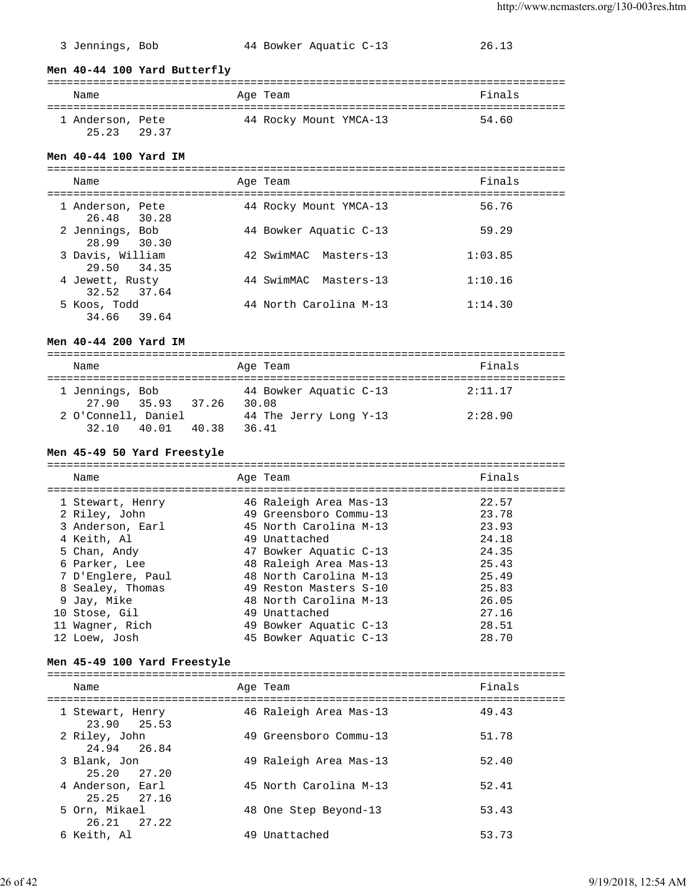#### 3 Jennings, Bob 44 Bowker Aquatic C-13 26.13

**Men 40-44 100 Yard Butterfly**

| Name                            |  | Age Team |                        | Finals |  |
|---------------------------------|--|----------|------------------------|--------|--|
| 1 Anderson, Pete<br>25.23 29.37 |  |          | 44 Rocky Mount YMCA-13 | 54.60  |  |

#### **Men 40-44 100 Yard IM**

=============================================================================== Name **Age Team** Age Team **Research Base** Finals =============================================================================== 1 Anderson, Pete 44 Rocky Mount YMCA-13 56.76 26.48 30.28 2 Jennings, Bob 44 Bowker Aquatic C-13 59.29 28.99 30.30 3 Davis, William 42 SwimMAC Masters-13 1:03.85 29.50 34.35 4 Jewett, Rusty 44 SwimMAC Masters-13 1:10.16 32.52 37.64 5 Koos, Todd 44 North Carolina M-13 1:14.30 34.66 39.64

#### **Men 40-44 200 Yard IM**

=============================================================================== Name **Age Team Age Team Reserves** =============================================================================== 1 Jennings, Bob 44 Bowker Aquatic C-13 2:11.17 27.90 35.93 37.26 30.08 2 O'Connell, Daniel 44 The Jerry Long Y-13 2:28.90 32.10 40.01 40.38 36.41

#### **Men 45-49 50 Yard Freestyle**

=============================================================================== Name **Age Team** Age Team **Finals** =============================================================================== 1 Stewart, Henry 46 Raleigh Area Mas-13 22.57 2 Riley, John 49 Greensboro Commu-13 23.78 3 Anderson, Earl 45 North Carolina M-13 23.93 4 Keith, Al 49 Unattached 24.18 5 Chan, Andy 47 Bowker Aquatic C-13 24.35 6 Parker, Lee 48 Raleigh Area Mas-13 25.43 7 D'Englere, Paul 48 North Carolina M-13 25.49 8 Sealey, Thomas 49 Reston Masters S-10 25.83 9 Jay, Mike 48 North Carolina M-13 26.05 10 Stose, Gil 49 Unattached 27.16 11 Wagner, Rich 49 Bowker Aquatic C-13 28.51 12 Loew, Josh 45 Bowker Aquatic C-13 28.70

#### **Men 45-49 100 Yard Freestyle**

| Name                            | Age Team               | Finals |
|---------------------------------|------------------------|--------|
| 1 Stewart, Henry<br>23.90 25.53 | 46 Raleigh Area Mas-13 | 49.43  |
| 2 Riley, John<br>24.94 26.84    | 49 Greensboro Commu-13 | 51.78  |
| 3 Blank, Jon<br>25.20 27.20     | 49 Raleigh Area Mas-13 | 52.40  |
| 4 Anderson, Earl<br>25.25 27.16 | 45 North Carolina M-13 | 52.41  |
| 5 Orn, Mikael<br>26.21 27.22    | 48 One Step Beyond-13  | 53.43  |
| 6 Keith, Al                     | 49 Unattached          | 53.73  |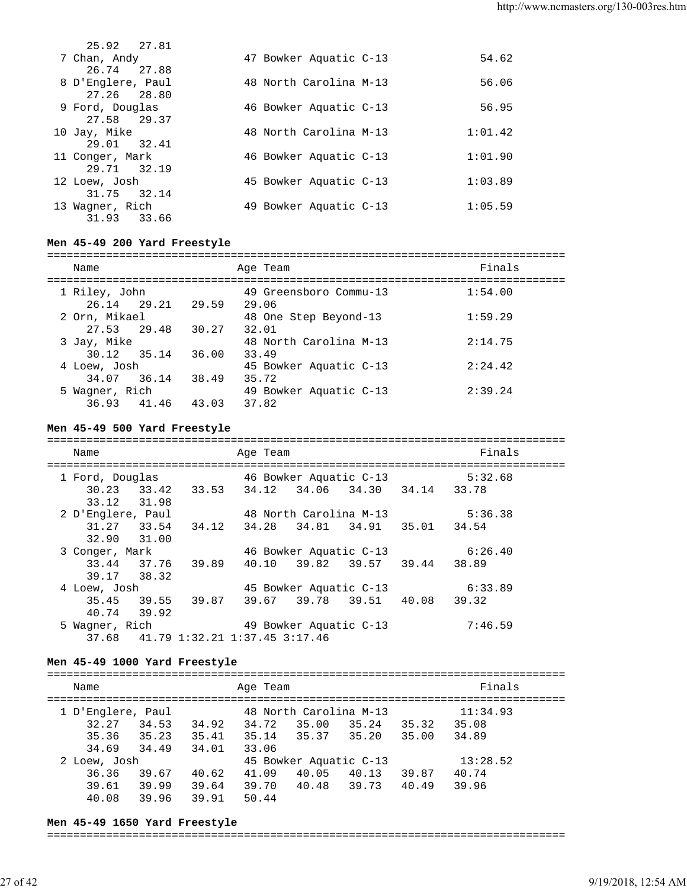| 25.92 27.81       |  |                        |         |
|-------------------|--|------------------------|---------|
| 7 Chan, Andy      |  | 47 Bowker Aquatic C-13 | 54.62   |
| 26.74 27.88       |  |                        |         |
| 8 D'Englere, Paul |  | 48 North Carolina M-13 | 56.06   |
| 27.26 28.80       |  |                        |         |
| 9 Ford, Douglas   |  | 46 Bowker Aquatic C-13 | 56.95   |
| 27.58 29.37       |  |                        |         |
| 10 Jay, Mike      |  | 48 North Carolina M-13 | 1:01.42 |
| 29.01 32.41       |  |                        |         |
| 11 Conger, Mark   |  | 46 Bowker Aquatic C-13 | 1:01.90 |
| 29.71 32.19       |  |                        |         |
| 12 Loew, Josh     |  | 45 Bowker Aquatic C-13 | 1:03.89 |
| 31.75 32.14       |  |                        |         |
| 13 Wagner, Rich   |  | 49 Bowker Aquatic C-13 | 1:05.59 |
| 31.93 33.66       |  |                        |         |

## **Men 45-49 200 Yard Freestyle**

| Name                          |       |                   | Age Team                        | Finals  |
|-------------------------------|-------|-------------------|---------------------------------|---------|
| 1 Riley, John                 |       | 26.14 29.21 29.59 | 49 Greensboro Commu-13<br>29.06 | 1:54.00 |
| 2 Orn, Mikael                 |       |                   | 48 One Step Beyond-13           | 1:59.29 |
| 27.53 29.48<br>3 Jay, Mike    |       | 30.27             | 32.01<br>48 North Carolina M-13 | 2:14.75 |
| 30.12 35.14<br>4 Loew, Josh   |       | 36.00             | 33.49<br>45 Bowker Aquatic C-13 | 2:24.42 |
| 34.07 36.14<br>5 Wagner, Rich |       | 38.49             | 35.72<br>49 Bowker Aquatic C-13 | 2:39.24 |
| 36.93                         | 41.46 | 43.03             | 37.82                           |         |

# **Men 45-49 500 Yard Freestyle**

| Name                                   | Age Team                         | Finals  |
|----------------------------------------|----------------------------------|---------|
|                                        |                                  |         |
| 1 Ford, Douglas                        | 46 Bowker Aquatic C-13           | 5:32.68 |
| 30.23 33.42 33.53 34.12                | 34.06 34.30 34.14 33.78          |         |
| 33.12 31.98                            |                                  |         |
| 2 D'Englere, Paul                      | 48 North Carolina M-13           | 5:36.38 |
| 31.27 33.54<br>34.12                   | 34.28<br>34.81 34.91 35.01 34.54 |         |
| 32.90 31.00                            |                                  |         |
| 3 Conger, Mark                         | 46 Bowker Aquatic C-13           | 6:26.40 |
| 37.76 39.89<br>33.44                   | 39.82 39.57 39.44 38.89<br>40.10 |         |
| 39.17<br>38.32                         |                                  |         |
| 4 Loew, Josh                           | 45 Bowker Aquatic C-13           | 6:33.89 |
| 35.45 39.55 39.87                      | 39.78 39.51 40.08<br>39.67       | 39.32   |
| 39.92<br>40.74                         |                                  |         |
| 5 Wagner, Rich                         | 49 Bowker Aquatic C-13           | 7:46.59 |
| 41.79 1:32.21 1:37.45 3:17.46<br>37.68 |                                  |         |

#### **Men 45-49 1000 Yard Freestyle**

| Name              |       |       | Age Team |                        |          |       | Finals   |  |
|-------------------|-------|-------|----------|------------------------|----------|-------|----------|--|
| 1 D'Englere, Paul |       |       |          | 48 North Carolina M-13 |          |       | 11:34.93 |  |
| 32.27             | 34.53 | 34.92 | 34.72    | 35.00                  | 35.24    | 35.32 | 35.08    |  |
| 35.36             | 35.23 | 35.41 | 35.14    | 35.37                  | 35.20    | 35.00 | 34.89    |  |
| 34.69             | 34.49 | 34.01 | 33.06    |                        |          |       |          |  |
| 2 Loew, Josh      |       |       |          | 45 Bowker Aquatic C-13 | 13:28.52 |       |          |  |
| 36.36             | 39.67 | 40.62 | 41.09    | 40.05                  | 40.13    | 39.87 | 40.74    |  |
| 39.61             | 39.99 | 39.64 | 39.70    | 40.48                  | 39.73    | 40.49 | 39.96    |  |
| 40.08             | 39.96 | 39.91 | 50.44    |                        |          |       |          |  |

#### **Men 45-49 1650 Yard Freestyle**

#### ===============================================================================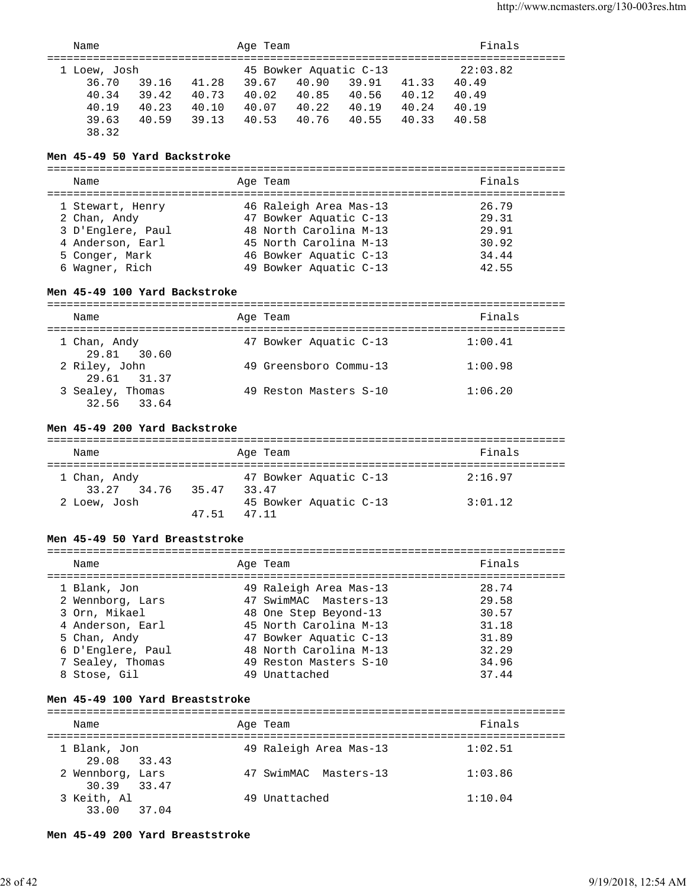|              | Name  |       |                        | Age Team |       |       |          | Finals |  |
|--------------|-------|-------|------------------------|----------|-------|-------|----------|--------|--|
| 1 Loew, Josh |       |       | 45 Bowker Aquatic C-13 |          |       |       | 22:03.82 |        |  |
|              | 36.70 | 39.16 | 41.28                  | 39.67    | 40.90 | 39.91 | 41.33    | 40.49  |  |
|              | 40.34 | 39.42 | 40.73                  | 40.02    | 40.85 | 40.56 | 40.12    | 40.49  |  |
|              | 40.19 | 40.23 | 40.10                  | 40.07    | 40.22 | 40.19 | 40.24    | 40.19  |  |
|              | 39.63 | 40.59 | 39.13                  | 40.53    | 40.76 | 40.55 | 40.33    | 40.58  |  |
|              | 38.32 |       |                        |          |       |       |          |        |  |

### **Men 45-49 50 Yard Backstroke**

=============================================================================== Name Research Age Team Research School and Finals =============================================================================== 1 Stewart, Henry 16 Raleigh Area Mas-13<br>
2 Chan, Andy 17 Bowker Aquatic C-13<br>
3 D'Englere, Paul 18 North Carolina M-13<br>
48 North Carolina M-13<br>
15 North Carolina M-13 2 Chan, Andy 47 Bowker Aquatic C-13 29.31 3 D'Englere, Paul 48 North Carolina M-13 29.91 4 Anderson, Earl 45 North Carolina M-13 30.92 5 Conger, Mark 46 Bowker Aquatic C-13 34.44 6 Wagner, Rich 49 Bowker Aquatic C-13 42.55

### **Men 45-49 100 Yard Backstroke**

| Name                            | Age Team               | Finals  |
|---------------------------------|------------------------|---------|
| 1 Chan, Andy<br>29.81 30.60     | 47 Bowker Aquatic C-13 | 1:00.41 |
| 2 Riley, John<br>29.61 31.37    | 49 Greensboro Commu-13 | 1:00.98 |
| 3 Sealey, Thomas<br>32.56 33.64 | 49 Reston Masters S-10 | 1:06.20 |

# **Men 45-49 200 Yard Backstroke**

| Name                        |       | Age Team                        |  | Finals  |  |  |  |
|-----------------------------|-------|---------------------------------|--|---------|--|--|--|
| 1 Chan, Andy<br>33.27 34.76 | 35.47 | 47 Bowker Aquatic C-13<br>33 47 |  | 2:16.97 |  |  |  |
| 2 Loew, Josh                | 47 51 | 45 Bowker Aquatic C-13<br>47 11 |  | 3:01.12 |  |  |  |

### **Men 45-49 50 Yard Breaststroke**

| Name              | Age Team               | Finals |
|-------------------|------------------------|--------|
| 1 Blank, Jon      | 49 Raleigh Area Mas-13 | 28.74  |
| 2 Wennborg, Lars  | 47 SwimMAC Masters-13  | 29.58  |
| 3 Orn, Mikael     | 48 One Step Beyond-13  | 30.57  |
| 4 Anderson, Earl  | 45 North Carolina M-13 | 31.18  |
| 5 Chan, Andy      | 47 Bowker Aquatic C-13 | 31.89  |
| 6 D'Englere, Paul | 48 North Carolina M-13 | 32.29  |
| 7 Sealey, Thomas  | 49 Reston Masters S-10 | 34.96  |
| 8 Stose, Gil      | 49 Unattached          | 37.44  |
|                   |                        |        |

## **Men 45-49 100 Yard Breaststroke**

| Name                            | Age Team               | Finals  |
|---------------------------------|------------------------|---------|
| 1 Blank, Jon<br>29.08 33.43     | 49 Raleigh Area Mas-13 | 1:02.51 |
| 2 Wennborg, Lars<br>30.39 33.47 | 47 SwimMAC Masters-13  | 1:03.86 |
| 3 Keith, Al<br>33.00 37.04      | 49 Unattached          | 1:10.04 |

#### **Men 45-49 200 Yard Breaststroke**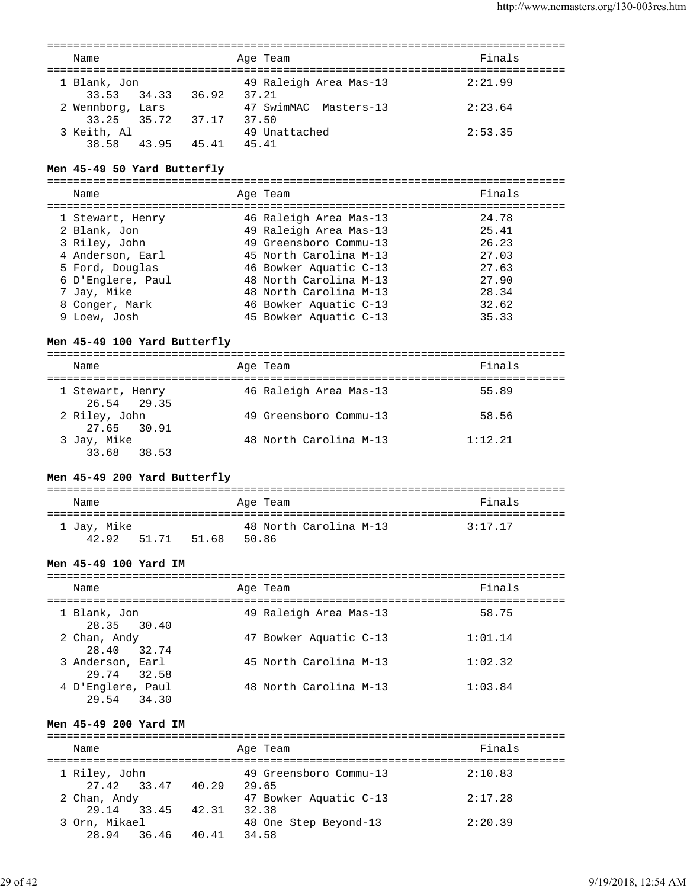| Name                       | Age Team               | Finals  |
|----------------------------|------------------------|---------|
| 1 Blank, Jon               | 49 Raleigh Area Mas-13 | 2:21.99 |
| 33.53 34.33<br>36.92 37.21 |                        |         |
| 2 Wennborg, Lars           | 47 SwimMAC Masters-13  | 2:23.64 |
| 33.25 35.72 37.17          | 37.50                  |         |
| 3 Keith, Al                | 49 Unattached          | 2:53.35 |
| 43.95<br>38.58<br>45.41    | 45.41                  |         |

#### **Men 45-49 50 Yard Butterfly**

===============================================================================

| Name              | Age Team               | Finals |
|-------------------|------------------------|--------|
| 1 Stewart, Henry  | 46 Raleigh Area Mas-13 | 24.78  |
| 2 Blank, Jon      | 49 Raleigh Area Mas-13 | 25.41  |
| 3 Riley, John     | 49 Greensboro Commu-13 | 26.23  |
| 4 Anderson, Earl  | 45 North Carolina M-13 | 27.03  |
| 5 Ford, Douglas   | 46 Bowker Aquatic C-13 | 27.63  |
| 6 D'Englere, Paul | 48 North Carolina M-13 | 27.90  |
| 7 Jay, Mike       | 48 North Carolina M-13 | 28.34  |
| 8 Conger, Mark    | 46 Bowker Aquatic C-13 | 32.62  |
| 9 Loew, Josh      | 45 Bowker Aquatic C-13 | 35.33  |

#### **Men 45-49 100 Yard Butterfly**

=============================================================================== Name **Age Team Age Team Age Team Finals** =============================================================================== 1 Stewart, Henry 46 Raleigh Area Mas-13 55.89 26.54 29.35 2 Riley, John 49 Greensboro Commu-13 58.56 27.65 30.91 3 Jay, Mike 48 North Carolina M-13 1:12.21 33.68 38.53

#### **Men 45-49 200 Yard Butterfly**

| Name                 |       |       |       | Age Team |                        | Finals  |
|----------------------|-------|-------|-------|----------|------------------------|---------|
| 1 Jay, Mike<br>42.92 | 51.71 | 51.68 | 50.86 |          | 48 North Carolina M-13 | 3:17.17 |

#### **Men 45-49 100 Yard IM**

| Name                             | Age Team               | Finals  |
|----------------------------------|------------------------|---------|
| 1 Blank, Jon<br>28.35 30.40      | 49 Raleigh Area Mas-13 | 58.75   |
| 2 Chan, Andy<br>28.40 32.74      | 47 Bowker Aquatic C-13 | 1:01.14 |
| 3 Anderson, Earl<br>29.74 32.58  | 45 North Carolina M-13 | 1:02.32 |
| 4 D'Englere, Paul<br>29.54 34.30 | 48 North Carolina M-13 | 1:03.84 |

#### **Men 45-49 200 Yard IM**

=============================================================================== Name **Age Team** Age Team Finals =============================================================================== 1 Riley, John 49 Greensboro Commu-13 2:10.83 27.42 33.47 40.29 29.65 2 Chan, Andy 47 Bowker Aquatic C-13 2:17.28 29.14 33.45 42.31 32.38 3 Orn, Mikael 48 One Step Beyond-13 2:20.39 28.94 36.46 40.41 34.58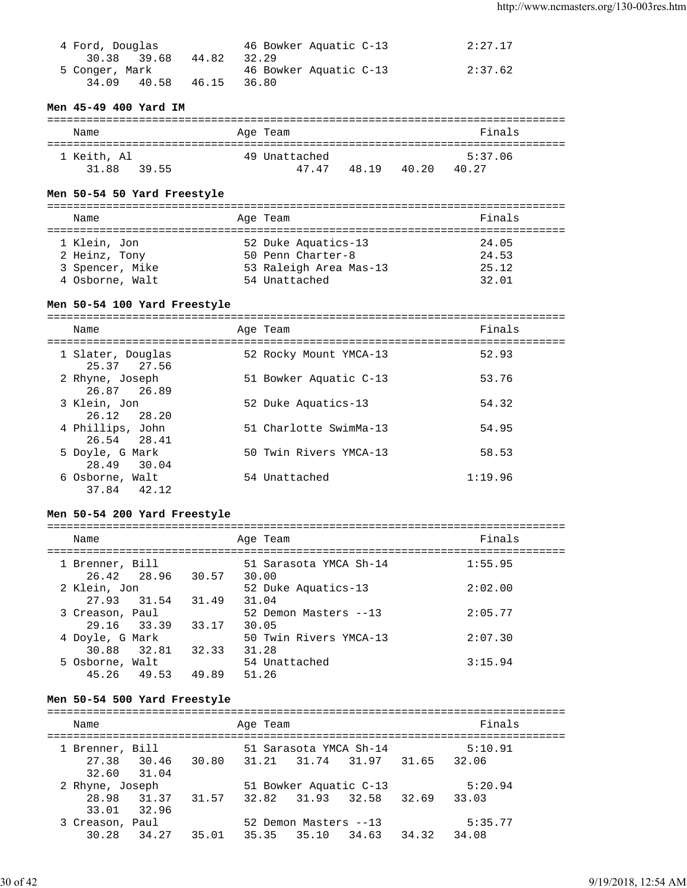| 4 Ford, Douglas |       | 46 Bowker Aquatic C-13 | 2:27.17 |
|-----------------|-------|------------------------|---------|
| 30.38 39.68     | 44.82 | 32.29                  |         |
| 5 Conger, Mark  |       | 46 Bowker Aquatic C-13 | 2:37.62 |
| 40.58<br>34.09  | 46.15 | 36.80                  |         |

### **Men 45-49 400 Yard IM**

| Name        | Age Team      | Finals         |
|-------------|---------------|----------------|
| 1 Keith, Al | 49 Unattached | 5:37.06        |
| 31.88 39.55 | 47.47 48.19   | 40.27<br>40.20 |

#### **Men 50-54 50 Yard Freestyle**

| Name            | Age Team               | Finals |  |  |  |  |  |  |  |
|-----------------|------------------------|--------|--|--|--|--|--|--|--|
| 1 Klein, Jon    | 52 Duke Aquatics-13    | 24.05  |  |  |  |  |  |  |  |
| 2 Heinz, Tony   | 50 Penn Charter-8      | 24.53  |  |  |  |  |  |  |  |
| 3 Spencer, Mike | 53 Raleigh Area Mas-13 | 25.12  |  |  |  |  |  |  |  |
| 4 Osborne, Walt | 54 Unattached          | 32.01  |  |  |  |  |  |  |  |

### **Men 50-54 100 Yard Freestyle**

=============================================================================== Name Research Age Team and the Search School and Times and Search School and Search School and Times and Times =============================================================================== 52 Rocky Mount YMCA-13 52.93 25.37 27.56 2 Rhyne, Joseph 51 Bowker Aquatic C-13 53.76 26.87 26.89<br>3 Klein, Jon 52 Duke Aquatics-13 54.32 26.12 28.20 4 Phillips, John 51 Charlotte SwimMa-13 54.95 26.54 28.41 5 Doyle, G Mark 50 Twin Rivers YMCA-13 58.53 28.49 30.04 6 Osborne, Walt 54 Unattached 1:19.96 37.84 42.12

#### **Men 50-54 200 Yard Freestyle**

| Name                           |                   |       | Age Team                        | Finals  |
|--------------------------------|-------------------|-------|---------------------------------|---------|
| 1 Brenner, Bill                | 26.42 28.96 30.57 |       | 51 Sarasota YMCA Sh-14<br>30.00 | 1:55.95 |
| 2 Klein, Jon<br>27.93 31.54    |                   | 31.49 | 52 Duke Aquatics-13<br>31.04    | 2:02.00 |
| 3 Creason, Paul<br>29.16 33.39 |                   | 33.17 | 52 Demon Masters --13<br>30.05  | 2:05.77 |
| 4 Doyle, G Mark<br>30.88 32.81 |                   | 32.33 | 50 Twin Rivers YMCA-13<br>31.28 | 2:07.30 |
| 5 Osborne, Walt<br>45.26 49.53 |                   | 49.89 | 54 Unattached<br>51.26          | 3:15.94 |

#### **Men 50-54 500 Yard Freestyle**

| Name            |             |       | Age Team    |                        |                         |       | Finals  |  |
|-----------------|-------------|-------|-------------|------------------------|-------------------------|-------|---------|--|
| 1 Brenner, Bill |             |       |             | 51 Sarasota YMCA Sh-14 |                         |       | 5:10.91 |  |
|                 | 27.38 30.46 | 30.80 |             | 31.21 31.74 31.97      |                         | 31.65 | 32.06   |  |
|                 | 32.60 31.04 |       |             |                        |                         |       |         |  |
| 2 Rhyne, Joseph |             |       |             | 51 Bowker Aquatic C-13 |                         |       | 5:20.94 |  |
|                 | 28.98 31.37 | 31.57 |             |                        | 32.82 31.93 32.58 32.69 |       | 33.03   |  |
|                 | 33.01 32.96 |       |             |                        |                         |       |         |  |
| 3 Creason, Paul |             |       |             | 52 Demon Masters --13  |                         |       | 5:35.77 |  |
|                 | 30.28 34.27 | 35.01 | 35.35 35.10 |                        | 34.63                   | 34.32 | 34.08   |  |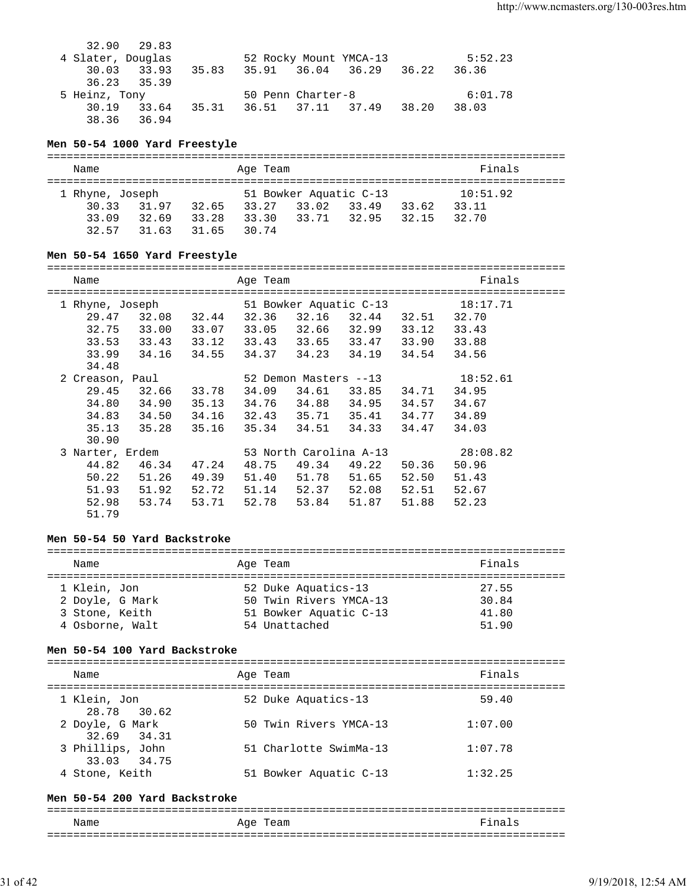|       |  |                                                                  | 5:52.23                 |
|-------|--|------------------------------------------------------------------|-------------------------|
| 35.83 |  |                                                                  | 36.36                   |
|       |  |                                                                  |                         |
|       |  |                                                                  | 6:01.78                 |
| 35.31 |  | 38.20                                                            | 38.03                   |
|       |  |                                                                  |                         |
|       |  | 52 Rocky Mount YMCA-13<br>50 Penn Charter-8<br>36.51 37.11 37.49 | 35.91 36.04 36.29 36.22 |

#### **Men 50-54 1000 Yard Freestyle**

| Name            |       |       | Age Team |                        |       |       | Finals   |  |  |  |
|-----------------|-------|-------|----------|------------------------|-------|-------|----------|--|--|--|
| 1 Rhyne, Joseph |       |       |          | 51 Bowker Aquatic C-13 |       |       | 10:51.92 |  |  |  |
| 30.33           | 31.97 | 32.65 | 33.27    | 33.02                  | 33.49 | 33.62 | 33.11    |  |  |  |
| 33.09           | 32.69 | 33.28 | 33.30    | 33.71 32.95            |       | 32.15 | 32.70    |  |  |  |
| 32.57           | 31.63 | 31.65 | 30 74    |                        |       |       |          |  |  |  |

## **Men 50-54 1650 Yard Freestyle**

| Name            |                   |       | Age Team |       | ======================== |             | Finals   |
|-----------------|-------------------|-------|----------|-------|--------------------------|-------------|----------|
|                 | 1 Rhyne, Joseph   |       |          |       | 51 Bowker Aquatic C-13   |             | 18:17.71 |
|                 | 29.47 32.08       | 32.44 | 32.36    |       | 32.16 32.44 32.51 32.70  |             |          |
| 32.75           | 33.00             | 33.07 | 33.05    |       | 32.66 32.99 33.12 33.43  |             |          |
| 33.53           | 33.43 33.12 33.43 |       |          |       | 33.65 33.47 33.90        |             | 33.88    |
| 33.99           | 34.16             | 34.55 | 34.37    |       | 34.23 34.19 34.54        |             | 34.56    |
| 34.48           |                   |       |          |       |                          |             |          |
| 2 Creason, Paul |                   |       |          |       | 52 Demon Masters --13    |             | 18:52.61 |
| 29.45           | 32.66             | 33.78 | 34.09    |       | 34.61 33.85 34.71        |             | 34.95    |
| 34.80           | 34.90             | 35.13 | 34.76    |       | 34.88 34.95 34.57        |             | 34.67    |
| 34.83           | 34.50             | 34.16 | 32.43    |       | 35.71 35.41 34.77        |             | 34.89    |
| 35.13           | 35.28             | 35.16 | 35.34    |       | 34.51 34.33              | 34.47       | 34.03    |
| 30.90           |                   |       |          |       |                          |             |          |
| 3 Narter, Erdem |                   |       |          |       | 53 North Carolina A-13   |             | 28:08.82 |
| 44.82           | 46.34             | 47.24 | 48.75    |       | 49.34 49.22              | 50.36       | 50.96    |
| 50.22           | 51.26             | 49.39 | 51.40    | 51.78 | 51.65                    | 52.50       | 51.43    |
| 51.93           | 51.92             | 52.72 | 51.14    | 52.37 |                          | 52.08 52.51 | 52.67    |
| 52.98           | 53.74             | 53.71 | 52.78    | 53.84 | 51.87                    | 51.88       | 52.23    |
| 51.79           |                   |       |          |       |                          |             |          |

#### **Men 50-54 50 Yard Backstroke**

| Name            | Age Team               | Finals |
|-----------------|------------------------|--------|
| 1 Klein, Jon    | 52 Duke Aquatics-13    | 27.55  |
| 2 Doyle, G Mark | 50 Twin Rivers YMCA-13 | 30.84  |
| 3 Stone, Keith  | 51 Bowker Aquatic C-13 | 41.80  |
| 4 Osborne, Walt | 54 Unattached          | 51.90  |

### **Men 50-54 100 Yard Backstroke**

| Name                            | Age Team               | Finals  |
|---------------------------------|------------------------|---------|
| 1 Klein, Jon<br>28.78 30.62     | 52 Duke Aquatics-13    | 59.40   |
| 2 Doyle, G Mark<br>32.69 34.31  | 50 Twin Rivers YMCA-13 | 1:07.00 |
| 3 Phillips, John<br>33.03 34.75 | 51 Charlotte SwimMa-13 | 1:07.78 |
| 4 Stone, Keith                  | 51 Bowker Aquatic C-13 | 1:32.25 |

#### **Men 50-54 200 Yard Backstroke**

===============================================================================

| Name | aqe<br>ealll<br>-   | --<br>-                 |
|------|---------------------|-------------------------|
| ___  | ------------------- | ___<br>---------------- |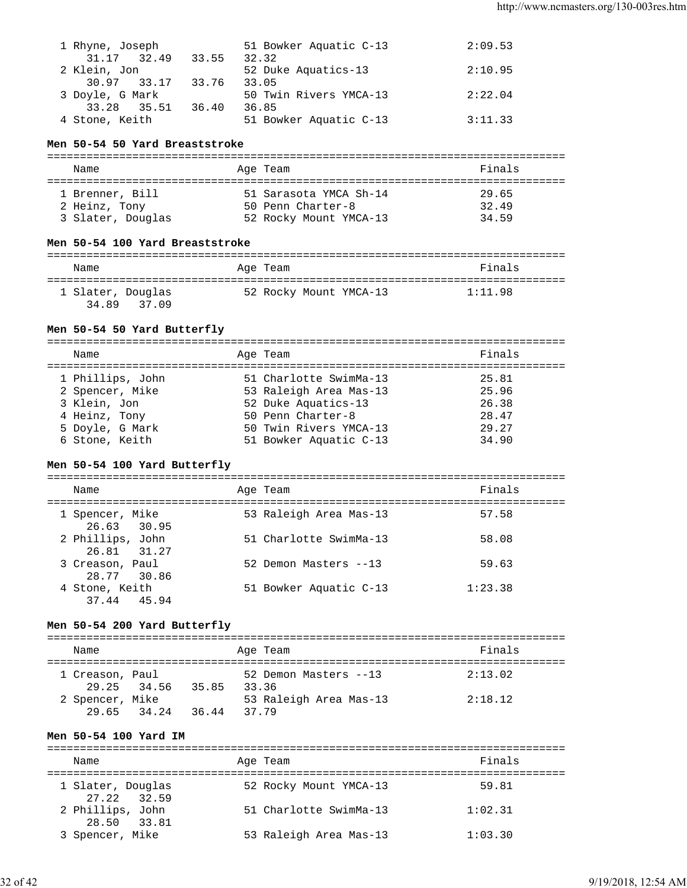| 1 Rhyne, Joseph |                   |       | 51 Bowker Aquatic C-13 | 2:09.53 |
|-----------------|-------------------|-------|------------------------|---------|
| 31.17           | 32.49             | 33.55 | 32.32                  |         |
| 2 Klein, Jon    |                   |       | 52 Duke Aquatics-13    | 2:10.95 |
|                 | 30.97 33.17 33.76 |       | 33.05                  |         |
| 3 Doyle, G Mark |                   |       | 50 Twin Rivers YMCA-13 | 2:22.04 |
| 33.28 35.51     |                   | 36.40 | 36.85                  |         |
| 4 Stone, Keith  |                   |       | 51 Bowker Aquatic C-13 | 3:11.33 |
|                 |                   |       |                        |         |

#### **Men 50-54 50 Yard Breaststroke**

| Name                                                  | Age Team                                                              | Finals                  |
|-------------------------------------------------------|-----------------------------------------------------------------------|-------------------------|
| 1 Brenner, Bill<br>2 Heinz, Tony<br>3 Slater, Douglas | 51 Sarasota YMCA Sh-14<br>50 Penn Charter-8<br>52 Rocky Mount YMCA-13 | 29.65<br>32.49<br>34.59 |

## **Men 50-54 100 Yard Breaststroke**

| Name                       |       | Age Team |                        | Finals  |  |
|----------------------------|-------|----------|------------------------|---------|--|
| 1 Slater, Douglas<br>34.89 | 37.09 |          | 52 Rocky Mount YMCA-13 | 1:11.98 |  |

## **Men 50-54 50 Yard Butterfly**

| Name             | Age Team               | Finals |
|------------------|------------------------|--------|
| 1 Phillips, John | 51 Charlotte SwimMa-13 | 25.81  |
| 2 Spencer, Mike  | 53 Raleigh Area Mas-13 | 25.96  |
| 3 Klein, Jon     | 52 Duke Aquatics-13    | 26.38  |
| 4 Heinz, Tony    | 50 Penn Charter-8      | 28.47  |
| 5 Doyle, G Mark  | 50 Twin Rivers YMCA-13 | 29.27  |
| 6 Stone, Keith   | 51 Bowker Aquatic C-13 | 34.90  |

# **Men 50-54 100 Yard Butterfly**

=============================================================================== Name **Age Team** Age Team **Finals** =============================================================================== 1 Spencer, Mike 53 Raleigh Area Mas-13 57.58 26.63 30.95<br>2 Phillips, John 51 Charlotte SwimMa-13 58.08 26.81 31.27 3 Creason, Paul 52 Demon Masters --13 59.63 28.77 30.86 4 Stone, Keith 51 Bowker Aquatic C-13 1:23.38 37.44 45.94

## **Men 50-54 200 Yard Butterfly**

| Name            |             |       |       | Age Team               | Finals  |
|-----------------|-------------|-------|-------|------------------------|---------|
| 1 Creason, Paul | 29.25 34.56 | 35.85 | 33.36 | 52 Demon Masters --13  | 2:13.02 |
| 2 Spencer, Mike | 29.65 34.24 | 36.44 | 37.79 | 53 Raleigh Area Mas-13 | 2:18.12 |

### **Men 50-54 100 Yard IM**

| Name              | Age Team               | Finals  |  |  |  |  |
|-------------------|------------------------|---------|--|--|--|--|
|                   |                        |         |  |  |  |  |
| 1 Slater, Douglas | 52 Rocky Mount YMCA-13 | 59.81   |  |  |  |  |
| $27.22$ 32.59     |                        |         |  |  |  |  |
| 2 Phillips, John  | 51 Charlotte SwimMa-13 | 1:02.31 |  |  |  |  |
| 28.50 33.81       |                        |         |  |  |  |  |
| 3 Spencer, Mike   | 53 Raleigh Area Mas-13 | 1:03.30 |  |  |  |  |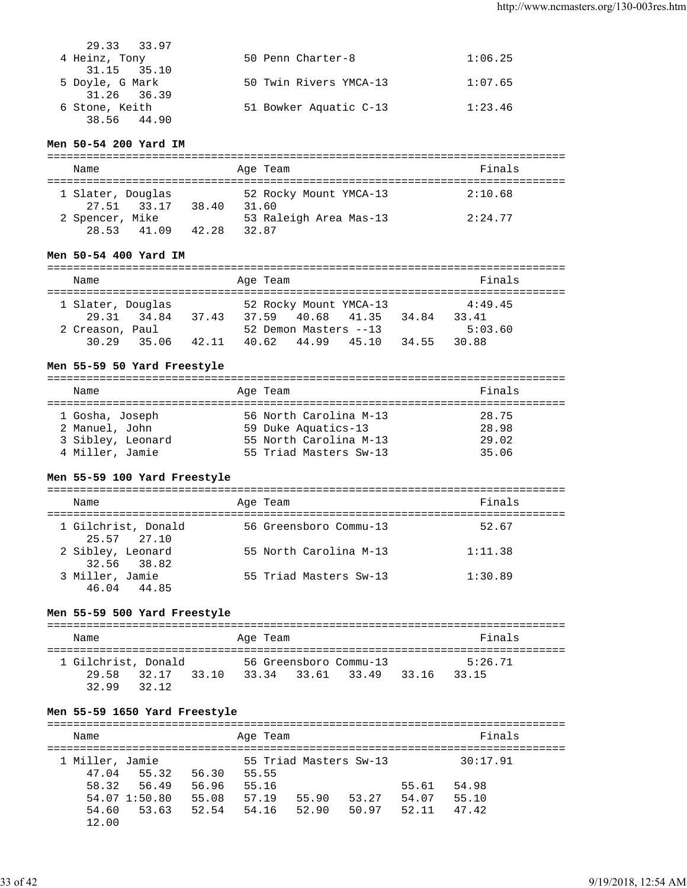| 29.33 33.97     |                        |         |
|-----------------|------------------------|---------|
| 4 Heinz, Tony   | 50 Penn Charter-8      | 1:06.25 |
| 31.15 35.10     |                        |         |
| 5 Doyle, G Mark | 50 Twin Rivers YMCA-13 | 1:07.65 |
| 31.26 36.39     |                        |         |
| 6 Stone, Keith  | 51 Bowker Aquatic C-13 | 1:23.46 |
| 38.56 44.90     |                        |         |

#### **Men 50-54 200 Yard IM**

|  | Name                     |             |       | Age Team                        | Finals  |  |  |
|--|--------------------------|-------------|-------|---------------------------------|---------|--|--|
|  | 1 Slater, Douglas        | 27.51 33.17 | 38.40 | 52 Rocky Mount YMCA-13<br>31.60 | 2:10.68 |  |  |
|  | 2 Spencer, Mike<br>28.53 | 41.09       | 42.28 | 53 Raleigh Area Mas-13<br>32.87 | 2:24.77 |  |  |

#### **Men 50-54 400 Yard IM**

| Name                                 |             |       | Age Team |                                      |                        |       | Finals                      |  |
|--------------------------------------|-------------|-------|----------|--------------------------------------|------------------------|-------|-----------------------------|--|
| 1 Slater, Douglas<br>2 Creason, Paul | 29.31 34.84 | 37.43 | 37.59    | 40.68 41.35<br>52 Demon Masters --13 | 52 Rocky Mount YMCA-13 | 34.84 | 4:49.45<br>33.41<br>5:03.60 |  |
| 30 29                                | 35.06       | 42.11 |          |                                      | 40.62 44.99 45.10      | 34.55 | 30.88                       |  |

#### **Men 55-59 50 Yard Freestyle**

| Name              | Age Team               | Finals |
|-------------------|------------------------|--------|
| 1 Gosha, Joseph   | 56 North Carolina M-13 | 28.75  |
| 2 Manuel, John    | 59 Duke Aquatics-13    | 28.98  |
| 3 Sibley, Leonard | 55 North Carolina M-13 | 29.02  |
| 4 Miller, Jamie   | 55 Triad Masters Sw-13 | 35.06  |

## **Men 55-59 100 Yard Freestyle**

| Name |                                    | Age Team               | Finals  |
|------|------------------------------------|------------------------|---------|
|      | 1 Gilchrist, Donald<br>25.57 27.10 | 56 Greensboro Commu-13 | 52.67   |
|      | 2 Sibley, Leonard<br>32.56 38.82   | 55 North Carolina M-13 | 1:11.38 |
|      | 3 Miller, Jamie<br>46.04 44.85     | 55 Triad Masters Sw-13 | 1:30.89 |

## **Men 55-59 500 Yard Freestyle**

| Name                                  |                |       | Age Team |                                             |       | Finals           |  |
|---------------------------------------|----------------|-------|----------|---------------------------------------------|-------|------------------|--|
| 1 Gilchrist, Donald<br>29.58<br>32.99 | 32.17<br>32.12 | 33.10 |          | 56 Greensboro Commu-13<br>33.34 33.61 33.49 | 33.16 | 5:26.71<br>33.15 |  |

## **Men 55-59 1650 Yard Freestyle**

| Name                     |                        |                | Age Team       |                        |                |                | Finals         |  |
|--------------------------|------------------------|----------------|----------------|------------------------|----------------|----------------|----------------|--|
| 1 Miller, Jamie<br>47.04 | 55.32                  | 56.30          | 55.55          | 55 Triad Masters Sw-13 |                |                | 30:17.91       |  |
|                          | 58.32 56.49            | 56.96          | 55.16          |                        |                | 55.61          | 54.98          |  |
| 54.60                    | 54.07 1:50.80<br>53.63 | 55.08<br>52.54 | 57.19<br>54.16 | 55.90<br>52.90         | 53.27<br>50.97 | 54.07<br>52.11 | 55.10<br>47.42 |  |
| 12.00                    |                        |                |                |                        |                |                |                |  |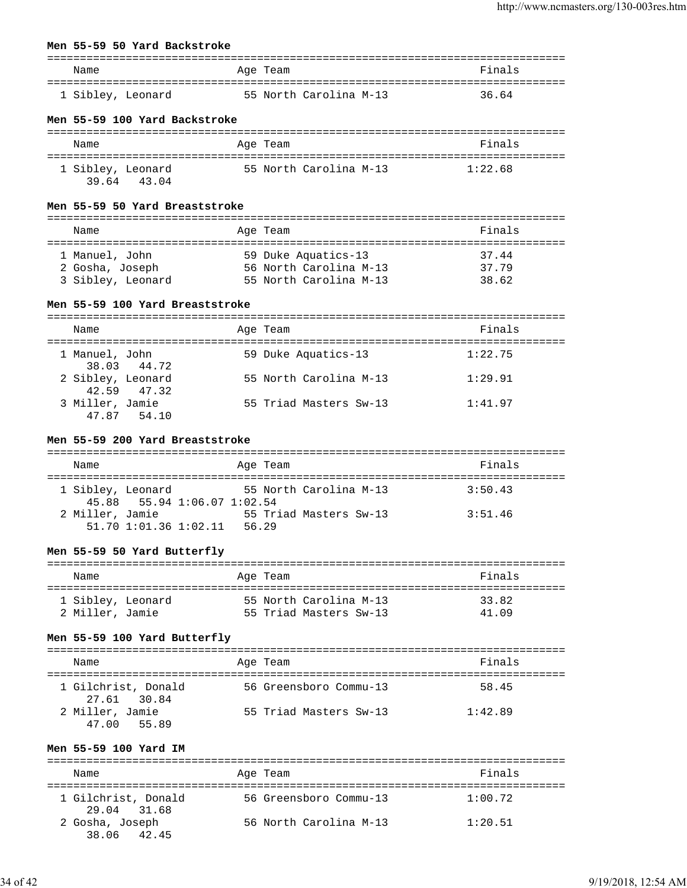#### **Men 55-59 50 Yard Backstroke**

| Name              | Age Team               | Finals |
|-------------------|------------------------|--------|
| 1 Sibley, Leonard | 55 North Carolina M-13 | 36.64  |

#### **Men 55-59 100 Yard Backstroke**

| Name                                | Age Team               | Finals  |
|-------------------------------------|------------------------|---------|
| 1 Sibley, Leonard<br>39 64<br>43.04 | 55 North Carolina M-13 | 1:22.68 |

# **Men 55-59 50 Yard Breaststroke**

| Name              | Age Team               | Finals |
|-------------------|------------------------|--------|
|                   |                        |        |
| 1 Manuel, John    | 59 Duke Aquatics-13    | 3744   |
| 2 Gosha, Joseph   | 56 North Carolina M-13 | 37.79  |
| 3 Sibley, Leonard | 55 North Carolina M-13 | 38.62  |

## **Men 55-59 100 Yard Breaststroke**

| Name              |                 | Age Team               | Finals  |
|-------------------|-----------------|------------------------|---------|
| 1 Manuel, John    | 38.03 44.72     | 59 Duke Aquatics-13    | 1:22.75 |
| 2 Sibley, Leonard | $42.59$ $47.32$ | 55 North Carolina M-13 | 1:29.91 |
| 3 Miller, Jamie   | 47.87 54.10     | 55 Triad Masters Sw-13 | 1:41.97 |

#### **Men 55-59 200 Yard Breaststroke**

| Name              |                             |       | Age Team |                        | Finals  |
|-------------------|-----------------------------|-------|----------|------------------------|---------|
| 1 Sibley, Leonard |                             |       |          | 55 North Carolina M-13 | 3:50.43 |
|                   | 45.88 55.94 1:06.07 1:02.54 |       |          |                        |         |
| 2 Miller, Jamie   |                             |       |          | 55 Triad Masters Sw-13 | 3:51.46 |
|                   | $51.70$ $1:01.36$ $1:02.11$ | 56.29 |          |                        |         |

## **Men 55-59 50 Yard Butterfly**

| Name              | Age Team               | Finals |
|-------------------|------------------------|--------|
| 1 Sibley, Leonard | 55 North Carolina M-13 | 33.82  |
| 2 Miller, Jamie   | 55 Triad Masters Sw-13 | 41 09  |

## **Men 55-59 100 Yard Butterfly**

| Name                | Age Team               | Finals  |
|---------------------|------------------------|---------|
|                     |                        |         |
| 1 Gilchrist, Donald | 56 Greensboro Commu-13 | 58.45   |
| 27.61 30.84         |                        |         |
| 2 Miller, Jamie     | 55 Triad Masters Sw-13 | 1:42.89 |
| 47.00<br>55.89      |                        |         |

#### **Men 55-59 100 Yard IM**

| Name                               | Age Team               | Finals  |
|------------------------------------|------------------------|---------|
| 1 Gilchrist, Donald<br>29.04 31.68 | 56 Greensboro Commu-13 | 1:00.72 |
| 2 Gosha, Joseph<br>38.06 42.45     | 56 North Carolina M-13 | 1:20.51 |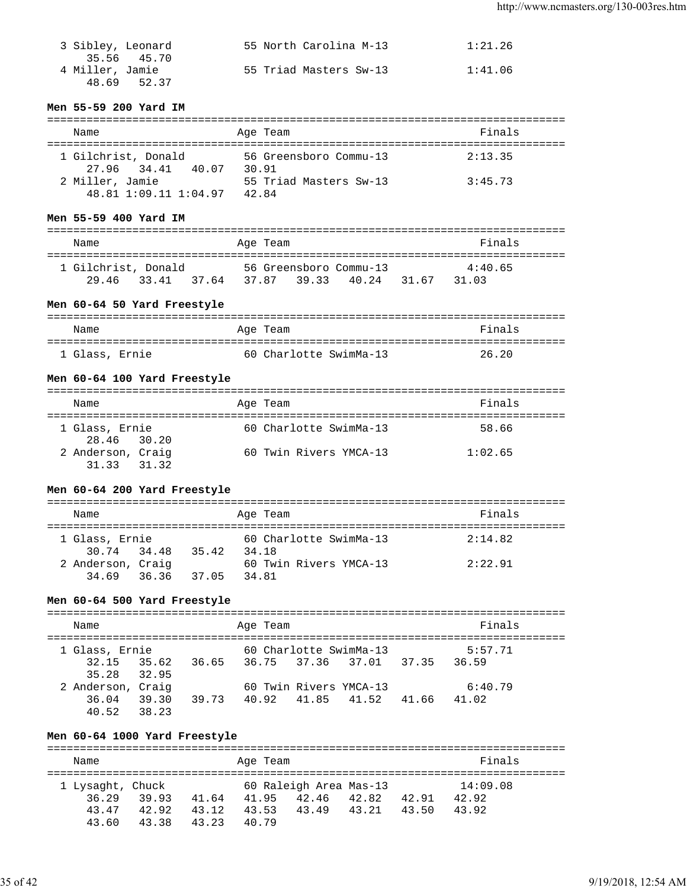| 3 Sibley, Leonard | 55 North Carolina M-13 | 1:21.26 |
|-------------------|------------------------|---------|
| 35.56 45.70       |                        |         |
| 4 Miller, Jamie   | 55 Triad Masters Sw-13 | 1:41.06 |
| 48.69 52.37       |                        |         |

### **Men 55-59 200 Yard IM**

| Name                                        | Age Team                        | Finals  |
|---------------------------------------------|---------------------------------|---------|
| 1 Gilchrist, Donald<br>27.96 34.41<br>40.07 | 56 Greensboro Commu-13<br>30.91 | 2:13.35 |
| 2 Miller, Jamie<br>48.81 1:09.11 1:04.97    | 55 Triad Masters Sw-13<br>42.84 | 3:45.73 |

#### **Men 55-59 400 Yard IM**

| Name                |             |       | Age Team |             |                        |       | Finals  |
|---------------------|-------------|-------|----------|-------------|------------------------|-------|---------|
| 1 Gilchrist, Donald |             |       |          |             | 56 Greensboro Commu-13 |       | 4:40.65 |
|                     | 29.46 33.41 | 37.64 |          | 37.87 39.33 | 40.24                  | 31.67 | 31.03   |

# **Men 60-64 50 Yard Freestyle**

| Name           |  | Age Team               |  | Finals |  |
|----------------|--|------------------------|--|--------|--|
| 1 Glass, Ernie |  | 60 Charlotte SwimMa-13 |  | 26.20  |  |

#### **Men 60-64 100 Yard Freestyle**

| Name                          |       | Age Team               | Finals  |
|-------------------------------|-------|------------------------|---------|
| 1 Glass, Ernie<br>28.46 30.20 |       | 60 Charlotte SwimMa-13 | 58.66   |
| 2 Anderson, Craig<br>31 33    | 31 32 | 60 Twin Rivers YMCA-13 | 1:02.65 |

### **Men 60-64 200 Yard Freestyle**

=============================================================================== Name **Age Team** Age Team Finals =============================================================================== 60 Charlotte SwimMa-13  $2:14.82$  30.74 34.48 35.42 34.18 2 Anderson, Craig 60 Twin Rivers YMCA-13 2:22.91 34.69 36.36 37.05 34.81

# **Men 60-64 500 Yard Freestyle**

| Name                                |                |       | Age Team                      |                        |       | Finals           |  |
|-------------------------------------|----------------|-------|-------------------------------|------------------------|-------|------------------|--|
| 1 Glass, Ernie                      |                |       |                               | 60 Charlotte SwimMa-13 |       | 5:57.71          |  |
| 32.15<br>35.28 32.95                | 35.62          |       | 36.65 36.75 37.36 37.01 37.35 |                        |       | 36.59            |  |
| 2 Anderson, Craig<br>36.04<br>40.52 | 39.30<br>38.23 | 39.73 | 40.92 41.85 41.52             | 60 Twin Rivers YMCA-13 | 41.66 | 6:40.79<br>41.02 |  |

### **Men 60-64 1000 Yard Freestyle**

=============================================================================== Name **Age Team Age Team Age Team Rame Pinals** =============================================================================== 1 Lysaght, Chuck 60 Raleigh Area Mas-13 14:09.08 36.29 39.93 41.64 41.95 42.46 42.82 42.91 42.92 43.47 42.92 43.12 43.53 43.49 43.21 43.50 43.92 43.60 43.38 43.23 40.79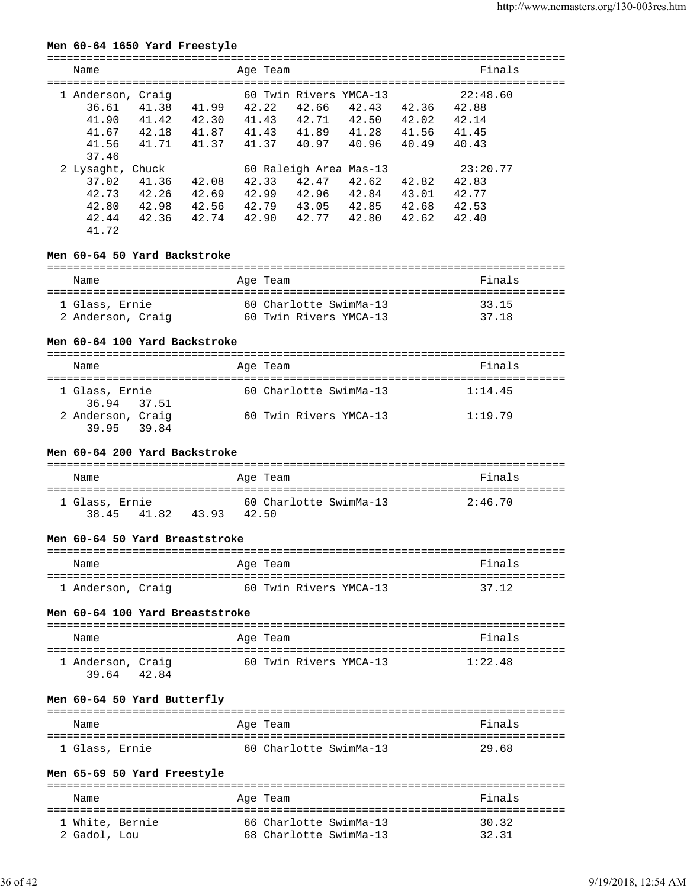### **Men 60-64 1650 Yard Freestyle**

| Name                                                           |                                  |                                  | Age Team                         |                                  |                                                            |                                  | Finals                                       |  |
|----------------------------------------------------------------|----------------------------------|----------------------------------|----------------------------------|----------------------------------|------------------------------------------------------------|----------------------------------|----------------------------------------------|--|
| 1 Anderson, Craig<br>36.61<br>41.90<br>41.67<br>41.56<br>37.46 | 41.38<br>41.42<br>42.18<br>41.71 | 41.99<br>42.30<br>41.87<br>41.37 | 42.22<br>41.43<br>41.43<br>41.37 | 42.66<br>42.71<br>41.89<br>40.97 | 60 Twin Rivers YMCA-13<br>42.43<br>42.50<br>41.28<br>40.96 | 42.36<br>42.02<br>41.56<br>40.49 | 22:48.60<br>42.88<br>42.14<br>41.45<br>40.43 |  |
| 2 Lysaght, Chuck<br>37.02<br>42.73<br>42.80<br>42.44<br>41.72  | 41.36<br>42.26<br>42.98<br>42.36 | 42.08<br>42.69<br>42.56<br>42.74 | 42.33<br>42.99<br>42.79<br>42.90 | 42.47<br>42.96<br>43.05<br>42.77 | 60 Raleigh Area Mas-13<br>42.62<br>42.84<br>42.85<br>42.80 | 42.82<br>43.01<br>42.68<br>42.62 | 23:20.77<br>42.83<br>42.77<br>42.53<br>42.40 |  |

# **Men 60-64 50 Yard Backstroke**

| Name              | Age Team               | Finals |
|-------------------|------------------------|--------|
| 1 Glass, Ernie    | 60 Charlotte SwimMa-13 | 33.15  |
| 2 Anderson, Craig | 60 Twin Rivers YMCA-13 | 37 18  |

# **Men 60-64 100 Yard Backstroke**

| Name                             | Age Team               | Finals  |
|----------------------------------|------------------------|---------|
| 1 Glass, Ernie<br>36.94 37.51    | 60 Charlotte SwimMa-13 | 1:14.45 |
| 2 Anderson, Craig<br>39.95 39.84 | 60 Twin Rivers YMCA-13 | 1:19.79 |

### **Men 60-64 200 Yard Backstroke**

| Name           |               |       | Age Team               | Finals  |
|----------------|---------------|-------|------------------------|---------|
| 1 Glass, Ernie |               |       | 60 Charlotte SwimMa-13 | 2:46.70 |
| 3845           | 41.82<br>4393 | 42.50 |                        |         |

### **Men 60-64 50 Yard Breaststroke**

| Name              | Age Team               | Finals |
|-------------------|------------------------|--------|
| 1 Anderson, Craig | 60 Twin Rivers YMCA-13 | 37.12  |

# **Men 60-64 100 Yard Breaststroke**

| Name                       |       | Age Team               | Finals  |
|----------------------------|-------|------------------------|---------|
| 1 Anderson, Craig<br>39.64 | 42.84 | 60 Twin Rivers YMCA-13 | 1:22.48 |

# **Men 60-64 50 Yard Butterfly**

| Name           | Age Team               | Finals |
|----------------|------------------------|--------|
| 1 Glass, Ernie | 60 Charlotte SwimMa-13 | 29.68  |

## **Men 65-69 50 Yard Freestyle**

| Name            | Age Team               | Finals |
|-----------------|------------------------|--------|
| 1 White, Bernie | 66 Charlotte SwimMa-13 | 30.32  |
| 2 Gadol, Lou    | 68 Charlotte SwimMa-13 | 32.31  |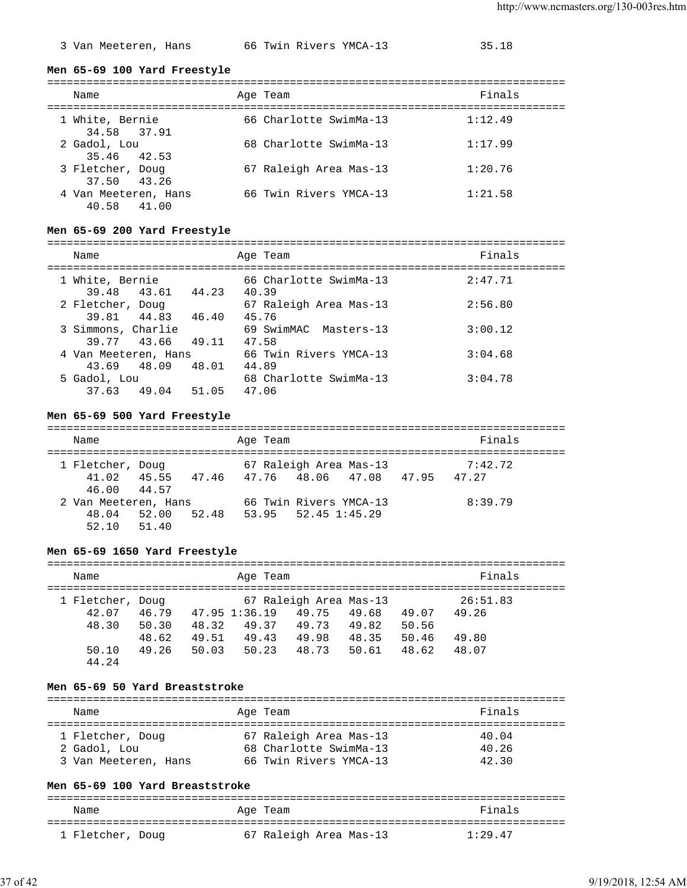3 Van Meeteren, Hans 66 Twin Rivers YMCA-13 35.18

**Men 65-69 100 Yard Freestyle**

| Name                                | Age Team               | Finals  |
|-------------------------------------|------------------------|---------|
| 1 White, Bernie<br>34.58 37.91      | 66 Charlotte SwimMa-13 | 1:12.49 |
| 2 Gadol, Lou<br>35.46 42.53         | 68 Charlotte SwimMa-13 | 1:17.99 |
| 3 Fletcher, Doug<br>37.50 43.26     | 67 Raleigh Area Mas-13 | 1:20.76 |
| 4 Van Meeteren, Hans<br>40.58 41.00 | 66 Twin Rivers YMCA-13 | 1:21.58 |

## **Men 65-69 200 Yard Freestyle**

| Name                 |                   |       | Age Team                        | Finals  |
|----------------------|-------------------|-------|---------------------------------|---------|
| 1 White, Bernie      | 39.48 43.61 44.23 |       | 66 Charlotte SwimMa-13<br>40.39 | 2:47.71 |
| 2 Fletcher, Doug     | 39.81 44.83 46.40 |       | 67 Raleigh Area Mas-13          | 2:56.80 |
| 3 Simmons, Charlie   |                   |       | 45.76<br>69 SwimMAC Masters-13  | 3:00.12 |
| 39.77 43.66          |                   | 49.11 | 47.58                           |         |
| 4 Van Meeteren, Hans |                   |       | 66 Twin Rivers YMCA-13          | 3:04.68 |
| 43.69 48.09          |                   | 48.01 | 44.89                           |         |
| 5 Gadol, Lou         |                   |       | 68 Charlotte SwimMa-13          | 3:04.78 |
| 37.63 49.04          |                   | 51.05 | 47.06                           |         |

## **Men 65-69 500 Yard Freestyle**

| Name                                    |                   |  | Age Team |                     |                                                                           | Finals  |  |
|-----------------------------------------|-------------------|--|----------|---------------------|---------------------------------------------------------------------------|---------|--|
| 1 Fletcher, Doug<br>46.00 44.57         |                   |  |          |                     | 67 Raleigh Area Mas-13<br>41.02 45.55 47.46 47.76 48.06 47.08 47.95 47.27 | 7:42.72 |  |
| 2 Van Meeteren, Hans<br>$52.10$ $51.40$ | 48.04 52.00 52.48 |  |          | 53.95 52.45 1:45.29 | 66 Twin Rivers YMCA-13                                                    | 8:39.79 |  |

## **Men 65-69 1650 Yard Freestyle**

| Name                      |                         |                         | Age Team                |                                 |                         |                         | Finals            |  |
|---------------------------|-------------------------|-------------------------|-------------------------|---------------------------------|-------------------------|-------------------------|-------------------|--|
| 1 Fletcher, Doug<br>42.07 | 46.79                   | 47.95 1:36.19           |                         | 67 Raleigh Area Mas-13<br>49.75 | 49.68                   | 49.07                   | 26:51.83<br>49.26 |  |
| 48.30<br>50.10            | 50.30<br>48.62<br>49.26 | 48.32<br>49.51<br>50.03 | 49.37<br>49.43<br>50.23 | 49.73<br>49.98<br>48.73         | 49.82<br>48.35<br>50.61 | 50.56<br>50.46<br>48.62 | 49.80<br>48.07    |  |
| 44.24                     |                         |                         |                         |                                 |                         |                         |                   |  |

### **Men 65-69 50 Yard Breaststroke**

| Name                             | Age Team                                         | Finals         |
|----------------------------------|--------------------------------------------------|----------------|
| 1 Fletcher, Doug<br>2 Gadol, Lou | 67 Raleigh Area Mas-13<br>68 Charlotte SwimMa-13 | 40.04<br>40.26 |
| 3 Van Meeteren, Hans             | 66 Twin Rivers YMCA-13                           | 42.30          |

#### **Men 65-69 100 Yard Breaststroke**

| Name             | Age Team               | Finals  |
|------------------|------------------------|---------|
| 1 Fletcher, Doug | 67 Raleigh Area Mas-13 | 1:29.47 |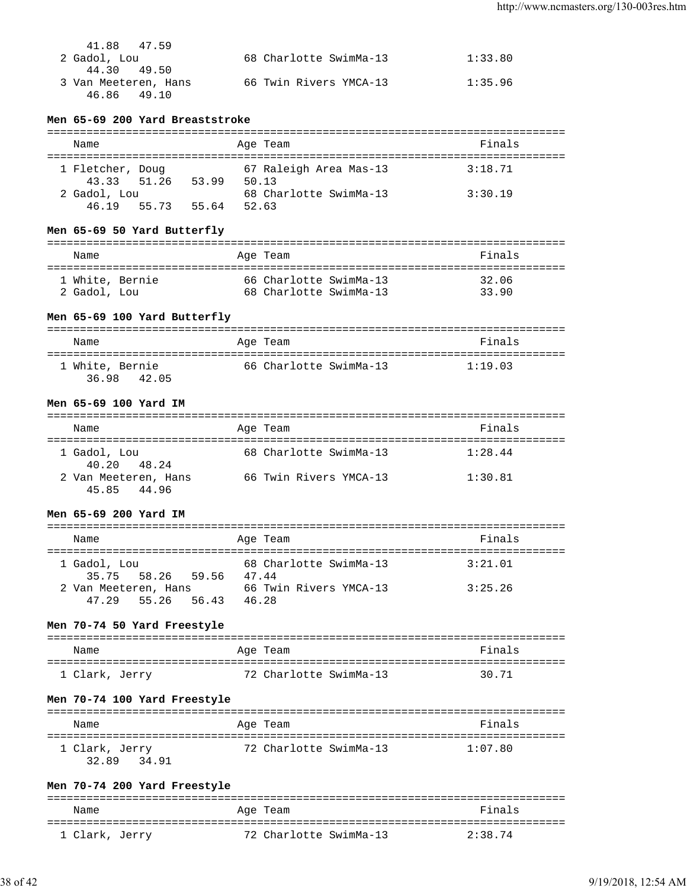| 41.88 47.59          |                        |         |
|----------------------|------------------------|---------|
| 2 Gadol, Lou         | 68 Charlotte SwimMa-13 | 1:33.80 |
| 44.30 49.50          |                        |         |
| 3 Van Meeteren, Hans | 66 Twin Rivers YMCA-13 | 1:35.96 |
| 46.86 49.10          |                        |         |

### **Men 65-69 200 Yard Breaststroke**

| Name                            |       | Age Team                        | Finals  |
|---------------------------------|-------|---------------------------------|---------|
| 1 Fletcher, Doug<br>43.33 51.26 | 53.99 | 67 Raleigh Area Mas-13<br>50.13 | 3:18.71 |
| 2 Gadol, Lou<br>46.19 55.73     | 55.64 | 68 Charlotte SwimMa-13<br>52.63 | 3:30.19 |

## **Men 65-69 50 Yard Butterfly**

| Name            | Age Team               | Finals |
|-----------------|------------------------|--------|
| 1 White, Bernie | 66 Charlotte SwimMa-13 | 32.06  |
| 2 Gadol, Lou    | 68 Charlotte SwimMa-13 | 33.90  |

## **Men 65-69 100 Yard Butterfly**

| Name                              | Age Team               | Finals  |
|-----------------------------------|------------------------|---------|
| 1 White, Bernie<br>36.98<br>42.05 | 66 Charlotte SwimMa-13 | 1:19.03 |

#### **Men 65-69 100 Yard IM**

| Name                                | Age Team               | Finals  |  |  |  |
|-------------------------------------|------------------------|---------|--|--|--|
| 1 Gadol, Lou<br>40.20 48.24         | 68 Charlotte SwimMa-13 | 1:28.44 |  |  |  |
| 2 Van Meeteren, Hans<br>45.85 44.96 | 66 Twin Rivers YMCA-13 | 1:30.81 |  |  |  |

### **Men 65-69 200 Yard IM**

| Name                 |  | Age Team               | Finals  |
|----------------------|--|------------------------|---------|
| 1 Gadol, Lou         |  | 68 Charlotte SwimMa-13 | 3:21.01 |
| 35.75 58.26 59.56    |  | 4744                   |         |
| 2 Van Meeteren, Hans |  | 66 Twin Rivers YMCA-13 | 3:25.26 |
| 47.29 55.26 56.43    |  | 46.28                  |         |

## **Men 70-74 50 Yard Freestyle**

| Name           | Age Team               | Finals |
|----------------|------------------------|--------|
| 1 Clark, Jerry | 72 Charlotte SwimMa-13 | 30.71  |

## **Men 70-74 100 Yard Freestyle**

| Name           | Age Team               | Finals  |
|----------------|------------------------|---------|
| 1 Clark, Jerry | 72 Charlotte SwimMa-13 | 1:07.80 |
| 32.89<br>34.91 |                        |         |

## **Men 70-74 200 Yard Freestyle**

| Name           | Age Team               | Finals  |
|----------------|------------------------|---------|
| 1 Clark, Jerry | 72 Charlotte SwimMa-13 | 2:38.74 |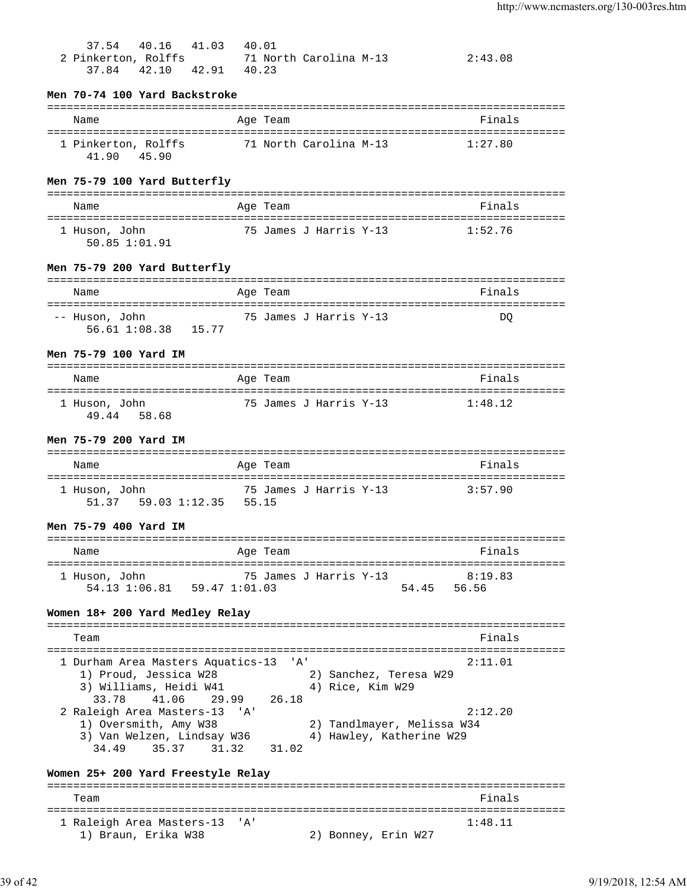| 40.16 41.03 40.01<br>37.54<br>2 Pinkerton, Rolffs 71 North Carolina M-13<br>42.10  42.91  40.23<br>37.84        |          |              |                                            | 2:43.08                                                           |
|-----------------------------------------------------------------------------------------------------------------|----------|--------------|--------------------------------------------|-------------------------------------------------------------------|
| Men 70-74 100 Yard Backstroke                                                                                   |          |              |                                            |                                                                   |
| Name                                                                                                            | Age Team |              |                                            | Finals                                                            |
| 1 Pinkerton, Rolffs 71 North Carolina M-13 1:27.80                                                              |          |              |                                            |                                                                   |
| 41.90 45.90                                                                                                     |          |              |                                            |                                                                   |
| Men 75-79 100 Yard Butterfly                                                                                    |          |              |                                            |                                                                   |
| Name                                                                                                            | Age Team |              |                                            | Finals                                                            |
| 1 Huson, John<br>50.85 1:01.91                                                                                  |          |              | 75 James J Harris Y-13                     | 1:52.76                                                           |
| Men 75-79 200 Yard Butterfly                                                                                    |          |              |                                            |                                                                   |
| Name                                                                                                            | Age Team |              |                                            | Finals                                                            |
| -- Huson, John<br>56.61 1:08.38 15.77                                                                           |          |              | 75 James J Harris Y-13                     | DO                                                                |
| Men 75-79 100 Yard IM                                                                                           |          |              |                                            |                                                                   |
| Name                                                                                                            | Age Team |              |                                            | Finals                                                            |
| 1 Huson, John<br>49.44 58.68                                                                                    |          |              | 75 James J Harris Y-13                     | 1:48.12                                                           |
| Men 75-79 200 Yard IM                                                                                           |          |              |                                            |                                                                   |
| Name                                                                                                            | Age Team |              |                                            | Finals                                                            |
| 1 Huson, John<br>51.37   59.03   1:12.35   55.15                                                                |          |              | 75 James J Harris Y-13                     | 3:57.90                                                           |
| Men 75-79 400 Yard IM                                                                                           |          |              |                                            |                                                                   |
| Name                                                                                                            | Age Team |              |                                            | Finals                                                            |
| 1 Huson, John<br>54.13 1:06.81    59.47 1:01.03<br>Women 18+ 200 Yard Medley Relay                              |          |              | 75 James J Harris Y-13                     | 8:19.83<br>54.45<br>56.56                                         |
| Team                                                                                                            |          |              |                                            | Finals                                                            |
|                                                                                                                 |          |              |                                            |                                                                   |
| 1 Durham Area Masters Aquatics-13<br>1) Proud, Jessica W28<br>3) Williams, Heidi W41<br>33.78<br>41.06<br>29.99 |          | 'A'<br>26.18 | 2) Sanchez, Teresa W29<br>4) Rice, Kim W29 | 2:11.01                                                           |
| 2 Raleigh Area Masters-13<br>1) Oversmith, Amy W38<br>3) Van Welzen, Lindsay W36<br>34.49<br>35.37<br>31.32     | ' A '    | 31.02        |                                            | 2:12.20<br>2) Tandlmayer, Melissa W34<br>4) Hawley, Katherine W29 |
| Women 25+ 200 Yard Freestyle Relay                                                                              |          |              |                                            |                                                                   |
| Team                                                                                                            |          |              |                                            | Finals                                                            |
| -------------------------------------<br>1 Raleigh Area Masters-13<br>1) Braun, Erika W38                       | ' A '    |              | 2) Bonney, Erin W27                        | ---------------<br>1:48.11                                        |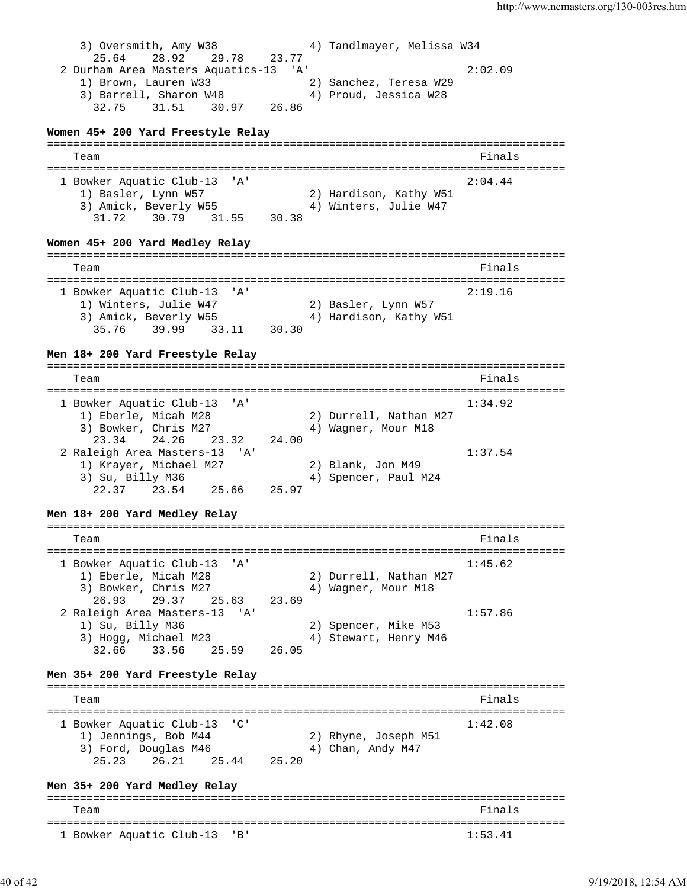3) Oversmith, Amy W38 4) Tandlmayer, Melissa W34 25.64 28.92 29.78 23.77 2 Durham Area Masters Aquatics-13 'A' 2:02.09 1) Brown, Lauren W33 2) Sanchez, Teresa W29 3) Barrell, Sharon W48 4) Proud, Jessica W28 32.75 31.51 30.97 26.86 **Women 45+ 200 Yard Freestyle Relay** =============================================================================== Team Finals =============================================================================== 1 Bowker Aquatic Club-13 'A' 2:04.44 1) Basler, Lynn W57 2) Hardison, Kathy W51 3) Amick, Beverly W55 4) Winters, Julie W47 31.72 30.79 31.55 30.38 **Women 45+ 200 Yard Medley Relay** =============================================================================== Team Finals =============================================================================== 1 Bowker Aquatic Club-13 'A' 2:19.16 1) Winters, Julie W47 2) Basler, Lynn W57 3) Amick, Beverly W55 4) Hardison, Kathy W51 35.76 39.99 33.11 30.30 **Men 18+ 200 Yard Freestyle Relay** =============================================================================== Team Finals and the contract of the contract of the contract of the contract of the contract of the contract of the contract of the contract of the contract of the contract of the contract of the contract of the contract o =============================================================================== 1 Bowker Aquatic Club-13 'A' 1:34.92 1) Eberle, Micah M28 2) Durrell, Nathan M27 3) Bowker, Chris M27 (4) Wagner, Mour M18 23.34 24.26 23.32 24.00 2 Raleigh Area Masters-13 'A' 1:37.54 1) Krayer, Michael M27 2) Blank, Jon M49 3) Su, Billy M36 4) Spencer, Paul M24 22.37 23.54 25.66 25.97 **Men 18+ 200 Yard Medley Relay** =============================================================================== Team Finals and the contract of the contract of the contract of the contract of the contract of the contract of the contract of the contract of the contract of the contract of the contract of the contract of the contract o =============================================================================== 1 Bowker Aquatic Club-13 'A' 1:45.62 1) Eberle, Micah M28 2) Durrell, Nathan M27 3) Bowker, Chris M27 (4) Wagner, Mour M18 26.93 29.37 25.63 23.69 2 Raleigh Area Masters-13 'A' 1:57.86 1) Su, Billy M36 2) Spencer, Mike M53 3) Hogg, Michael M23 4) Stewart, Henry M46 32.66 33.56 25.59 26.05 **Men 35+ 200 Yard Freestyle Relay** =============================================================================== Team Finals and the contract of the contract of the contract of the contract of the contract of the contract of the contract of the contract of the contract of the contract of the contract of the contract of the contract o =============================================================================== 1 Bowker Aquatic Club-13 'C' 1:42.08 1) Jennings, Bob M44 2) Rhyne, Joseph M51 3) Ford, Douglas M46 4) Chan, Andy M47 25.23 26.21 25.44 25.20 **Men 35+ 200 Yard Medley Relay** =============================================================================== Team Finals =============================================================================== 1 Bowker Aquatic Club-13 'B' 1:53.41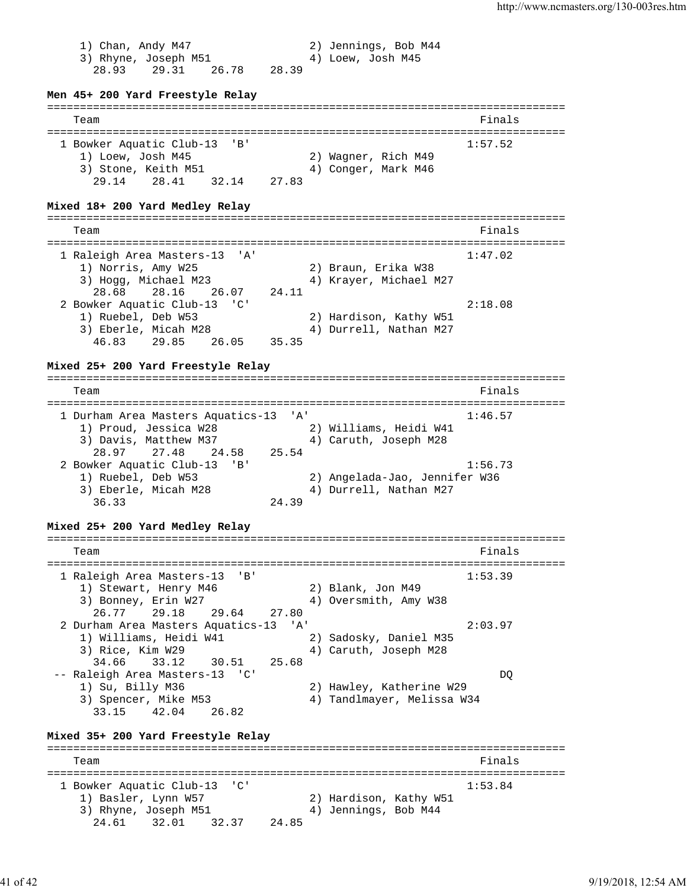1) Chan, Andy M47 2) Jennings, Bob M44 3) Rhyne, Joseph M51 4) Loew, Josh M45 28.93 29.31 26.78 28.39 **Men 45+ 200 Yard Freestyle Relay** =============================================================================== Team Finals and the contract of the contract of the contract of the contract of the contract of the contract of the contract of the contract of the contract of the contract of the contract of the contract of the contract o =============================================================================== 1 Bowker Aquatic Club-13 'B' 1:57.52 1) Loew, Josh M45 2) Wagner, Rich M49 3) Stone, Keith M51 4) Conger, Mark M46 29.14 28.41 32.14 27.83 **Mixed 18+ 200 Yard Medley Relay** =============================================================================== Team Finals and the contract of the contract of the contract of the contract of the contract of the contract of the contract of the contract of the contract of the contract of the contract of the contract of the contract o =============================================================================== 1 Raleigh Area Masters-13 'A' 1:47.02 1) Norris, Amy W25 2) Braun, Erika W38 3) Hogg, Michael M23 4) Krayer, Michael M27 28.68 28.16 26.07 24.11 2 Bowker Aquatic Club-13 'C' 2:18.08 1) Ruebel, Deb W53 2) Hardison, Kathy W51 3) Eberle, Micah M28 4) Durrell, Nathan M27 46.83 29.85 26.05 35.35 **Mixed 25+ 200 Yard Freestyle Relay** =============================================================================== Team Finals and the contract of the contract of the contract of the contract of the contract of the contract of the contract of the contract of the contract of the contract of the contract of the contract of the contract o =============================================================================== 1 Durham Area Masters Aquatics-13 'A' 1:46.57 1) Proud, Jessica W28 2) Williams, Heidi W41 3) Davis, Matthew M37 4) Caruth, Joseph M28 28.97 27.48 24.58 25.54 2 Bowker Aquatic Club-13 'B' 1:56.73 1) Ruebel, Deb W53 2) Angelada-Jao, Jennifer W36 3) Eberle, Micah M28 4) Durrell, Nathan M27 36.33 24.39 **Mixed 25+ 200 Yard Medley Relay** =============================================================================== Team Finals =============================================================================== 1 Raleigh Area Masters-13 'B' 1:53.39 1) Stewart, Henry M46 2) Blank, Jon M49 3) Bonney, Erin W27 4) Oversmith, Amy W38 26.77 29.18 29.64 27.80 2 Durham Area Masters Aquatics-13 'A' 2:03.97 1) Williams, Heidi W41 2) Sadosky, Daniel M35 3) Rice, Kim W29 4) Caruth, Joseph M28 34.66 33.12 30.51 25.68 -- Raleigh Area Masters-13 'C' DQ<br>1) Su, Billy M36 2) Hawley, Katherine W29 1) Su, Billy M36 2) Hawley, Katherine W29 3) Spencer, Mike M53 4) Tandlmayer, Melissa W34 33.15 42.04 26.82 **Mixed 35+ 200 Yard Freestyle Relay** =============================================================================== Team Finals =============================================================================== 1 Bowker Aquatic Club-13 'C' 1:53.84 1) Basler, Lynn W57 2) Hardison, Kathy W51 3) Rhyne, Joseph M51 (4) Jennings, Bob M44 24.61 32.01 32.37 24.85